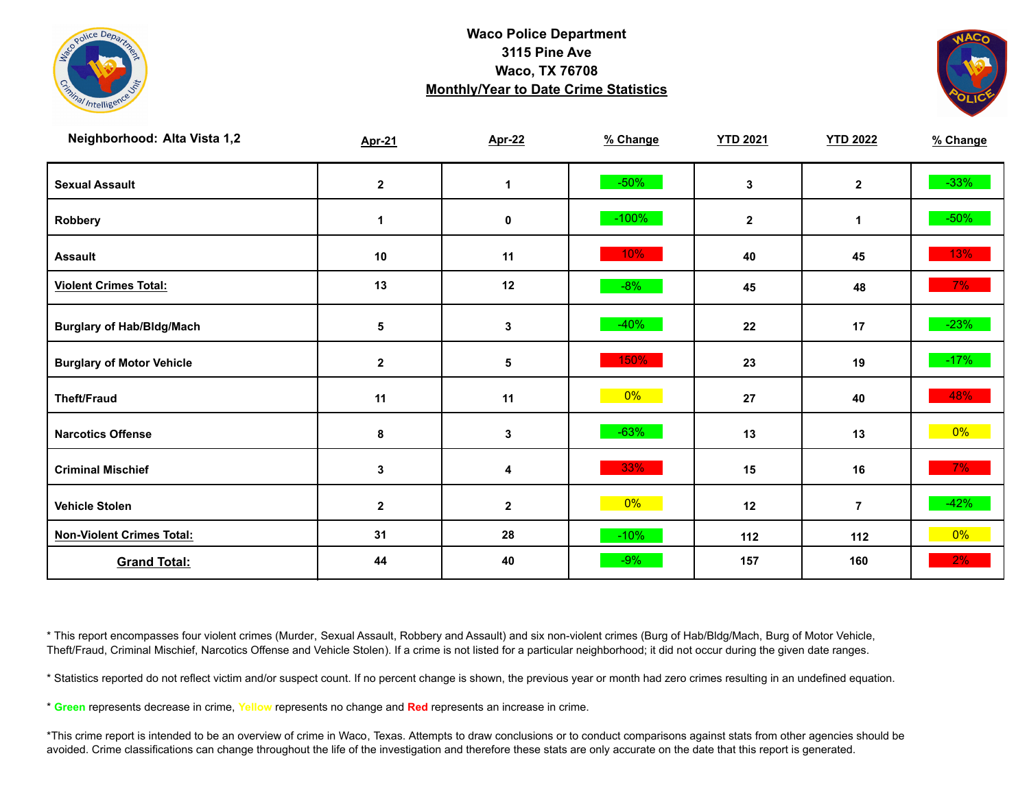



| Neighborhood: Alta Vista 1,2     | <b>Apr-21</b> | <b>Apr-22</b>           | % Change | <b>YTD 2021</b> | <b>YTD 2022</b> | % Change |
|----------------------------------|---------------|-------------------------|----------|-----------------|-----------------|----------|
| <b>Sexual Assault</b>            | $\mathbf{2}$  | $\mathbf 1$             | $-50%$   | 3               | $\mathbf{2}$    | $-33%$   |
| Robbery                          | $\mathbf 1$   | 0                       | $-100%$  | $\mathbf{2}$    | 1               | $-50\%$  |
| <b>Assault</b>                   | 10            | 11                      | 10%      | 40              | 45              | 13%      |
| <b>Violent Crimes Total:</b>     | 13            | 12                      | $-8%$    | 45              | 48              | $7\%$    |
| <b>Burglary of Hab/Bldg/Mach</b> | $\sqrt{5}$    | 3                       | $-40%$   | 22              | 17              | $-23%$   |
| <b>Burglary of Motor Vehicle</b> | $\mathbf{2}$  | 5                       | 150%     | 23              | 19              | $-17%$   |
| <b>Theft/Fraud</b>               | 11            | 11                      | $0\%$    | 27              | 40              | 48%      |
| <b>Narcotics Offense</b>         | 8             | 3                       | $-63%$   | 13              | 13              | $0\%$    |
| <b>Criminal Mischief</b>         | $\mathbf{3}$  | $\overline{\mathbf{4}}$ | 33%      | 15              | 16              | $7\%$    |
| <b>Vehicle Stolen</b>            | $\mathbf{2}$  | $\mathbf 2$             | $0\%$    | 12              | $\overline{7}$  | $-42%$   |
| <b>Non-Violent Crimes Total:</b> | 31            | 28                      | $-10%$   | $112$           | 112             | 0%       |
| <b>Grand Total:</b>              | 44            | 40                      | $-9%$    | 157             | 160             | 2%       |

\* This report encompasses four violent crimes (Murder, Sexual Assault, Robbery and Assault) and six non-violent crimes (Burg of Hab/Bldg/Mach, Burg of Motor Vehicle, Theft/Fraud, Criminal Mischief, Narcotics Offense and Vehicle Stolen). If a crime is not listed for a particular neighborhood; it did not occur during the given date ranges.

\* Statistics reported do not reflect victim and/or suspect count. If no percent change is shown, the previous year or month had zero crimes resulting in an undefined equation.

\* **Green** represents decrease in crime, **Yellow** represents no change and **Red** represents an increase in crime.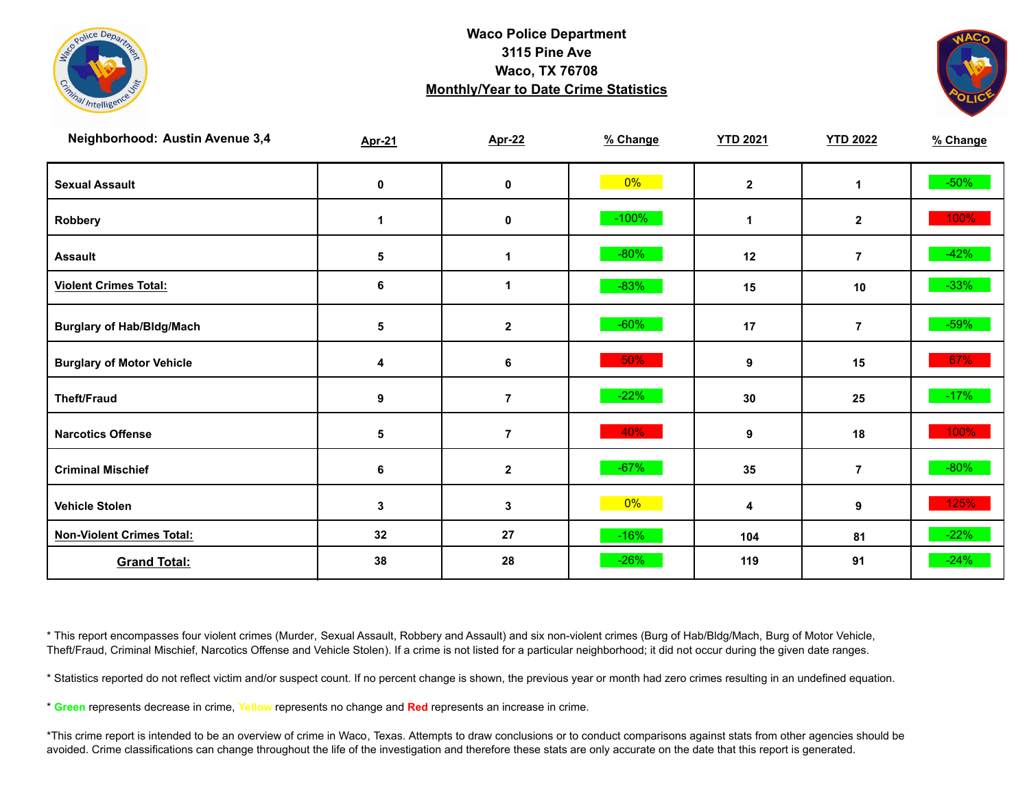



| <b>Neighborhood: Austin Avenue 3,4</b> | <b>Apr-21</b> | <b>Apr-22</b>  | % Change | <b>YTD 2021</b> | <b>YTD 2022</b> | % Change |
|----------------------------------------|---------------|----------------|----------|-----------------|-----------------|----------|
| <b>Sexual Assault</b>                  | 0             | $\pmb{0}$      | $0\%$    | $\mathbf 2$     | 1               | $-50\%$  |
| Robbery                                | 1             | 0              | $-100%$  | 1               | $\mathbf{2}$    | 100%     |
| <b>Assault</b>                         | 5             | 1              | $-80%$   | 12              | $\overline{7}$  | $-42%$   |
| <b>Violent Crimes Total:</b>           | 6             | 1              | $-83%$   | 15              | 10              | $-33%$   |
| <b>Burglary of Hab/Bldg/Mach</b>       | 5             | $\mathbf 2$    | $-60%$   | 17              | $\overline{7}$  | $-59\%$  |
| <b>Burglary of Motor Vehicle</b>       | 4             | 6              | 50%      | 9               | 15              | 67%      |
| <b>Theft/Fraud</b>                     | 9             | $\overline{7}$ | $-22%$   | 30              | 25              | $-17%$   |
| <b>Narcotics Offense</b>               | 5             | $\overline{7}$ | 40%      | 9               | 18              | 100%     |
| <b>Criminal Mischief</b>               | 6             | $\mathbf{2}$   | $-67%$   | 35              | $\overline{7}$  | $-80%$   |
| <b>Vehicle Stolen</b>                  | 3             | 3              | 0%       | 4               | 9               | 125%     |
| <b>Non-Violent Crimes Total:</b>       | 32            | 27             | $-16%$   | 104             | 81              | $-22%$   |
| <b>Grand Total:</b>                    | 38            | 28             | $-26%$   | 119             | 91              | $-24%$   |

\* This report encompasses four violent crimes (Murder, Sexual Assault, Robbery and Assault) and six non-violent crimes (Burg of Hab/Bldg/Mach, Burg of Motor Vehicle, Theft/Fraud, Criminal Mischief, Narcotics Offense and Vehicle Stolen). If a crime is not listed for a particular neighborhood; it did not occur during the given date ranges.

\* Statistics reported do not reflect victim and/or suspect count. If no percent change is shown, the previous year or month had zero crimes resulting in an undefined equation.

\* **Green** represents decrease in crime, **Yellow** represents no change and **Red** represents an increase in crime.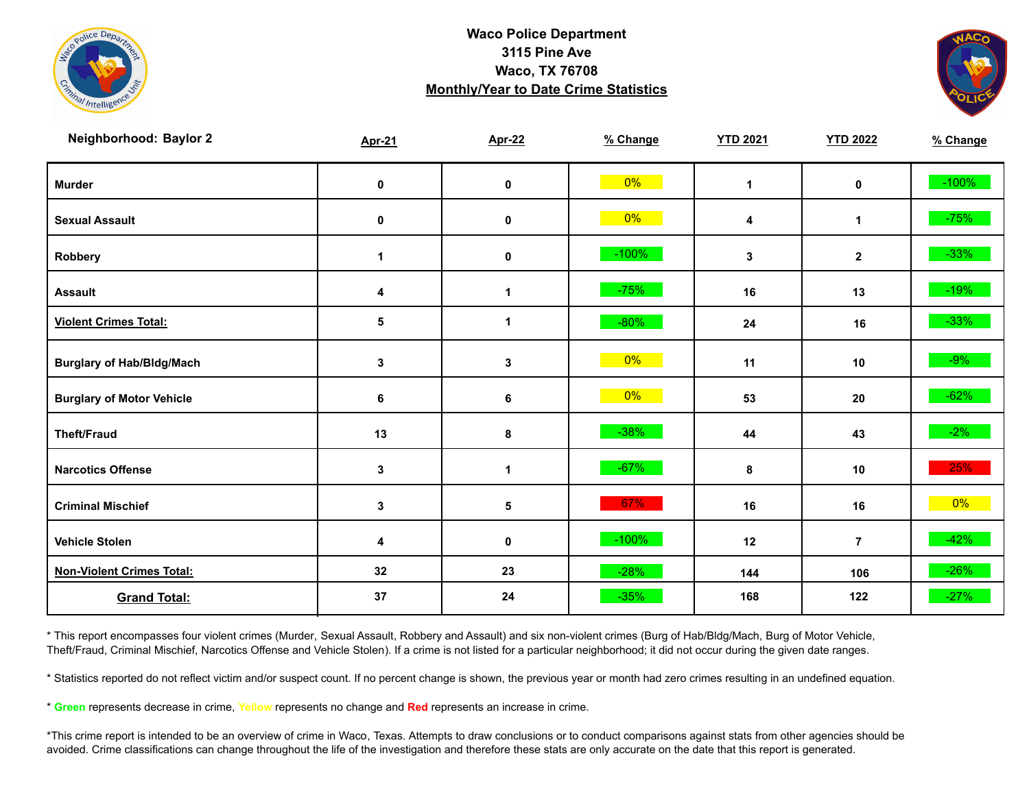



| Neighborhood: Baylor 2           | <b>Apr-21</b> | <b>Apr-22</b> | % Change | <b>YTD 2021</b> | <b>YTD 2022</b> | % Change |
|----------------------------------|---------------|---------------|----------|-----------------|-----------------|----------|
| <b>Murder</b>                    | $\mathbf 0$   | $\pmb{0}$     | $0\%$    | $\mathbf{1}$    | $\mathbf 0$     | $-100%$  |
| <b>Sexual Assault</b>            | 0             | 0             | $0\%$    | 4               | $\mathbf 1$     | $-75%$   |
| Robbery                          | 1             | 0             | $-100%$  | 3               | $\mathbf{2}$    | $-33%$   |
| <b>Assault</b>                   | 4             | $\mathbf{1}$  | $-75%$   | 16              | 13              | $-19%$   |
| <b>Violent Crimes Total:</b>     | 5             | 1             | $-80%$   | 24              | 16              | $-33%$   |
| <b>Burglary of Hab/Bldg/Mach</b> | $\mathbf{3}$  | $\mathbf 3$   | $0\%$    | 11              | 10              | $-9\%$   |
| <b>Burglary of Motor Vehicle</b> | 6             | 6             | $0\%$    | 53              | 20              | $-62%$   |
| <b>Theft/Fraud</b>               | 13            | 8             | $-38%$   | 44              | 43              | $-2\%$   |
| <b>Narcotics Offense</b>         | $\mathbf{3}$  | $\mathbf{1}$  | $-67%$   | 8               | 10              | 25%      |
| <b>Criminal Mischief</b>         | $\mathbf{3}$  | 5             | 67%      | 16              | 16              | $0\%$    |
| <b>Vehicle Stolen</b>            | 4             | $\pmb{0}$     | $-100%$  | 12              | $\overline{7}$  | $-42%$   |
| <b>Non-Violent Crimes Total:</b> | 32            | 23            | $-28%$   | 144             | 106             | $-26%$   |
| <b>Grand Total:</b>              | 37            | 24            | $-35%$   | 168             | 122             | $-27%$   |

\* This report encompasses four violent crimes (Murder, Sexual Assault, Robbery and Assault) and six non-violent crimes (Burg of Hab/Bldg/Mach, Burg of Motor Vehicle, Theft/Fraud, Criminal Mischief, Narcotics Offense and Vehicle Stolen). If a crime is not listed for a particular neighborhood; it did not occur during the given date ranges.

\* Statistics reported do not reflect victim and/or suspect count. If no percent change is shown, the previous year or month had zero crimes resulting in an undefined equation.

\* **Green** represents decrease in crime, **Yellow** represents no change and **Red** represents an increase in crime.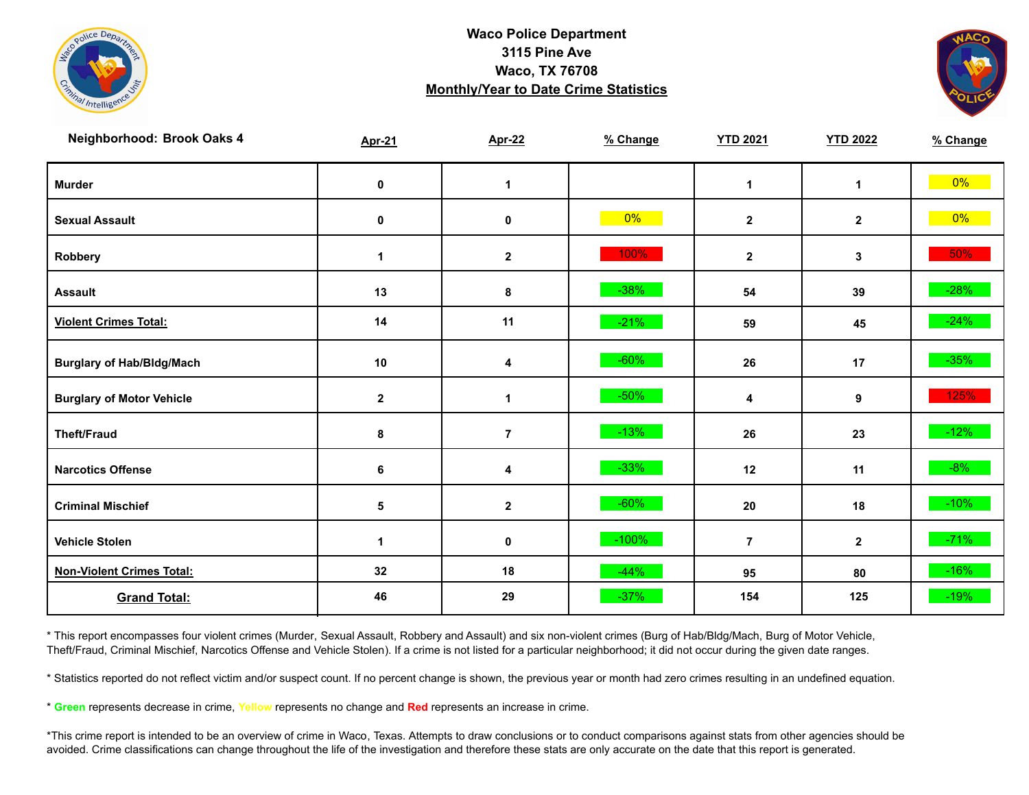



| Neighborhood: Brook Oaks 4       | <b>Apr-21</b> | <b>Apr-22</b>  | % Change | <b>YTD 2021</b> | <b>YTD 2022</b> | % Change |
|----------------------------------|---------------|----------------|----------|-----------------|-----------------|----------|
| <b>Murder</b>                    | $\pmb{0}$     | $\mathbf 1$    |          | $\mathbf 1$     | $\mathbf{1}$    | $0\%$    |
| <b>Sexual Assault</b>            | $\pmb{0}$     | $\pmb{0}$      | $0\%$    | $\mathbf{2}$    | $\mathbf{2}$    | $0\%$    |
| Robbery                          | $\mathbf 1$   | $\mathbf{2}$   | 100%     | $\mathbf{2}$    | 3               | 50%      |
| <b>Assault</b>                   | 13            | 8              | $-38%$   | 54              | 39              | $-28%$   |
| <b>Violent Crimes Total:</b>     | 14            | 11             | $-21%$   | 59              | 45              | $-24%$   |
| <b>Burglary of Hab/Bldg/Mach</b> | $10$          | 4              | $-60%$   | 26              | 17              | $-35%$   |
| <b>Burglary of Motor Vehicle</b> | $\mathbf 2$   | 1              | $-50%$   | 4               | 9               | 125%     |
| <b>Theft/Fraud</b>               | 8             | $\overline{7}$ | $-13%$   | 26              | 23              | $-12%$   |
| <b>Narcotics Offense</b>         | 6             | 4              | $-33%$   | 12              | 11              | $-8%$    |
| <b>Criminal Mischief</b>         | $\sqrt{5}$    | $\mathbf{2}$   | $-60%$   | 20              | 18              | $-10\%$  |
| <b>Vehicle Stolen</b>            | $\mathbf{1}$  | $\pmb{0}$      | $-100%$  | $\overline{7}$  | $\mathbf{2}$    | $-71%$   |
| <b>Non-Violent Crimes Total:</b> | 32            | 18             | $-44%$   | 95              | 80              | $-16%$   |
| <b>Grand Total:</b>              | 46            | 29             | $-37%$   | 154             | 125             | $-19%$   |

\* This report encompasses four violent crimes (Murder, Sexual Assault, Robbery and Assault) and six non-violent crimes (Burg of Hab/Bldg/Mach, Burg of Motor Vehicle, Theft/Fraud, Criminal Mischief, Narcotics Offense and Vehicle Stolen). If a crime is not listed for a particular neighborhood; it did not occur during the given date ranges.

\* Statistics reported do not reflect victim and/or suspect count. If no percent change is shown, the previous year or month had zero crimes resulting in an undefined equation.

\* **Green** represents decrease in crime, **Yellow** represents no change and **Red** represents an increase in crime.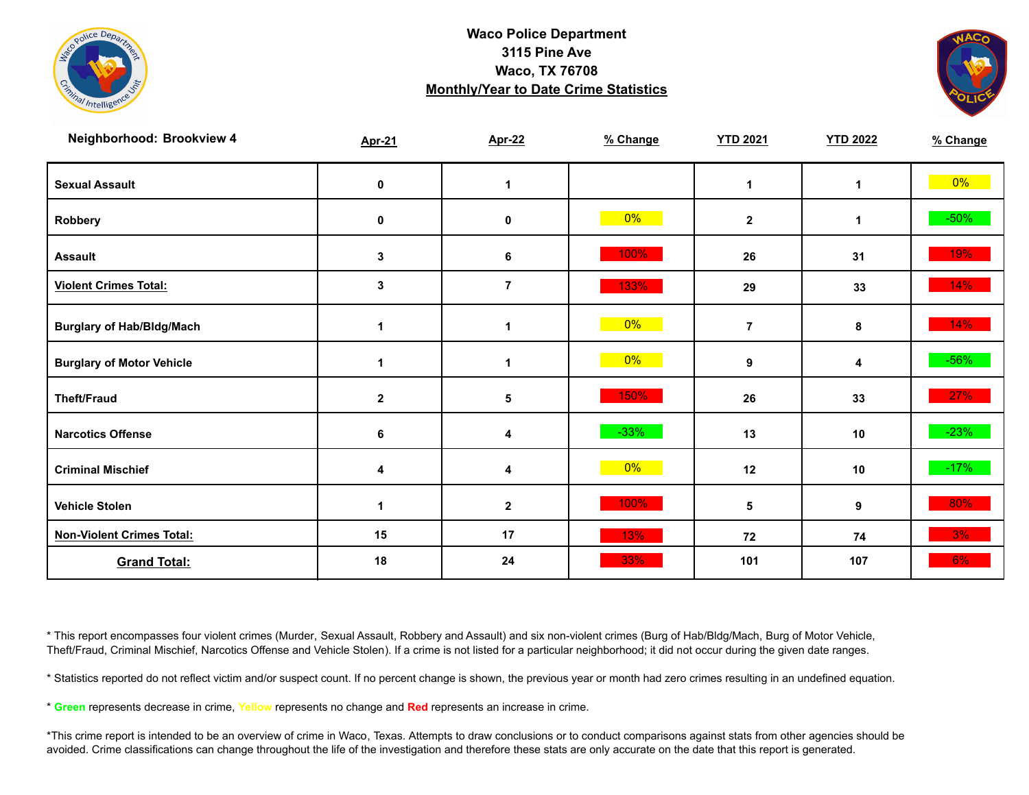



| Neighborhood: Brookview 4        | <b>Apr-21</b> | <b>Apr-22</b>  | % Change | <b>YTD 2021</b> | <b>YTD 2022</b> | % Change |
|----------------------------------|---------------|----------------|----------|-----------------|-----------------|----------|
| <b>Sexual Assault</b>            | 0             | $\mathbf 1$    |          | $\mathbf 1$     | 1               | $0\%$    |
| Robbery                          | 0             | 0              | $0\%$    | $\mathbf{2}$    | 1               | $-50\%$  |
| <b>Assault</b>                   | 3             | 6              | 100%     | 26              | 31              | 19%      |
| <b>Violent Crimes Total:</b>     | $\mathbf 3$   | $\overline{7}$ | 133%     | 29              | 33              | 14%      |
| <b>Burglary of Hab/Bldg/Mach</b> | $\mathbf{1}$  | $\mathbf 1$    | $0\%$    | $\overline{7}$  | 8               | 14%      |
| <b>Burglary of Motor Vehicle</b> | 1             | $\mathbf 1$    | $0\%$    | 9               | 4               | $-56%$   |
| <b>Theft/Fraud</b>               | $\mathbf{2}$  | 5              | 150%     | 26              | 33              | 27%      |
| <b>Narcotics Offense</b>         | 6             | 4              | $-33%$   | 13              | 10              | $-23%$   |
| <b>Criminal Mischief</b>         | 4             | 4              | $0\%$    | 12              | 10              | $-17%$   |
| <b>Vehicle Stolen</b>            |               | $\mathbf 2$    | 100%     | 5               | 9               | 80%      |
| <b>Non-Violent Crimes Total:</b> | 15            | 17             | 13%      | 72              | 74              | 3%       |
| <b>Grand Total:</b>              | 18            | 24             | 33%      | 101             | 107             | $6\%$    |

\* This report encompasses four violent crimes (Murder, Sexual Assault, Robbery and Assault) and six non-violent crimes (Burg of Hab/Bldg/Mach, Burg of Motor Vehicle, Theft/Fraud, Criminal Mischief, Narcotics Offense and Vehicle Stolen). If a crime is not listed for a particular neighborhood; it did not occur during the given date ranges.

\* Statistics reported do not reflect victim and/or suspect count. If no percent change is shown, the previous year or month had zero crimes resulting in an undefined equation.

\* **Green** represents decrease in crime, **Yellow** represents no change and **Red** represents an increase in crime.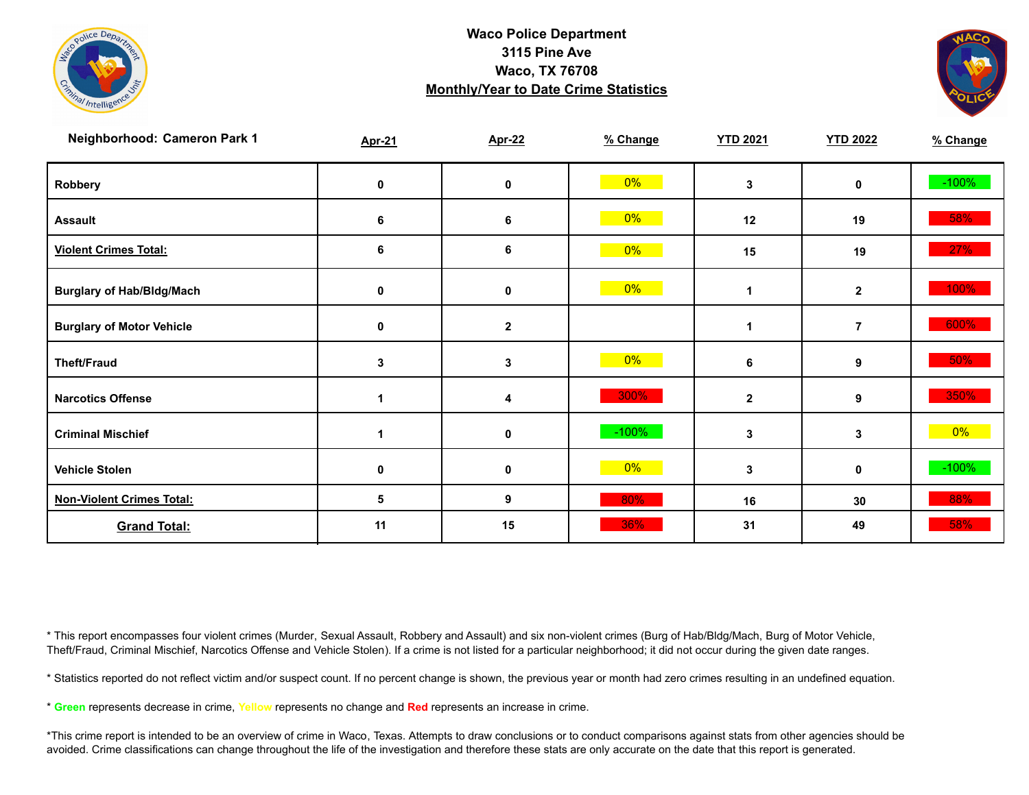



| Neighborhood: Cameron Park 1     | <b>Apr-21</b> | <b>Apr-22</b> | % Change | <b>YTD 2021</b> | <b>YTD 2022</b> | % Change |
|----------------------------------|---------------|---------------|----------|-----------------|-----------------|----------|
| Robbery                          | 0             | 0             | $0\%$    | 3               | 0               | $-100%$  |
| <b>Assault</b>                   | 6             | 6             | 0%       | 12              | 19              | 58%      |
| <b>Violent Crimes Total:</b>     | 6             | 6             | $0\%$    | 15              | 19              | 27%      |
| <b>Burglary of Hab/Bldg/Mach</b> | 0             | 0             | $0\%$    | 1               | $\mathbf{2}$    | 100%     |
| <b>Burglary of Motor Vehicle</b> | 0             | $\mathbf 2$   |          | 1               | $\overline{7}$  | 600%     |
| <b>Theft/Fraud</b>               | 3             | 3             | 0%       | 6               | 9               | 50%      |
| <b>Narcotics Offense</b>         |               | 4             | 300%     | $\mathbf 2$     | 9               | 350%     |
| <b>Criminal Mischief</b>         | 1             | 0             | $-100%$  | 3               | 3               | $0\%$    |
| <b>Vehicle Stolen</b>            | 0             | 0             | $0\%$    | 3               | 0               | $-100%$  |
| <b>Non-Violent Crimes Total:</b> | 5             | 9             | 80%      | 16              | 30              | 88%      |
| <b>Grand Total:</b>              | 11            | 15            | 36%      | 31              | 49              | 58%      |

\* This report encompasses four violent crimes (Murder, Sexual Assault, Robbery and Assault) and six non-violent crimes (Burg of Hab/Bldg/Mach, Burg of Motor Vehicle, Theft/Fraud, Criminal Mischief, Narcotics Offense and Vehicle Stolen). If a crime is not listed for a particular neighborhood; it did not occur during the given date ranges.

\* Statistics reported do not reflect victim and/or suspect count. If no percent change is shown, the previous year or month had zero crimes resulting in an undefined equation.

\* **Green** represents decrease in crime, **Yellow** represents no change and **Red** represents an increase in crime.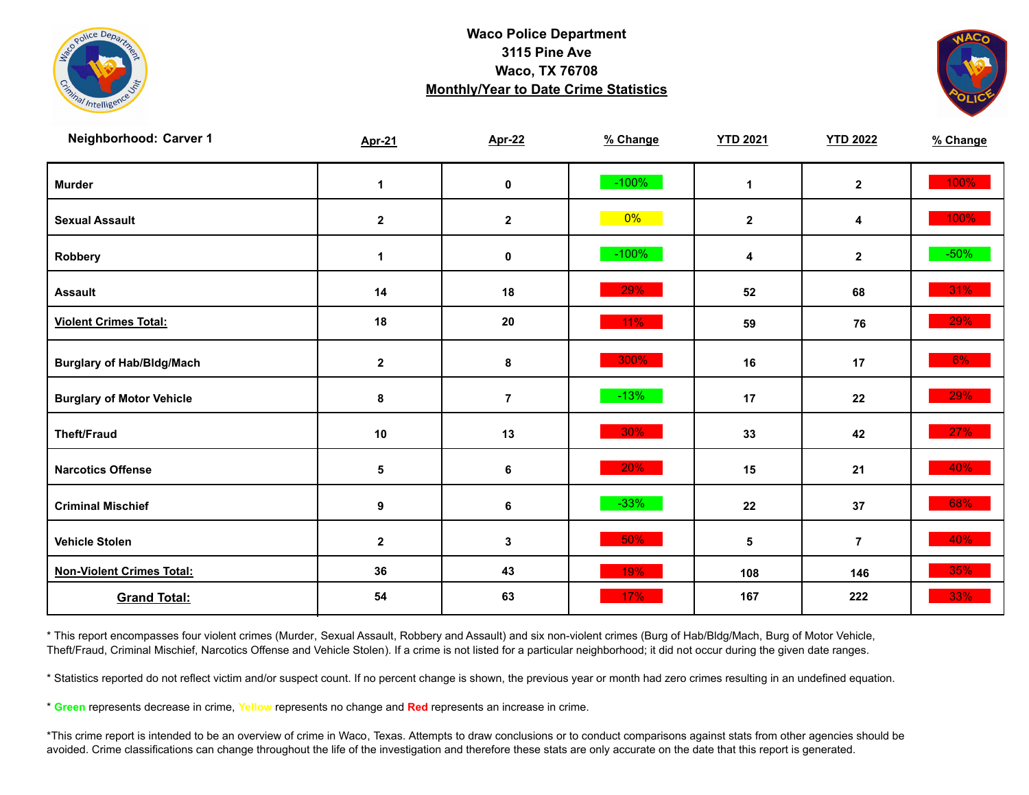



| Neighborhood: Carver 1           | <b>Apr-21</b>    | <b>Apr-22</b>    | % Change | <b>YTD 2021</b> | <b>YTD 2022</b> | % Change |
|----------------------------------|------------------|------------------|----------|-----------------|-----------------|----------|
| <b>Murder</b>                    | $\mathbf 1$      | $\mathbf 0$      | $-100%$  | $\mathbf{1}$    | $\mathbf{2}$    | 100%     |
| <b>Sexual Assault</b>            | $\boldsymbol{2}$ | $\boldsymbol{2}$ | $0\%$    | $\mathbf{2}$    | 4               | 100%     |
| Robbery                          | $\mathbf 1$      | 0                | $-100%$  | 4               | $\mathbf{2}$    | $-50\%$  |
| <b>Assault</b>                   | 14               | 18               | 29%      | 52              | 68              | 31%      |
| <b>Violent Crimes Total:</b>     | 18               | 20               | 11%      | 59              | 76              | 29%      |
| <b>Burglary of Hab/Bldg/Mach</b> | $\mathbf{2}$     | 8                | 300%     | 16              | 17              | $6\%$    |
| <b>Burglary of Motor Vehicle</b> | 8                | $\overline{7}$   | $-13%$   | 17              | 22              | 29%      |
| <b>Theft/Fraud</b>               | $10$             | 13               | 30%      | 33              | 42              | 27%      |
| <b>Narcotics Offense</b>         | 5                | 6                | 20%      | 15              | 21              | 40%      |
| <b>Criminal Mischief</b>         | $\boldsymbol{9}$ | 6                | $-33%$   | 22              | 37              | 68%      |
| <b>Vehicle Stolen</b>            | $\boldsymbol{2}$ | 3                | 50%      | 5               | $\overline{7}$  | 40%      |
| <b>Non-Violent Crimes Total:</b> | 36               | 43               | 19%      | 108             | 146             | 35%      |
| <b>Grand Total:</b>              | 54               | 63               | 17%      | 167             | 222             | 33%      |

\* This report encompasses four violent crimes (Murder, Sexual Assault, Robbery and Assault) and six non-violent crimes (Burg of Hab/Bldg/Mach, Burg of Motor Vehicle, Theft/Fraud, Criminal Mischief, Narcotics Offense and Vehicle Stolen). If a crime is not listed for a particular neighborhood; it did not occur during the given date ranges.

\* Statistics reported do not reflect victim and/or suspect count. If no percent change is shown, the previous year or month had zero crimes resulting in an undefined equation.

\* **Green** represents decrease in crime, **Yellow** represents no change and **Red** represents an increase in crime.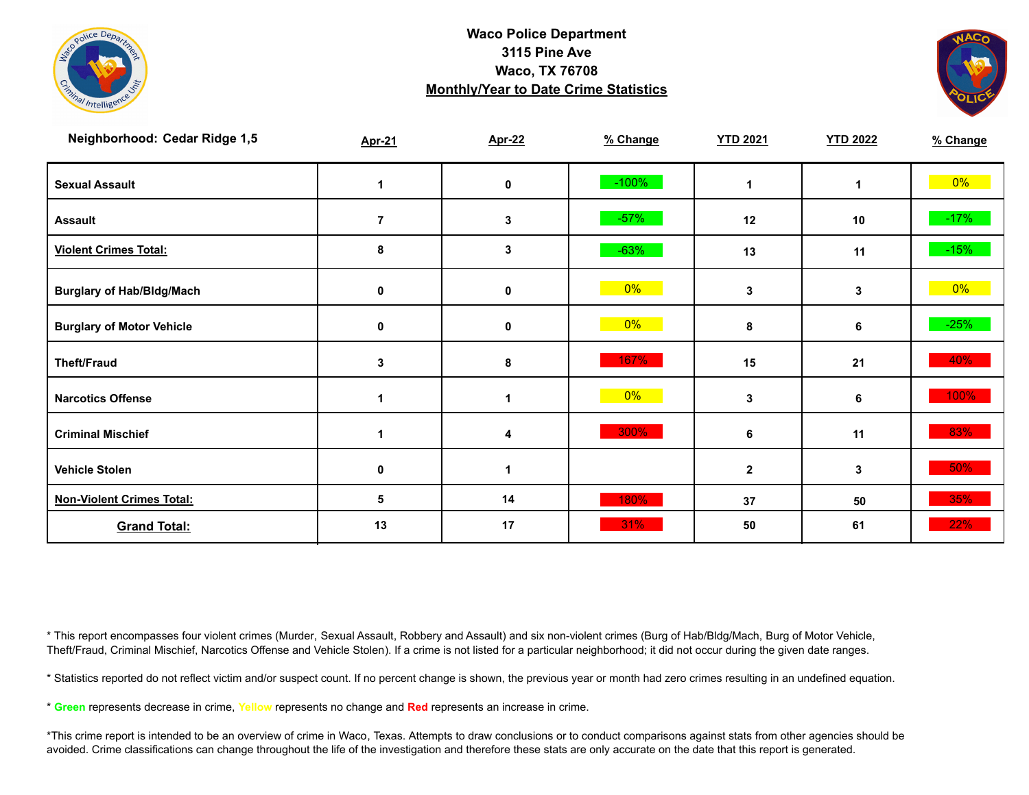



| Neighborhood: Cedar Ridge 1,5    | <b>Apr-21</b> | <b>Apr-22</b> | % Change | <b>YTD 2021</b> | <b>YTD 2022</b> | % Change |
|----------------------------------|---------------|---------------|----------|-----------------|-----------------|----------|
| <b>Sexual Assault</b>            |               | 0             | $-100%$  | 1               | 1               | $0\%$    |
| <b>Assault</b>                   | 7             | 3             | $-57%$   | 12              | 10              | $-17%$   |
| <b>Violent Crimes Total:</b>     | 8             | 3             | $-63%$   | 13              | 11              | $-15%$   |
| <b>Burglary of Hab/Bldg/Mach</b> | 0             | 0             | $0\%$    | 3               | 3               | 0%       |
| <b>Burglary of Motor Vehicle</b> | 0             | 0             | $0\%$    | 8               | 6               | $-25%$   |
| <b>Theft/Fraud</b>               | 3             | 8             | 167%     | 15              | 21              | 40%      |
| <b>Narcotics Offense</b>         |               |               | 0%       | 3               | 6               | 100%     |
| <b>Criminal Mischief</b>         |               | 4             | 300%     | 6               | 11              | 83%      |
| <b>Vehicle Stolen</b>            | 0             | 1             |          | $\mathbf 2$     | 3               | $50\%$   |
| <b>Non-Violent Crimes Total:</b> | 5             | 14            | 180%     | 37              | 50              | 35%      |
| <b>Grand Total:</b>              | 13            | 17            | 31%      | 50              | 61              | 22%      |

\* This report encompasses four violent crimes (Murder, Sexual Assault, Robbery and Assault) and six non-violent crimes (Burg of Hab/Bldg/Mach, Burg of Motor Vehicle, Theft/Fraud, Criminal Mischief, Narcotics Offense and Vehicle Stolen). If a crime is not listed for a particular neighborhood; it did not occur during the given date ranges.

\* Statistics reported do not reflect victim and/or suspect count. If no percent change is shown, the previous year or month had zero crimes resulting in an undefined equation.

\* **Green** represents decrease in crime, **Yellow** represents no change and **Red** represents an increase in crime.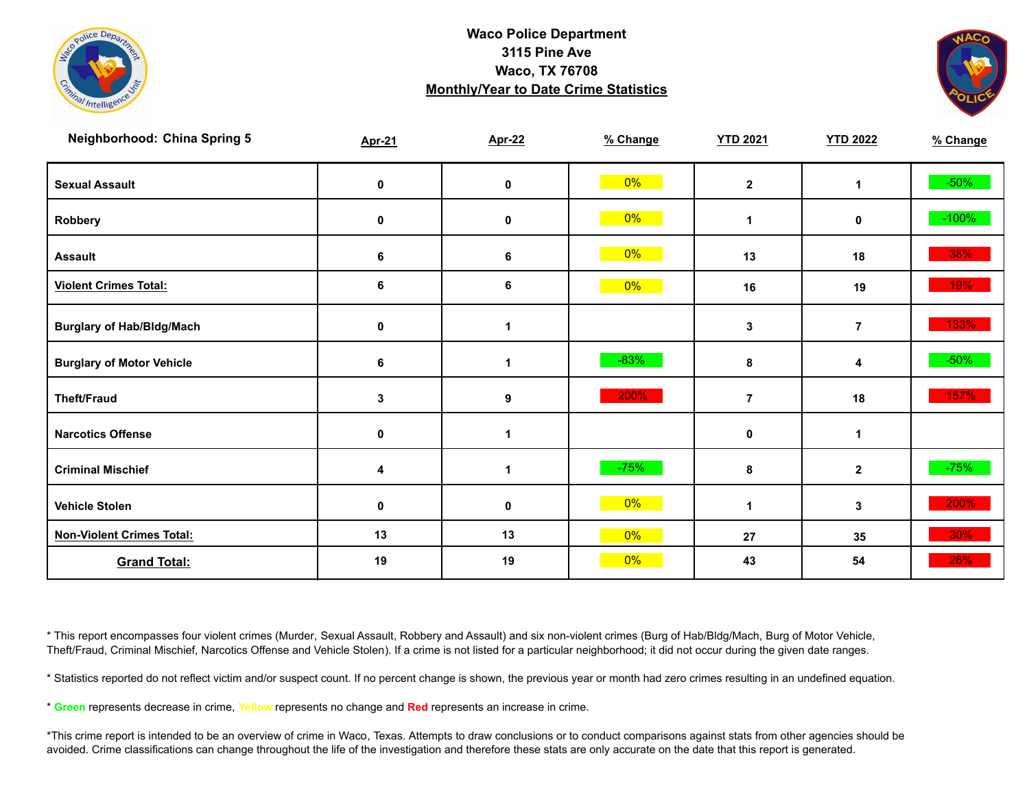



| <b>Neighborhood: China Spring 5</b> | <b>Apr-21</b> | <b>Apr-22</b>        | % Change | <b>YTD 2021</b> | <b>YTD 2022</b> | % Change |
|-------------------------------------|---------------|----------------------|----------|-----------------|-----------------|----------|
| <b>Sexual Assault</b>               | 0             | 0                    | $0\%$    | $\overline{2}$  | 1               | $-50%$   |
| Robbery                             | 0             | $\pmb{0}$            | 0%       | 1               | 0               | $-100%$  |
| <b>Assault</b>                      | 6             | $6\phantom{1}6$      | $0\%$    | 13              | 18              | 38%      |
| <b>Violent Crimes Total:</b>        | 6             | $\bf 6$              | 0%       | 16              | 19              | 19%      |
| <b>Burglary of Hab/Bldg/Mach</b>    | 0             | 1                    |          | 3               | $\overline{7}$  | 133%     |
| <b>Burglary of Motor Vehicle</b>    | 6             | $\blacktriangleleft$ | $-83%$   | $\pmb{8}$       | 4               | $-50\%$  |
| <b>Theft/Fraud</b>                  | 3             | 9                    | 200%     | $\overline{7}$  | 18              | 157%     |
| <b>Narcotics Offense</b>            | $\mathbf 0$   | 1                    |          | $\mathbf 0$     | 1               |          |
| <b>Criminal Mischief</b>            | 4             | 1                    | $-75%$   | 8               | $\mathbf{2}$    | $-75%$   |
| <b>Vehicle Stolen</b>               | 0             | $\mathbf 0$          | 0%       | 1               | $\mathbf{3}$    | 200%     |
| <b>Non-Violent Crimes Total:</b>    | 13            | 13                   | 0%       | 27              | 35              | 30%      |
| <b>Grand Total:</b>                 | 19            | 19                   | 0%       | 43              | 54              | 26%      |

\* This report encompasses four violent crimes (Murder, Sexual Assault, Robbery and Assault) and six non-violent crimes (Burg of Hab/Bldg/Mach, Burg of Motor Vehicle, Theft/Fraud, Criminal Mischief, Narcotics Offense and Vehicle Stolen). If a crime is not listed for a particular neighborhood; it did not occur during the given date ranges.

\* Statistics reported do not reflect victim and/or suspect count. If no percent change is shown, the previous year or month had zero crimes resulting in an undefined equation.

\* **Green** represents decrease in crime, **Yellow** represents no change and **Red** represents an increase in crime.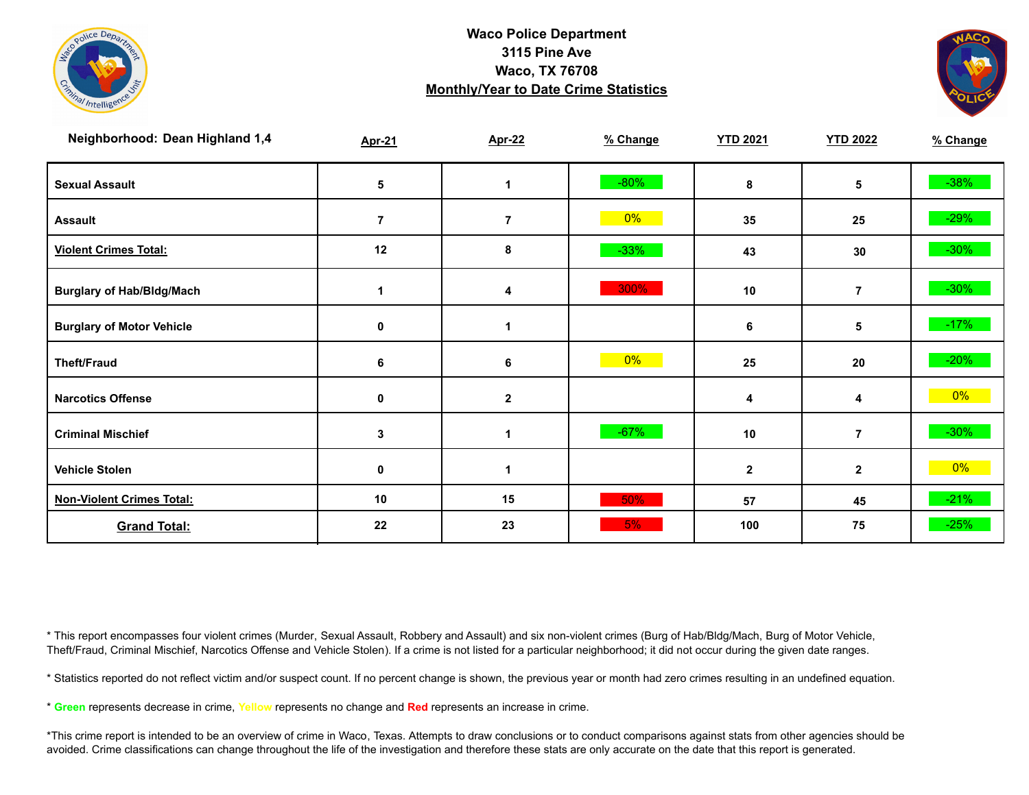



| Neighborhood: Dean Highland 1,4  | <b>Apr-21</b>  | <b>Apr-22</b>  | % Change | <b>YTD 2021</b> | <b>YTD 2022</b> | % Change |
|----------------------------------|----------------|----------------|----------|-----------------|-----------------|----------|
| <b>Sexual Assault</b>            | 5              |                | $-80%$   | 8               | 5               | $-38%$   |
| <b>Assault</b>                   | $\overline{7}$ | $\overline{7}$ | $0\%$    | 35              | 25              | $-29%$   |
| <b>Violent Crimes Total:</b>     | 12             | 8              | $-33%$   | 43              | 30              | $-30\%$  |
| <b>Burglary of Hab/Bldg/Mach</b> |                | 4              | 300%     | 10              | $\overline{7}$  | $-30\%$  |
| <b>Burglary of Motor Vehicle</b> | 0              |                |          | 6               | 5               | $-17%$   |
| <b>Theft/Fraud</b>               | 6              | 6              | 0%       | 25              | 20              | $-20%$   |
| <b>Narcotics Offense</b>         | 0              | $\mathbf{2}$   |          | 4               | 4               | $0\%$    |
| <b>Criminal Mischief</b>         | 3              | 1              | $-67%$   | 10              | $\overline{7}$  | $-30\%$  |
| <b>Vehicle Stolen</b>            | 0              | 1              |          | $\mathbf{2}$    | $\mathbf{2}$    | $0\%$    |
| <b>Non-Violent Crimes Total:</b> | 10             | 15             | 50%      | 57              | 45              | $-21%$   |
| <b>Grand Total:</b>              | 22             | 23             | 5%       | 100             | 75              | $-25%$   |

\* This report encompasses four violent crimes (Murder, Sexual Assault, Robbery and Assault) and six non-violent crimes (Burg of Hab/Bldg/Mach, Burg of Motor Vehicle, Theft/Fraud, Criminal Mischief, Narcotics Offense and Vehicle Stolen). If a crime is not listed for a particular neighborhood; it did not occur during the given date ranges.

\* Statistics reported do not reflect victim and/or suspect count. If no percent change is shown, the previous year or month had zero crimes resulting in an undefined equation.

\* **Green** represents decrease in crime, **Yellow** represents no change and **Red** represents an increase in crime.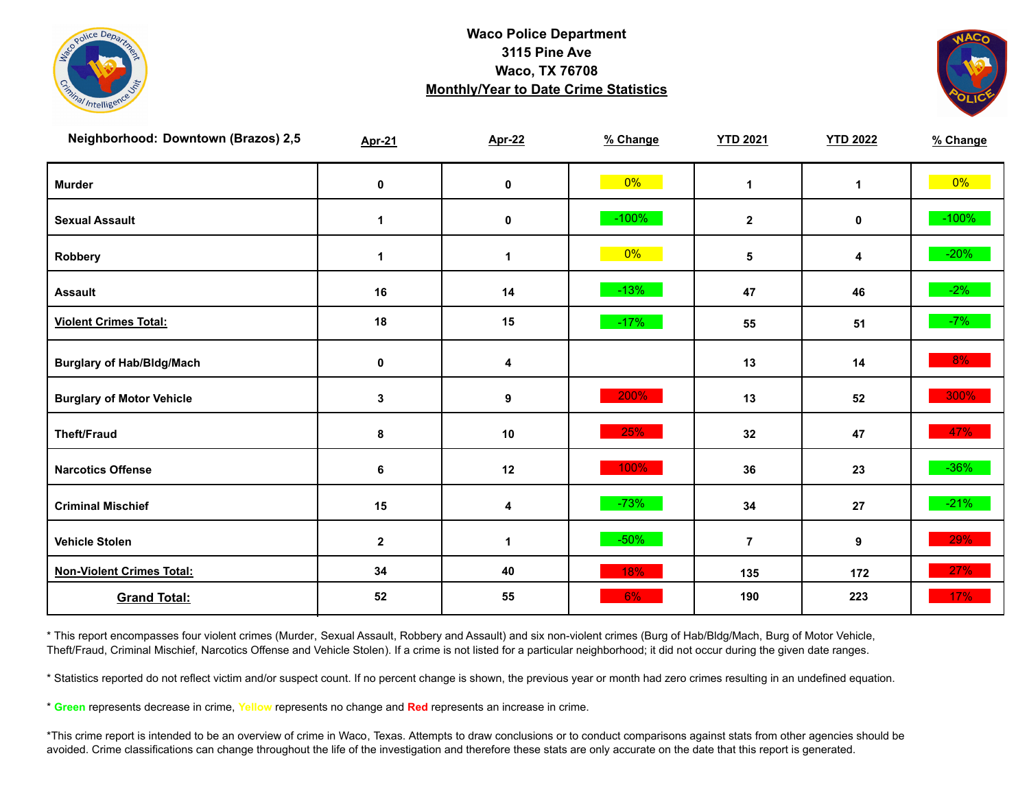



| Neighborhood: Downtown (Brazos) 2,5 | <b>Apr-21</b> | <b>Apr-22</b>           | % Change | <b>YTD 2021</b> | <b>YTD 2022</b> | % Change |
|-------------------------------------|---------------|-------------------------|----------|-----------------|-----------------|----------|
| <b>Murder</b>                       | $\pmb{0}$     | $\mathbf 0$             | $0\%$    | $\mathbf{1}$    | $\mathbf{1}$    | $0\%$    |
| <b>Sexual Assault</b>               | $\mathbf{1}$  | $\pmb{0}$               | $-100%$  | $\mathbf{2}$    | 0               | $-100%$  |
| Robbery                             | 1             | 1                       | $0\%$    | 5               | 4               | $-20%$   |
| <b>Assault</b>                      | 16            | 14                      | $-13%$   | 47              | 46              | $-2%$    |
| <b>Violent Crimes Total:</b>        | 18            | 15                      | $-17%$   | 55              | 51              | $-7%$    |
| <b>Burglary of Hab/Bldg/Mach</b>    | $\pmb{0}$     | $\overline{\mathbf{4}}$ |          | 13              | 14              | 8%       |
| <b>Burglary of Motor Vehicle</b>    | 3             | 9                       | 200%     | 13              | 52              | 300%     |
| <b>Theft/Fraud</b>                  | 8             | 10                      | 25%      | 32              | 47              | 47%      |
| <b>Narcotics Offense</b>            | 6             | 12                      | 100%     | 36              | 23              | $-36\%$  |
| <b>Criminal Mischief</b>            | 15            | 4                       | $-73%$   | 34              | 27              | $-21%$   |
| <b>Vehicle Stolen</b>               | $\mathbf{2}$  | $\mathbf{1}$            | $-50%$   | $\overline{7}$  | 9               | 29%      |
| <b>Non-Violent Crimes Total:</b>    | 34            | 40                      | 18%      | 135             | 172             | 27%      |
| <b>Grand Total:</b>                 | 52            | 55                      | 6%       | 190             | 223             | 17%      |

\* This report encompasses four violent crimes (Murder, Sexual Assault, Robbery and Assault) and six non-violent crimes (Burg of Hab/Bldg/Mach, Burg of Motor Vehicle, Theft/Fraud, Criminal Mischief, Narcotics Offense and Vehicle Stolen). If a crime is not listed for a particular neighborhood; it did not occur during the given date ranges.

\* Statistics reported do not reflect victim and/or suspect count. If no percent change is shown, the previous year or month had zero crimes resulting in an undefined equation.

\* **Green** represents decrease in crime, **Yellow** represents no change and **Red** represents an increase in crime.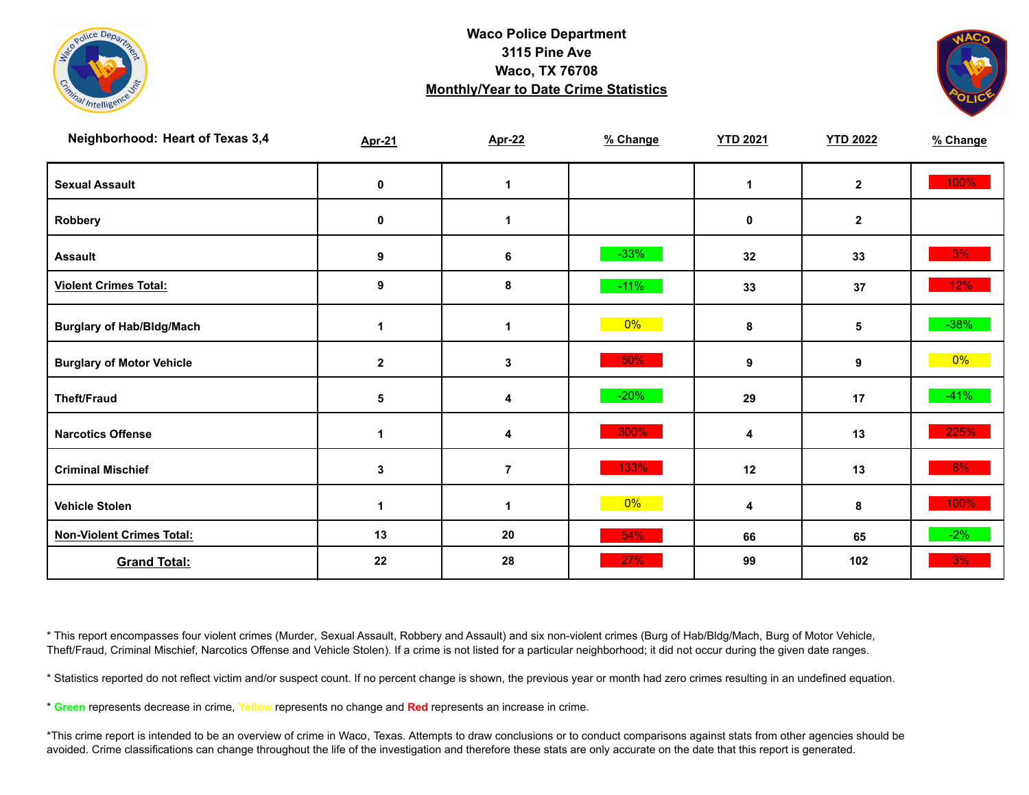



| Neighborhood: Heart of Texas 3,4 | <b>Apr-21</b> | <b>Apr-22</b>  | % Change | <b>YTD 2021</b> | <b>YTD 2022</b> | % Change |
|----------------------------------|---------------|----------------|----------|-----------------|-----------------|----------|
| <b>Sexual Assault</b>            | 0             | $\mathbf{1}$   |          | 1               | $\mathbf{2}$    | 100%     |
| Robbery                          | $\pmb{0}$     | 1              |          | 0               | $\mathbf{2}$    |          |
| <b>Assault</b>                   | 9             | $\bf 6$        | $-33%$   | 32              | 33              | 3%       |
| <b>Violent Crimes Total:</b>     | 9             | 8              | $-11%$   | 33              | 37              | 12%      |
| <b>Burglary of Hab/Bldg/Mach</b> | 1             | 1              | $0\%$    | 8               | 5               | $-38%$   |
| <b>Burglary of Motor Vehicle</b> | $\mathbf{2}$  | 3              | 50%      | 9               | 9               | $0\%$    |
| <b>Theft/Fraud</b>               | 5             | 4              | $-20%$   | 29              | 17              | $-41%$   |
| <b>Narcotics Offense</b>         | 1             | 4              | 300%     | 4               | 13              | 225%     |
| <b>Criminal Mischief</b>         | 3             | $\overline{7}$ | 133%     | 12              | 13              | 8%       |
| <b>Vehicle Stolen</b>            | 1             | 1              | 0%       | 4               | 8               | 100%     |
| <b>Non-Violent Crimes Total:</b> | 13            | ${\bf 20}$     | 54%      | 66              | 65              | $-2%$    |
| <b>Grand Total:</b>              | 22            | 28             | 27%      | 99              | 102             | 3%       |

\* This report encompasses four violent crimes (Murder, Sexual Assault, Robbery and Assault) and six non-violent crimes (Burg of Hab/Bldg/Mach, Burg of Motor Vehicle, Theft/Fraud, Criminal Mischief, Narcotics Offense and Vehicle Stolen). If a crime is not listed for a particular neighborhood; it did not occur during the given date ranges.

\* Statistics reported do not reflect victim and/or suspect count. If no percent change is shown, the previous year or month had zero crimes resulting in an undefined equation.

\* **Green** represents decrease in crime, **Yellow** represents no change and **Red** represents an increase in crime.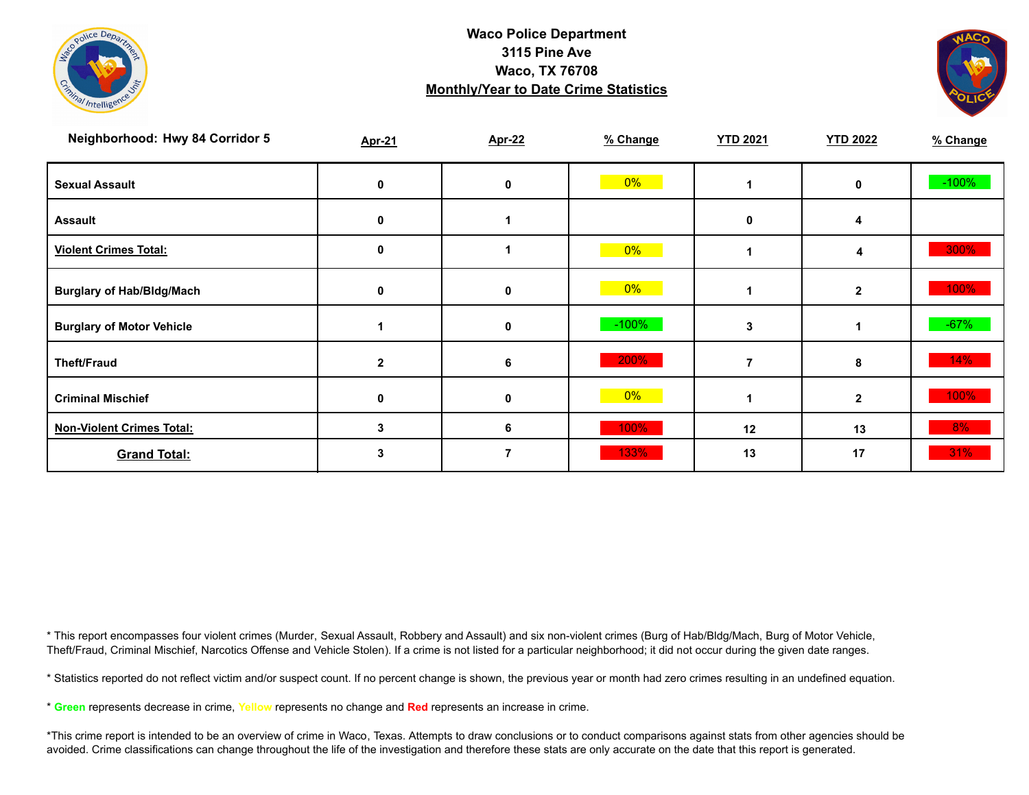



| Neighborhood: Hwy 84 Corridor 5  | <b>Apr-21</b> | <b>Apr-22</b> | % Change | <b>YTD 2021</b> | <b>YTD 2022</b> | % Change |
|----------------------------------|---------------|---------------|----------|-----------------|-----------------|----------|
| <b>Sexual Assault</b>            | 0             | 0             | $0\%$    |                 | 0               | $-100%$  |
| <b>Assault</b>                   | 0             |               |          | 0               |                 |          |
| <b>Violent Crimes Total:</b>     | 0             |               | $0\%$    |                 | 4               | 300%     |
| <b>Burglary of Hab/Bldg/Mach</b> | 0             | 0             | $0\%$    |                 | $\mathbf{2}$    | 100%     |
| <b>Burglary of Motor Vehicle</b> |               | 0             | $-100%$  | 3               |                 | $-67%$   |
| <b>Theft/Fraud</b>               | $\mathbf{2}$  | 6             | 200%     |                 | 8               | 14%      |
| <b>Criminal Mischief</b>         | 0             | 0             | $0\%$    |                 | $\overline{2}$  | 100%     |
| <b>Non-Violent Crimes Total:</b> | 3             | 6             | 100%     | 12              | 13              | 8%       |
| <b>Grand Total:</b>              |               |               | 133%     | 13              | 17              | 31%      |

\* This report encompasses four violent crimes (Murder, Sexual Assault, Robbery and Assault) and six non-violent crimes (Burg of Hab/Bldg/Mach, Burg of Motor Vehicle, Theft/Fraud, Criminal Mischief, Narcotics Offense and Vehicle Stolen). If a crime is not listed for a particular neighborhood; it did not occur during the given date ranges.

\* Statistics reported do not reflect victim and/or suspect count. If no percent change is shown, the previous year or month had zero crimes resulting in an undefined equation.

\* **Green** represents decrease in crime, **Yellow** represents no change and **Red** represents an increase in crime.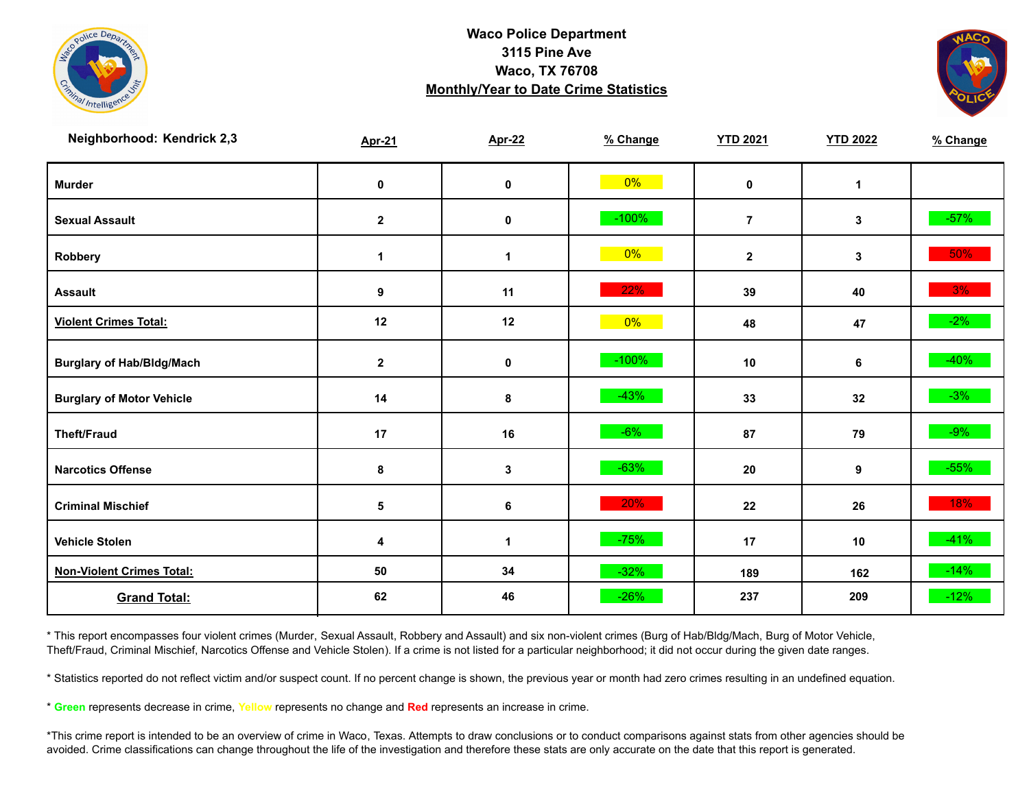



| Neighborhood: Kendrick 2,3       | <b>Apr-21</b> | <b>Apr-22</b> | % Change | <b>YTD 2021</b> | <b>YTD 2022</b> | % Change |
|----------------------------------|---------------|---------------|----------|-----------------|-----------------|----------|
| <b>Murder</b>                    | $\pmb{0}$     | $\pmb{0}$     | $0\%$    | $\mathbf 0$     | $\mathbf{1}$    |          |
| <b>Sexual Assault</b>            | $\mathbf{2}$  | 0             | $-100%$  | $\overline{7}$  | 3               | $-57\%$  |
| Robbery                          | 1             | $\mathbf 1$   | $0\%$    | $\mathbf{2}$    | 3               | 50%      |
| <b>Assault</b>                   | 9             | 11            | 22%      | 39              | 40              | 3%       |
| <b>Violent Crimes Total:</b>     | 12            | 12            | $0\%$    | 48              | 47              | $-2\%$   |
| <b>Burglary of Hab/Bldg/Mach</b> | $\mathbf{2}$  | $\pmb{0}$     | $-100%$  | 10              | 6               | $-40%$   |
| <b>Burglary of Motor Vehicle</b> | 14            | 8             | $-43%$   | 33              | 32              | $-3%$    |
| <b>Theft/Fraud</b>               | 17            | 16            | $-6%$    | 87              | 79              | $-9%$    |
| <b>Narcotics Offense</b>         | 8             | 3             | $-63%$   | 20              | 9               | $-55%$   |
| <b>Criminal Mischief</b>         | 5             | 6             | 20%      | 22              | 26              | 18%      |
| <b>Vehicle Stolen</b>            | 4             | 1             | $-75%$   | 17              | 10              | $-41%$   |
| <b>Non-Violent Crimes Total:</b> | 50            | 34            | $-32%$   | 189             | 162             | $-14%$   |
| <b>Grand Total:</b>              | 62            | 46            | $-26%$   | 237             | 209             | $-12%$   |

\* This report encompasses four violent crimes (Murder, Sexual Assault, Robbery and Assault) and six non-violent crimes (Burg of Hab/Bldg/Mach, Burg of Motor Vehicle, Theft/Fraud, Criminal Mischief, Narcotics Offense and Vehicle Stolen). If a crime is not listed for a particular neighborhood; it did not occur during the given date ranges.

\* Statistics reported do not reflect victim and/or suspect count. If no percent change is shown, the previous year or month had zero crimes resulting in an undefined equation.

\* **Green** represents decrease in crime, **Yellow** represents no change and **Red** represents an increase in crime.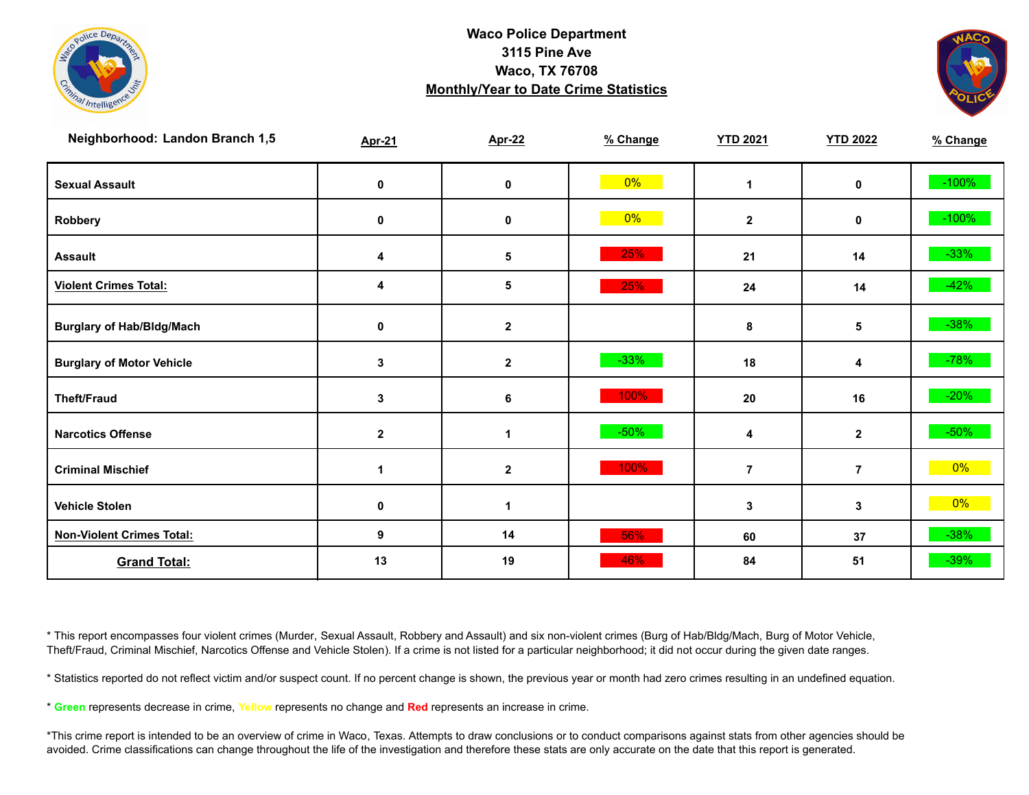



| Neighborhood: Landon Branch 1,5  | <b>Apr-21</b> | <b>Apr-22</b> | % Change | <b>YTD 2021</b> | <b>YTD 2022</b> | % Change |
|----------------------------------|---------------|---------------|----------|-----------------|-----------------|----------|
| <b>Sexual Assault</b>            | 0             | 0             | $0\%$    | $\mathbf{1}$    | 0               | $-100%$  |
| Robbery                          | 0             | $\pmb{0}$     | 0%       | $\mathbf{2}$    | 0               | $-100%$  |
| <b>Assault</b>                   | 4             | 5             | 25%      | 21              | 14              | $-33%$   |
| <b>Violent Crimes Total:</b>     | 4             | 5             | 25%      | 24              | 14              | $-42%$   |
| <b>Burglary of Hab/Bldg/Mach</b> | 0             | $\mathbf{2}$  |          | 8               | 5               | $-38%$   |
| <b>Burglary of Motor Vehicle</b> | 3             | $\mathbf{2}$  | $-33%$   | 18              | 4               | $-78%$   |
| <b>Theft/Fraud</b>               | 3             | 6             | 100%     | 20              | 16              | $-20%$   |
| <b>Narcotics Offense</b>         | $\mathbf{2}$  | 1             | $-50%$   | 4               | $\mathbf{2}$    | $-50\%$  |
| <b>Criminal Mischief</b>         |               | $\mathbf 2$   | 100%     | $\overline{7}$  | $\overline{7}$  | $0\%$    |
| <b>Vehicle Stolen</b>            | 0             | 1             |          | 3               | 3               | $0\%$    |
| <b>Non-Violent Crimes Total:</b> | 9             | 14            | 56%      | 60              | 37              | $-38%$   |
| <b>Grand Total:</b>              | 13            | 19            | 46%      | 84              | 51              | $-39%$   |

\* This report encompasses four violent crimes (Murder, Sexual Assault, Robbery and Assault) and six non-violent crimes (Burg of Hab/Bldg/Mach, Burg of Motor Vehicle, Theft/Fraud, Criminal Mischief, Narcotics Offense and Vehicle Stolen). If a crime is not listed for a particular neighborhood; it did not occur during the given date ranges.

\* Statistics reported do not reflect victim and/or suspect count. If no percent change is shown, the previous year or month had zero crimes resulting in an undefined equation.

\* **Green** represents decrease in crime, **Yellow** represents no change and **Red** represents an increase in crime.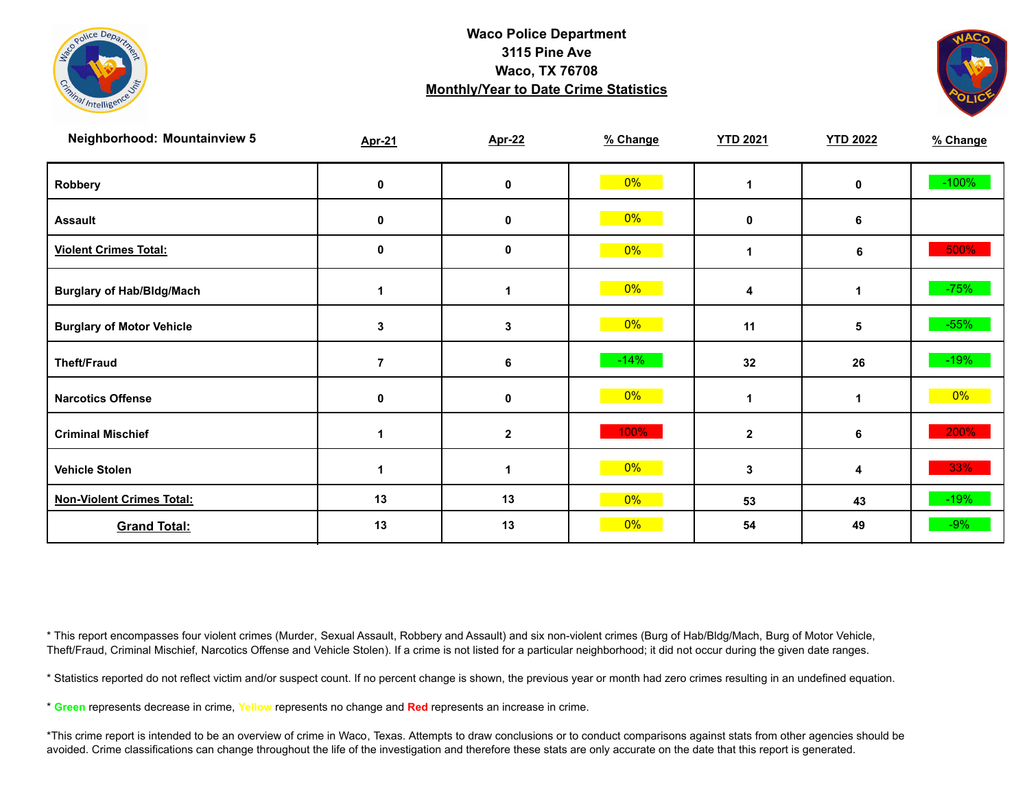



| <b>Neighborhood: Mountainview 5</b> | <b>Apr-21</b>  | <b>Apr-22</b> | % Change | <b>YTD 2021</b> | <b>YTD 2022</b> | % Change |
|-------------------------------------|----------------|---------------|----------|-----------------|-----------------|----------|
| Robbery                             | 0              | 0             | 0%       |                 | $\mathbf 0$     | $-100%$  |
| <b>Assault</b>                      | 0              | $\mathbf 0$   | $0\%$    | $\mathbf 0$     | 6               |          |
| <b>Violent Crimes Total:</b>        | 0              | 0             | $0\%$    |                 | 6               | 500%     |
| <b>Burglary of Hab/Bldg/Mach</b>    |                |               | $0\%$    | 4               | 1               | $-75%$   |
| <b>Burglary of Motor Vehicle</b>    | 3              | 3             | $0\%$    | 11              | 5               | $-55%$   |
| <b>Theft/Fraud</b>                  | $\overline{7}$ | 6             | $-14%$   | 32              | 26              | $-19%$   |
| <b>Narcotics Offense</b>            | 0              | 0             | $0\%$    |                 | 1               | $0\%$    |
| <b>Criminal Mischief</b>            |                | $\mathbf 2$   | 100%     | $\overline{2}$  | 6               | 200%     |
| <b>Vehicle Stolen</b>               | 1              |               | $0\%$    | 3               | 4               | 33%      |
| <b>Non-Violent Crimes Total:</b>    | 13             | 13            | 0%       | 53              | 43              | $-19%$   |
| <b>Grand Total:</b>                 | 13             | 13            | 0%       | 54              | 49              | $-9%$    |

\* This report encompasses four violent crimes (Murder, Sexual Assault, Robbery and Assault) and six non-violent crimes (Burg of Hab/Bldg/Mach, Burg of Motor Vehicle, Theft/Fraud, Criminal Mischief, Narcotics Offense and Vehicle Stolen). If a crime is not listed for a particular neighborhood; it did not occur during the given date ranges.

\* Statistics reported do not reflect victim and/or suspect count. If no percent change is shown, the previous year or month had zero crimes resulting in an undefined equation.

\* **Green** represents decrease in crime, **Yellow** represents no change and **Red** represents an increase in crime.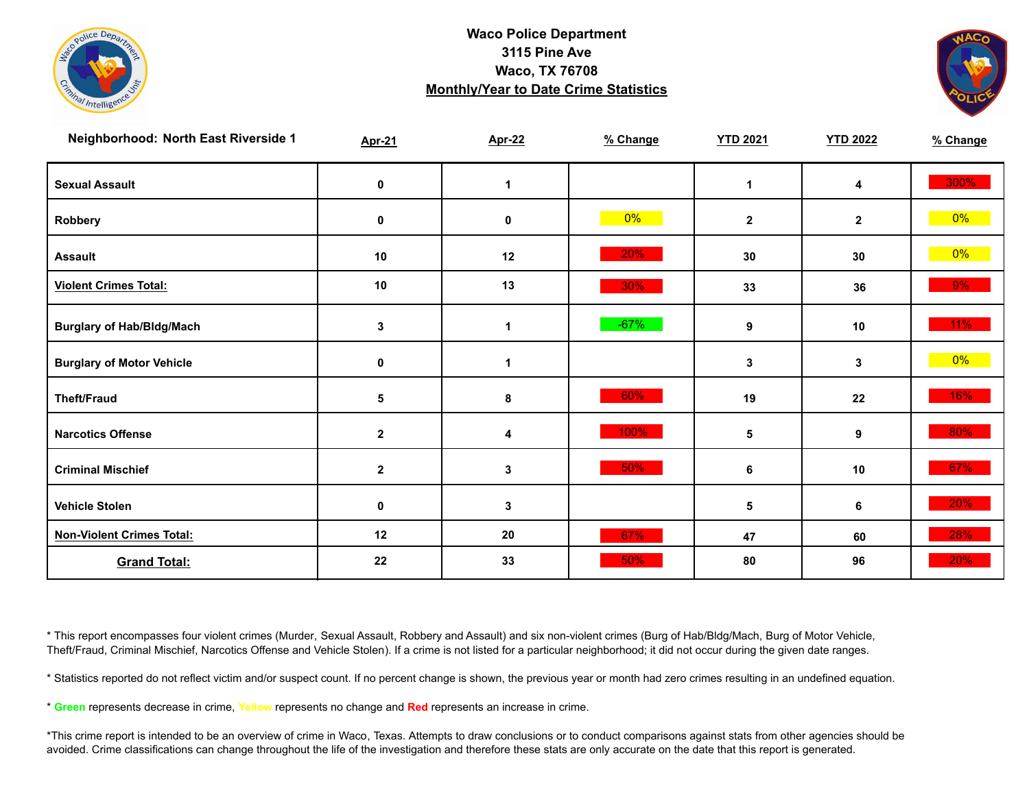



| Neighborhood: North East Riverside 1 | <b>Apr-21</b> | <b>Apr-22</b>        | % Change | <b>YTD 2021</b> | <b>YTD 2022</b> | % Change |
|--------------------------------------|---------------|----------------------|----------|-----------------|-----------------|----------|
| <b>Sexual Assault</b>                | 0             | $\blacktriangleleft$ |          | $\mathbf 1$     | 4               | 300%     |
| Robbery                              | $\mathbf 0$   | 0                    | $0\%$    | $\mathbf{2}$    | $\mathbf{2}$    | $0\%$    |
| <b>Assault</b>                       | 10            | 12                   | 20%      | 30              | 30              | $0\%$    |
| <b>Violent Crimes Total:</b>         | 10            | 13                   | $30\%$   | 33              | 36              | 9%       |
| <b>Burglary of Hab/Bldg/Mach</b>     | $\mathbf 3$   | $\mathbf{1}$         | $-67%$   | 9               | 10              | $11\%$   |
| <b>Burglary of Motor Vehicle</b>     | $\pmb{0}$     | $\blacktriangleleft$ |          | 3               | 3               | $0\%$    |
| <b>Theft/Fraud</b>                   | 5             | 8                    | 60%      | 19              | 22              | 16%      |
| <b>Narcotics Offense</b>             | $\mathbf{2}$  | 4                    | 100%     | 5               | 9               | 80%      |
| <b>Criminal Mischief</b>             | $\mathbf{2}$  | $\mathbf{3}$         | 50%      | 6               | 10              | 67%      |
| <b>Vehicle Stolen</b>                | $\mathbf 0$   | $\mathbf{3}$         |          | 5               | 6               | $20\%$   |
| <b>Non-Violent Crimes Total:</b>     | 12            | 20                   | 67%      | 47              | 60              | 28%      |
| <b>Grand Total:</b>                  | 22            | 33                   | 50%      | 80              | 96              | 20%      |

\* This report encompasses four violent crimes (Murder, Sexual Assault, Robbery and Assault) and six non-violent crimes (Burg of Hab/Bldg/Mach, Burg of Motor Vehicle, Theft/Fraud, Criminal Mischief, Narcotics Offense and Vehicle Stolen). If a crime is not listed for a particular neighborhood; it did not occur during the given date ranges.

\* Statistics reported do not reflect victim and/or suspect count. If no percent change is shown, the previous year or month had zero crimes resulting in an undefined equation.

\* **Green** represents decrease in crime, **Yellow** represents no change and **Red** represents an increase in crime.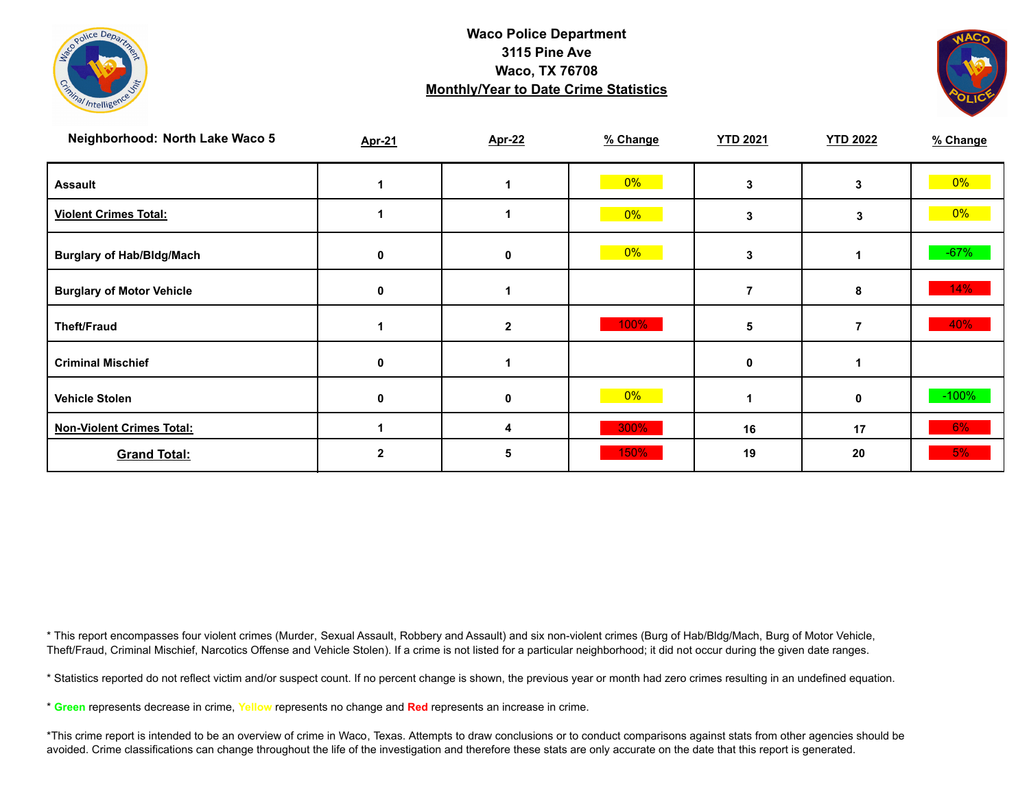



| Neighborhood: North Lake Waco 5  | <b>Apr-21</b> | <b>Apr-22</b>  | % Change | <b>YTD 2021</b> | <b>YTD 2022</b> | % Change |
|----------------------------------|---------------|----------------|----------|-----------------|-----------------|----------|
| <b>Assault</b>                   |               |                | $0\%$    | 3               | 3               | $0\%$    |
| <b>Violent Crimes Total:</b>     |               |                | $0\%$    | 3               | 3               | $0\%$    |
| <b>Burglary of Hab/Bldg/Mach</b> | 0             | 0              | $0\%$    | 3               |                 | $-67%$   |
| <b>Burglary of Motor Vehicle</b> | 0             |                |          |                 | 8               | 14%      |
| <b>Theft/Fraud</b>               |               | $\overline{2}$ | 100%     | 5               |                 | 40%      |
| <b>Criminal Mischief</b>         | 0             |                |          | 0               |                 |          |
| <b>Vehicle Stolen</b>            | 0             | 0              | $0\%$    |                 | $\bf{0}$        | $-100%$  |
| <b>Non-Violent Crimes Total:</b> |               | 4              | 300%     | 16              | 17              | 6%       |
| <b>Grand Total:</b>              | 2             | 5              | 150%     | 19              | 20              | 5%       |

\* This report encompasses four violent crimes (Murder, Sexual Assault, Robbery and Assault) and six non-violent crimes (Burg of Hab/Bldg/Mach, Burg of Motor Vehicle, Theft/Fraud, Criminal Mischief, Narcotics Offense and Vehicle Stolen). If a crime is not listed for a particular neighborhood; it did not occur during the given date ranges.

\* Statistics reported do not reflect victim and/or suspect count. If no percent change is shown, the previous year or month had zero crimes resulting in an undefined equation.

\* **Green** represents decrease in crime, **Yellow** represents no change and **Red** represents an increase in crime.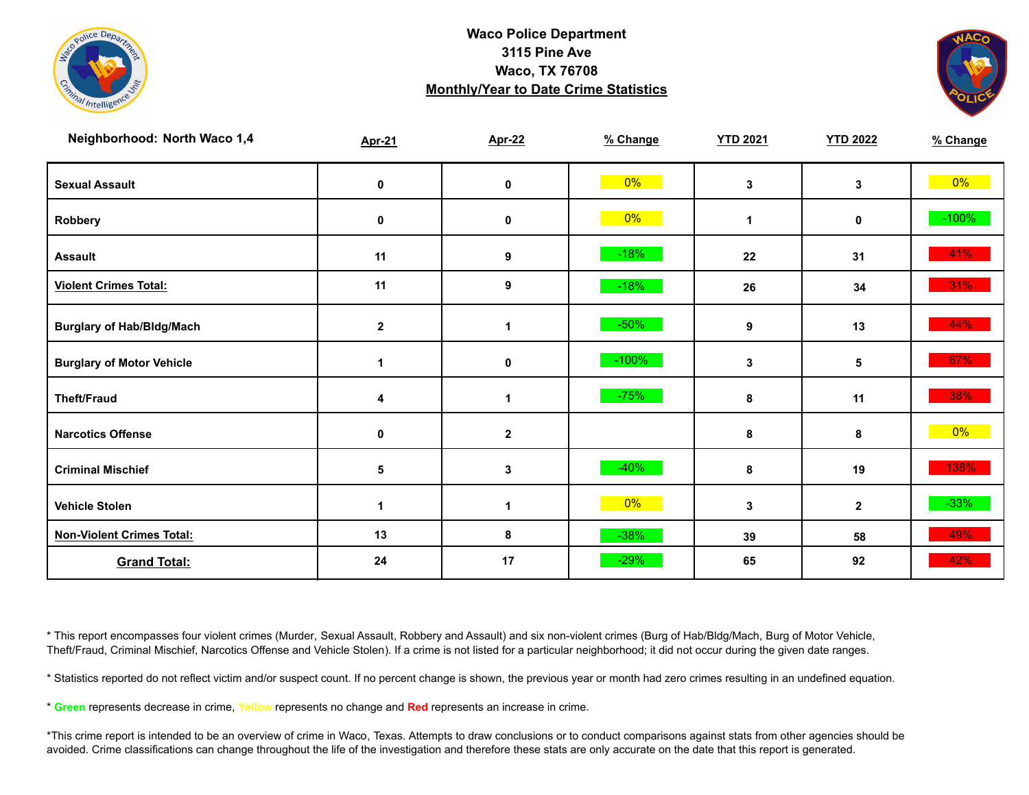



| Neighborhood: North Waco 1,4     | <b>Apr-21</b> | <b>Apr-22</b>        | % Change | <b>YTD 2021</b>      | <b>YTD 2022</b> | % Change |
|----------------------------------|---------------|----------------------|----------|----------------------|-----------------|----------|
| <b>Sexual Assault</b>            | 0             | 0                    | $0\%$    | 3                    | 3               | $0\%$    |
| Robbery                          | $\mathbf 0$   | $\mathbf 0$          | 0%       | $\blacktriangleleft$ | $\mathbf 0$     | $-100%$  |
| <b>Assault</b>                   | 11            | $\boldsymbol{9}$     | $-18%$   | 22                   | 31              | 41%      |
| <b>Violent Crimes Total:</b>     | 11            | 9                    | $-18%$   | 26                   | 34              | $31\%$   |
| <b>Burglary of Hab/Bldg/Mach</b> | $\mathbf{2}$  | $\mathbf 1$          | $-50%$   | 9                    | 13              | 44%      |
| <b>Burglary of Motor Vehicle</b> | 1             | 0                    | $-100%$  | 3                    | 5               | 67%      |
| <b>Theft/Fraud</b>               | 4             | $\blacktriangleleft$ | $-75%$   | 8                    | 11              | 38%      |
| <b>Narcotics Offense</b>         | $\mathbf 0$   | $\mathbf 2$          |          | 8                    | 8               | $0\%$    |
| <b>Criminal Mischief</b>         | 5             | 3                    | $-40%$   | 8                    | 19              | 138%     |
| <b>Vehicle Stolen</b>            | 1             | 1                    | $0\%$    | 3                    | $\mathbf{2}$    | $-33%$   |
| <b>Non-Violent Crimes Total:</b> | 13            | 8                    | $-38%$   | 39                   | 58              | 49%      |
| <b>Grand Total:</b>              | 24            | 17                   | $-29%$   | 65                   | 92              | 42%      |

\* This report encompasses four violent crimes (Murder, Sexual Assault, Robbery and Assault) and six non-violent crimes (Burg of Hab/Bldg/Mach, Burg of Motor Vehicle, Theft/Fraud, Criminal Mischief, Narcotics Offense and Vehicle Stolen). If a crime is not listed for a particular neighborhood; it did not occur during the given date ranges.

\* Statistics reported do not reflect victim and/or suspect count. If no percent change is shown, the previous year or month had zero crimes resulting in an undefined equation.

\* **Green** represents decrease in crime, **Yellow** represents no change and **Red** represents an increase in crime.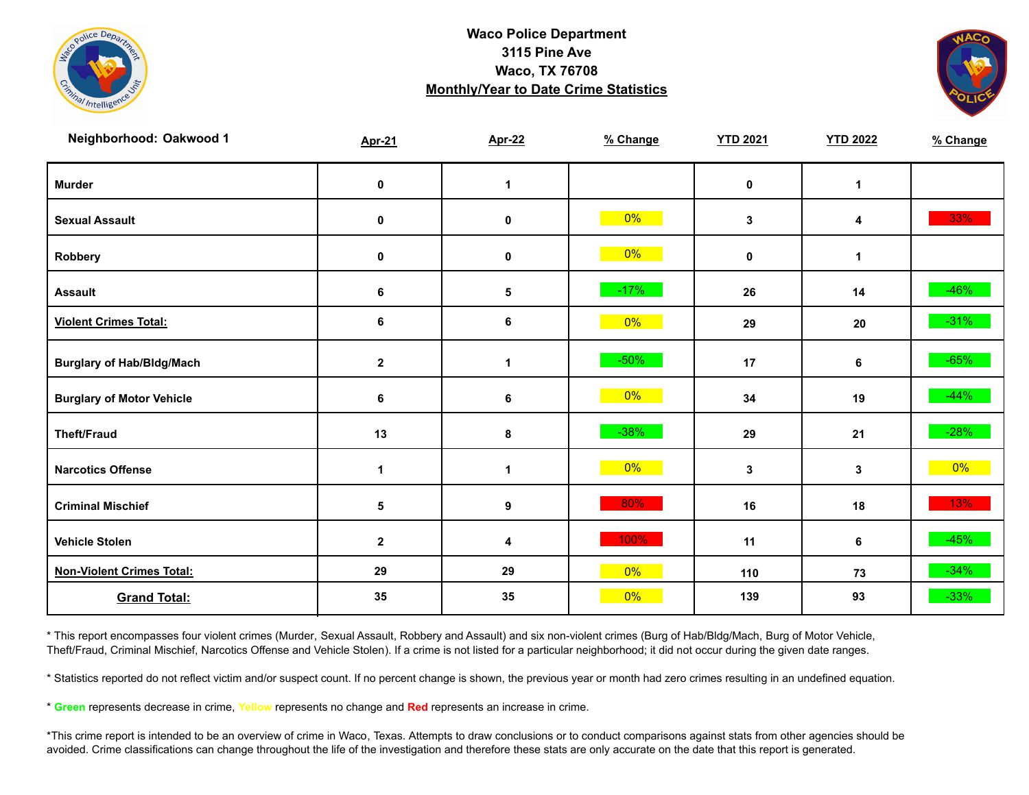



| Neighborhood: Oakwood 1          | <b>Apr-21</b> | <b>Apr-22</b>    | % Change | <b>YTD 2021</b> | <b>YTD 2022</b> | % Change |
|----------------------------------|---------------|------------------|----------|-----------------|-----------------|----------|
| <b>Murder</b>                    | $\mathbf 0$   | $\mathbf{1}$     |          | $\mathbf 0$     | $\mathbf{1}$    |          |
| <b>Sexual Assault</b>            | 0             | 0                | $0\%$    | $\mathbf{3}$    | 4               | 33%      |
| Robbery                          | 0             | 0                | $0\%$    | $\mathbf 0$     | 1               |          |
| <b>Assault</b>                   | $\bf 6$       | $\sqrt{5}$       | $-17%$   | 26              | 14              | $-46%$   |
| <b>Violent Crimes Total:</b>     | 6             | 6                | $0\%$    | 29              | 20              | $-31\%$  |
| <b>Burglary of Hab/Bldg/Mach</b> | $\mathbf{2}$  | $\mathbf{1}$     | $-50%$   | 17              | 6               | $-65%$   |
| <b>Burglary of Motor Vehicle</b> | $\bf 6$       | 6                | $0\%$    | 34              | 19              | $-44%$   |
| <b>Theft/Fraud</b>               | 13            | 8                | $-38%$   | 29              | 21              | $-28%$   |
| <b>Narcotics Offense</b>         | 1             | 1                | $0\%$    | $\mathbf{3}$    | 3               | $0\%$    |
| <b>Criminal Mischief</b>         | 5             | $\boldsymbol{9}$ | 80%      | 16              | 18              | 13%      |
| <b>Vehicle Stolen</b>            | $\mathbf 2$   | 4                | 100%     | 11              | 6               | $-45%$   |
| <b>Non-Violent Crimes Total:</b> | 29            | 29               | $0\%$    | 110             | 73              | $-34%$   |
| <b>Grand Total:</b>              | 35            | 35               | $0\%$    | 139             | 93              | $-33%$   |

\* This report encompasses four violent crimes (Murder, Sexual Assault, Robbery and Assault) and six non-violent crimes (Burg of Hab/Bldg/Mach, Burg of Motor Vehicle, Theft/Fraud, Criminal Mischief, Narcotics Offense and Vehicle Stolen). If a crime is not listed for a particular neighborhood; it did not occur during the given date ranges.

\* Statistics reported do not reflect victim and/or suspect count. If no percent change is shown, the previous year or month had zero crimes resulting in an undefined equation.

\* **Green** represents decrease in crime, **Yellow** represents no change and **Red** represents an increase in crime.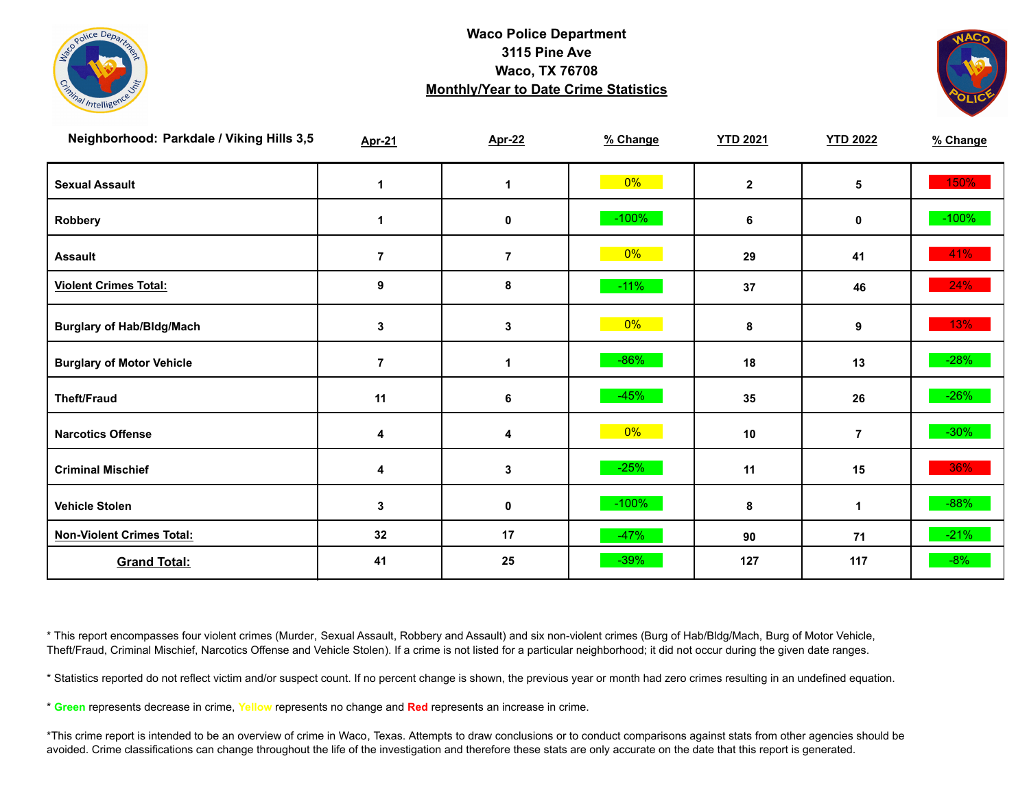



| Neighborhood: Parkdale / Viking Hills 3,5 | <b>Apr-21</b>  | <b>Apr-22</b>        | % Change | <b>YTD 2021</b> | <b>YTD 2022</b> | % Change |
|-------------------------------------------|----------------|----------------------|----------|-----------------|-----------------|----------|
| <b>Sexual Assault</b>                     | 1              | $\blacktriangleleft$ | $0\%$    | $\mathbf{2}$    | 5               | 150%     |
| Robbery                                   | 1              | 0                    | $-100\%$ | 6               | 0               | $-100%$  |
| <b>Assault</b>                            | $\overline{7}$ | $\overline{7}$       | $0\%$    | 29              | 41              | 41%      |
| <b>Violent Crimes Total:</b>              | 9              | 8                    | $-11%$   | 37              | 46              | 24%      |
| <b>Burglary of Hab/Bldg/Mach</b>          | $\mathbf 3$    | 3                    | $0\%$    | 8               | 9               | 13%      |
| <b>Burglary of Motor Vehicle</b>          | $\overline{7}$ | 1                    | $-86%$   | 18              | 13              | $-28%$   |
| <b>Theft/Fraud</b>                        | 11             | $\bf 6$              | $-45%$   | 35              | 26              | $-26%$   |
| <b>Narcotics Offense</b>                  | 4              | 4                    | $0\%$    | 10              | $\overline{7}$  | $-30\%$  |
| <b>Criminal Mischief</b>                  | 4              | 3                    | $-25%$   | 11              | 15              | 36%      |
| <b>Vehicle Stolen</b>                     | 3              | 0                    | $-100\%$ | 8               | 1               | $-88%$   |
| <b>Non-Violent Crimes Total:</b>          | 32             | 17                   | $-47%$   | 90              | 71              | $-21%$   |
| <b>Grand Total:</b>                       | 41             | 25                   | $-39%$   | 127             | 117             | $-8%$    |

\* This report encompasses four violent crimes (Murder, Sexual Assault, Robbery and Assault) and six non-violent crimes (Burg of Hab/Bldg/Mach, Burg of Motor Vehicle, Theft/Fraud, Criminal Mischief, Narcotics Offense and Vehicle Stolen). If a crime is not listed for a particular neighborhood; it did not occur during the given date ranges.

\* Statistics reported do not reflect victim and/or suspect count. If no percent change is shown, the previous year or month had zero crimes resulting in an undefined equation.

\* **Green** represents decrease in crime, **Yellow** represents no change and **Red** represents an increase in crime.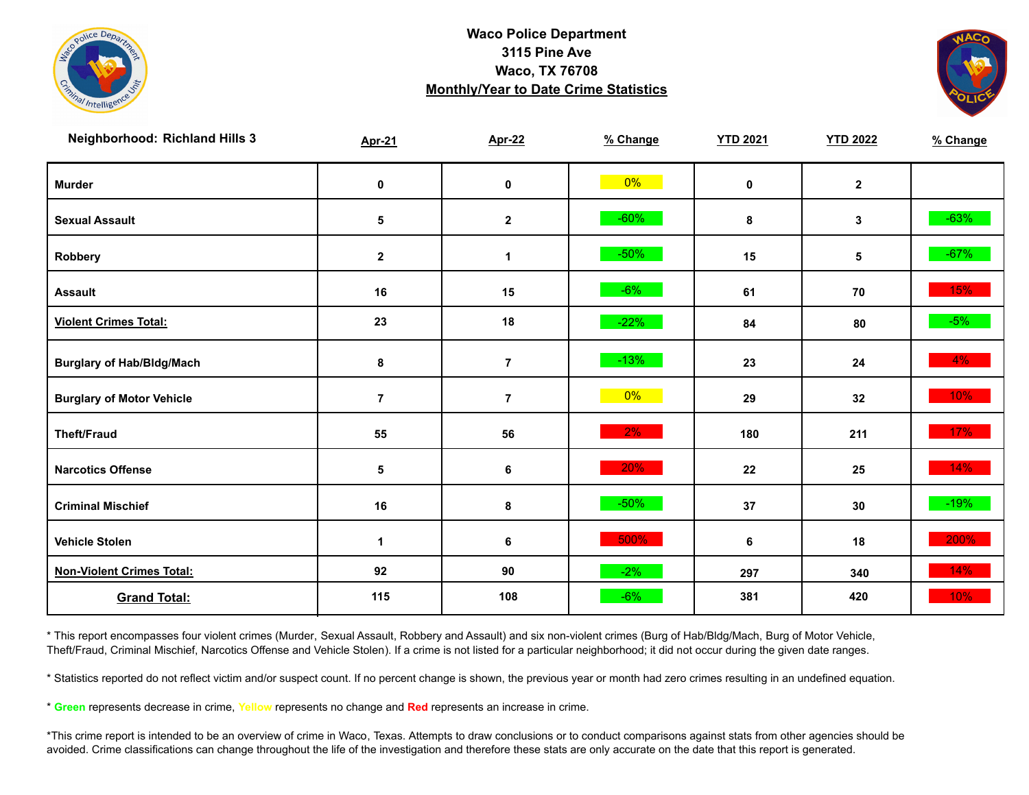



| <b>Neighborhood: Richland Hills 3</b> | <b>Apr-21</b> | <b>Apr-22</b>  | % Change | <b>YTD 2021</b> | <b>YTD 2022</b> | % Change |
|---------------------------------------|---------------|----------------|----------|-----------------|-----------------|----------|
| <b>Murder</b>                         | $\mathbf 0$   | $\pmb{0}$      | $0\%$    | $\mathbf 0$     | $\mathbf{2}$    |          |
| <b>Sexual Assault</b>                 | 5             | $\mathbf{2}$   | $-60%$   | 8               | 3               | $-63%$   |
| Robbery                               | $\mathbf{2}$  | $\mathbf{1}$   | $-50%$   | 15              | 5               | $-67%$   |
| <b>Assault</b>                        | 16            | 15             | $-6%$    | 61              | 70              | 15%      |
| <b>Violent Crimes Total:</b>          | 23            | 18             | $-22%$   | 84              | 80              | $-5%$    |
| <b>Burglary of Hab/Bldg/Mach</b>      | 8             | $\overline{7}$ | $-13%$   | 23              | 24              | $4\%$    |
| <b>Burglary of Motor Vehicle</b>      | $\bf 7$       | $\bf 7$        | $0\%$    | 29              | 32              | $10\%$   |
| <b>Theft/Fraud</b>                    | 55            | 56             | 2%       | 180             | 211             | $17\%$   |
| <b>Narcotics Offense</b>              | 5             | 6              | 20%      | 22              | 25              | $14\%$   |
| <b>Criminal Mischief</b>              | 16            | $\bf8$         | $-50%$   | 37              | 30              | $-19%$   |
| <b>Vehicle Stolen</b>                 | $\mathbf{1}$  | 6              | 500%     | 6               | 18              | 200%     |
| <b>Non-Violent Crimes Total:</b>      | 92            | 90             | $-2%$    | 297             | 340             | 14%      |
| <b>Grand Total:</b>                   | 115           | 108            | $-6%$    | 381             | 420             | 10%      |

\* This report encompasses four violent crimes (Murder, Sexual Assault, Robbery and Assault) and six non-violent crimes (Burg of Hab/Bldg/Mach, Burg of Motor Vehicle, Theft/Fraud, Criminal Mischief, Narcotics Offense and Vehicle Stolen). If a crime is not listed for a particular neighborhood; it did not occur during the given date ranges.

\* Statistics reported do not reflect victim and/or suspect count. If no percent change is shown, the previous year or month had zero crimes resulting in an undefined equation.

\* **Green** represents decrease in crime, **Yellow** represents no change and **Red** represents an increase in crime.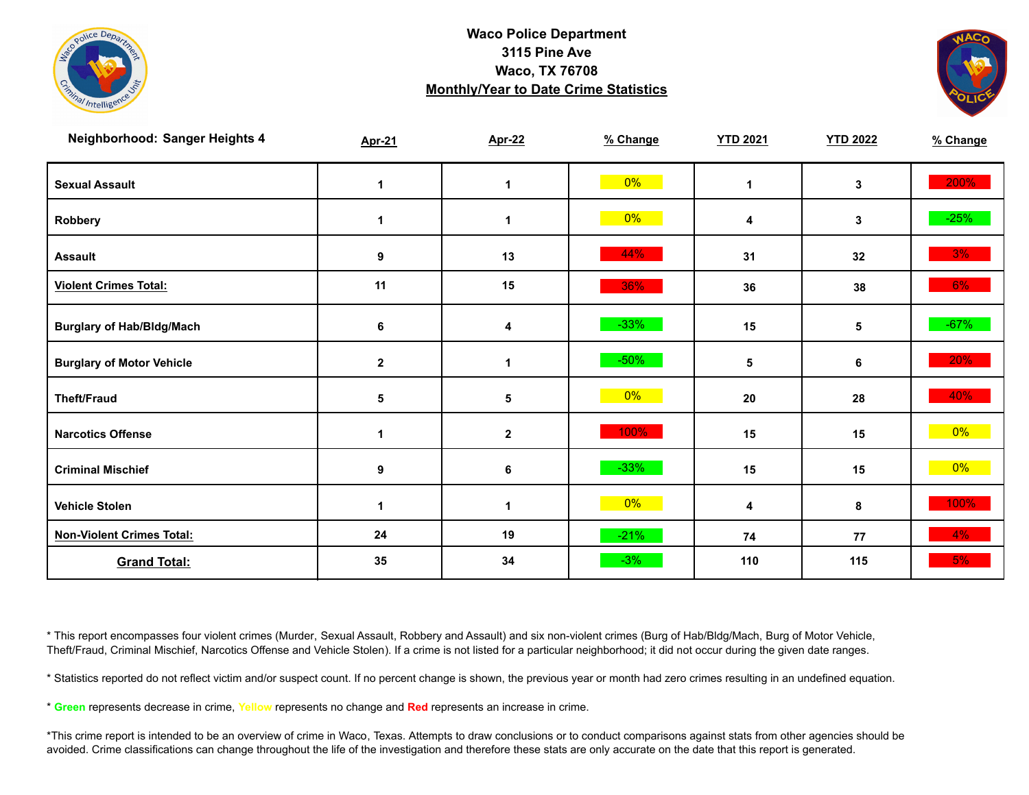



| Neighborhood: Sanger Heights 4   | <b>Apr-21</b>    | <b>Apr-22</b> | % Change | <b>YTD 2021</b> | <b>YTD 2022</b> | % Change |
|----------------------------------|------------------|---------------|----------|-----------------|-----------------|----------|
| <b>Sexual Assault</b>            | 1                | 1             | $0\%$    | 1               | 3               | 200%     |
| Robbery                          | 1                | 1             | $0\%$    | 4               | 3               | $-25%$   |
| <b>Assault</b>                   | 9                | 13            | 44%      | 31              | 32              | 3%       |
| <b>Violent Crimes Total:</b>     | 11               | 15            | 36%      | 36              | 38              | 6%       |
| <b>Burglary of Hab/Bldg/Mach</b> | $\bf 6$          | 4             | $-33%$   | 15              | 5               | $-67%$   |
| <b>Burglary of Motor Vehicle</b> | $\boldsymbol{2}$ | 1             | $-50%$   | 5               | 6               | 20%      |
| <b>Theft/Fraud</b>               | 5                | 5             | 0%       | 20              | 28              | 40%      |
| <b>Narcotics Offense</b>         | 1                | $\mathbf 2$   | 100%     | 15              | 15              | $0\%$    |
| <b>Criminal Mischief</b>         | 9                | 6             | $-33%$   | 15              | 15              | $0\%$    |
| <b>Vehicle Stolen</b>            | $\mathbf{1}$     | 1             | $0\%$    | 4               | 8               | 100%     |
| <b>Non-Violent Crimes Total:</b> | 24               | 19            | $-21%$   | 74              | 77              | $4\%$    |
| <b>Grand Total:</b>              | 35               | 34            | $-3%$    | 110             | 115             | 5%       |

\* This report encompasses four violent crimes (Murder, Sexual Assault, Robbery and Assault) and six non-violent crimes (Burg of Hab/Bldg/Mach, Burg of Motor Vehicle, Theft/Fraud, Criminal Mischief, Narcotics Offense and Vehicle Stolen). If a crime is not listed for a particular neighborhood; it did not occur during the given date ranges.

\* Statistics reported do not reflect victim and/or suspect count. If no percent change is shown, the previous year or month had zero crimes resulting in an undefined equation.

\* **Green** represents decrease in crime, **Yellow** represents no change and **Red** represents an increase in crime.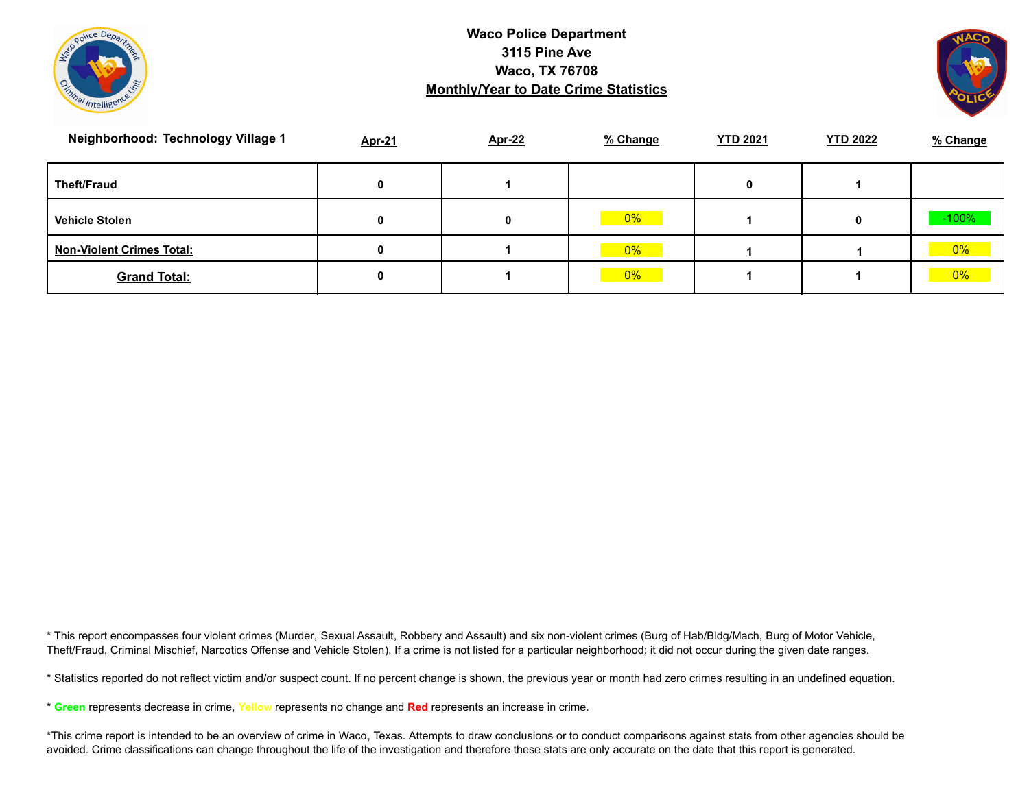



| Neighborhood: Technology Village 1 | <b>Apr-21</b> | <b>Apr-22</b> | % Change | <b>YTD 2021</b> | <b>YTD 2022</b> | % Change |
|------------------------------------|---------------|---------------|----------|-----------------|-----------------|----------|
| <b>Theft/Fraud</b>                 | 0             |               |          | 0               |                 |          |
| <b>Vehicle Stolen</b>              | 0             | 0             | $0\%$    |                 | 0               | $-100\%$ |
| <b>Non-Violent Crimes Total:</b>   | 0             |               | $0\%$    |                 |                 | $0\%$    |
| <b>Grand Total:</b>                | 0             |               | $0\%$    |                 |                 | 0%       |

\* This report encompasses four violent crimes (Murder, Sexual Assault, Robbery and Assault) and six non-violent crimes (Burg of Hab/Bldg/Mach, Burg of Motor Vehicle, Theft/Fraud, Criminal Mischief, Narcotics Offense and Vehicle Stolen). If a crime is not listed for a particular neighborhood; it did not occur during the given date ranges.

\* Statistics reported do not reflect victim and/or suspect count. If no percent change is shown, the previous year or month had zero crimes resulting in an undefined equation.

\* **Green** represents decrease in crime, **Yellow** represents no change and **Red** represents an increase in crime.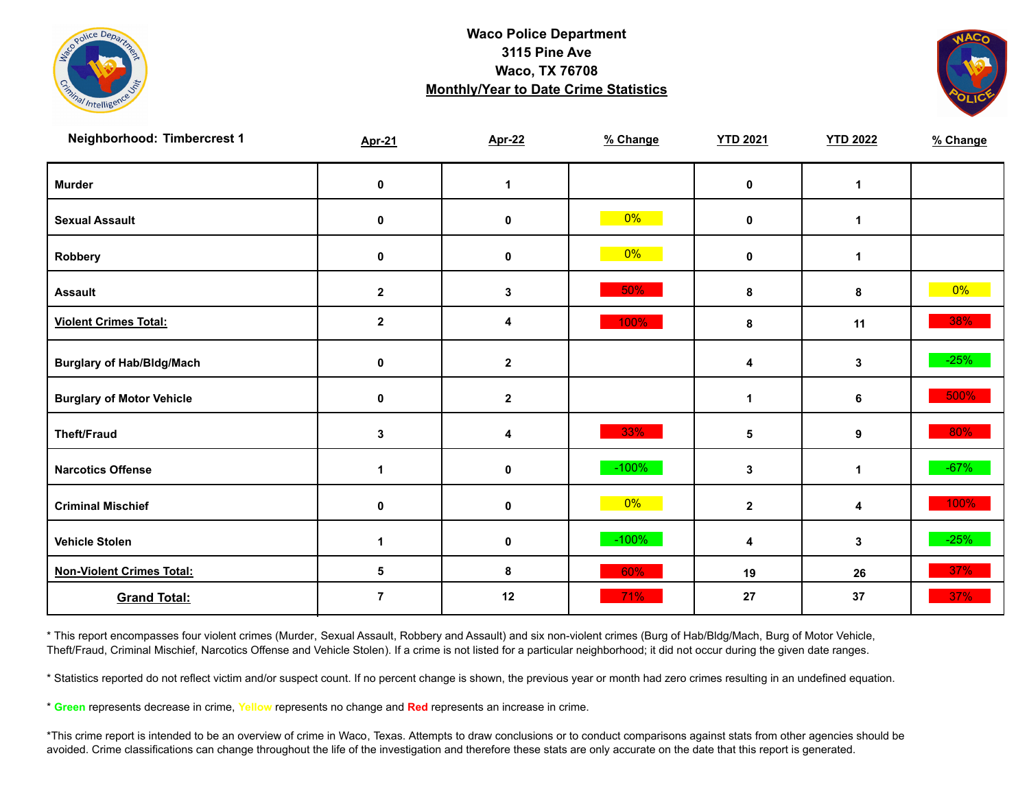



| Neighborhood: Timbercrest 1      | <b>Apr-21</b>        | <b>Apr-22</b>    | % Change | <b>YTD 2021</b> | <b>YTD 2022</b> | % Change |
|----------------------------------|----------------------|------------------|----------|-----------------|-----------------|----------|
| <b>Murder</b>                    | $\pmb{0}$            | $\mathbf 1$      |          | $\pmb{0}$       | $\mathbf{1}$    |          |
| <b>Sexual Assault</b>            | 0                    | 0                | $0\%$    | 0               | $\mathbf 1$     |          |
| Robbery                          | 0                    | 0                | $0\%$    | 0               | 1               |          |
| <b>Assault</b>                   | $\boldsymbol{2}$     | $\mathbf 3$      | 50%      | 8               | 8               | $0\%$    |
| <b>Violent Crimes Total:</b>     | $\mathbf 2$          | 4                | 100%     | 8               | 11              | 38%      |
| <b>Burglary of Hab/Bldg/Mach</b> | $\pmb{0}$            | $\boldsymbol{2}$ |          | 4               | 3               | $-25%$   |
| <b>Burglary of Motor Vehicle</b> | 0                    | $\mathbf 2$      |          | $\mathbf 1$     | 6               | 500%     |
| <b>Theft/Fraud</b>               | 3                    | 4                | 33%      | $\sqrt{5}$      | 9               | 80%      |
| <b>Narcotics Offense</b>         | $\overline{1}$       | 0                | $-100%$  | 3               | $\mathbf{1}$    | $-67%$   |
| <b>Criminal Mischief</b>         | $\mathbf 0$          | $\mathbf 0$      | $0\%$    | $\mathbf{2}$    | 4               | 100%     |
| <b>Vehicle Stolen</b>            | $\blacktriangleleft$ | $\pmb{0}$        | $-100%$  | 4               | 3               | $-25%$   |
| <b>Non-Violent Crimes Total:</b> | 5                    | 8                | 60%      | 19              | 26              | 37%      |
| <b>Grand Total:</b>              | $\overline{7}$       | 12               | 71%      | 27              | 37              | 37%      |

\* This report encompasses four violent crimes (Murder, Sexual Assault, Robbery and Assault) and six non-violent crimes (Burg of Hab/Bldg/Mach, Burg of Motor Vehicle, Theft/Fraud, Criminal Mischief, Narcotics Offense and Vehicle Stolen). If a crime is not listed for a particular neighborhood; it did not occur during the given date ranges.

\* Statistics reported do not reflect victim and/or suspect count. If no percent change is shown, the previous year or month had zero crimes resulting in an undefined equation.

\* **Green** represents decrease in crime, **Yellow** represents no change and **Red** represents an increase in crime.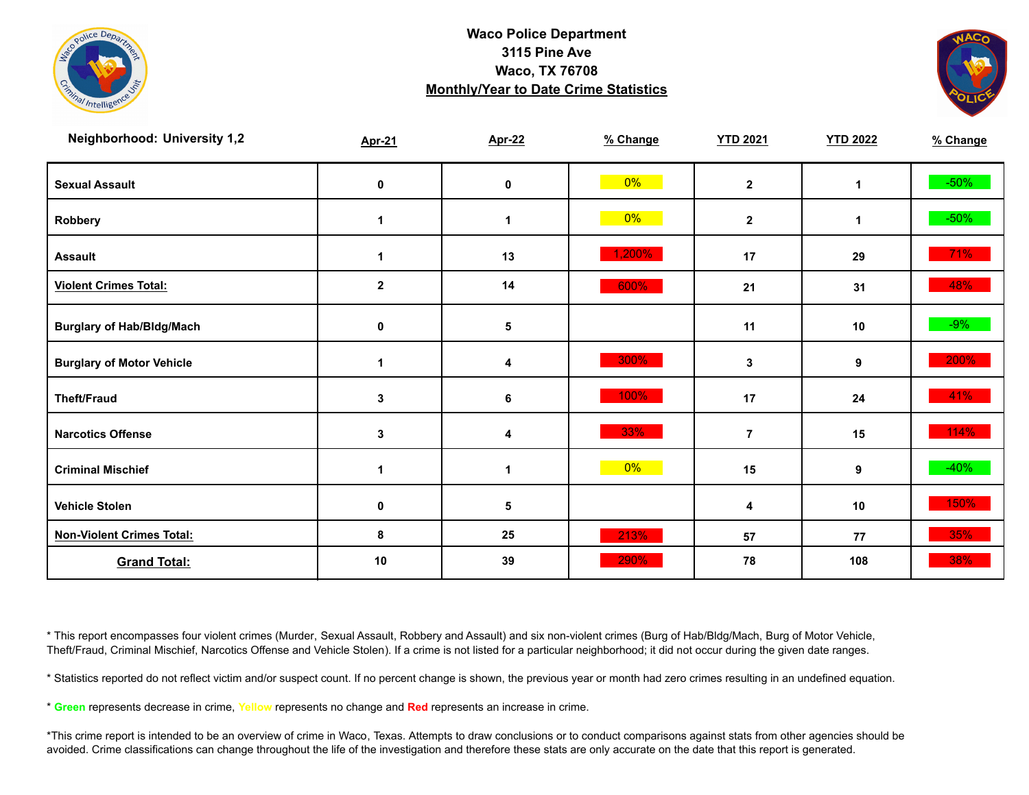



| <b>Neighborhood: University 1,2</b> | <b>Apr-21</b>    | <b>Apr-22</b> | % Change | <b>YTD 2021</b> | <b>YTD 2022</b> | % Change |
|-------------------------------------|------------------|---------------|----------|-----------------|-----------------|----------|
| <b>Sexual Assault</b>               | 0                | 0             | $0\%$    | $\mathbf{2}$    | $\mathbf 1$     | $-50\%$  |
| Robbery                             | 1                | 1             | $0\%$    | $\mathbf 2$     | 1               | $-50\%$  |
| <b>Assault</b>                      | 1                | 13            | 1,200%   | 17              | 29              | 71%      |
| <b>Violent Crimes Total:</b>        | $\boldsymbol{2}$ | 14            | 600%     | 21              | 31              | 48%      |
| <b>Burglary of Hab/Bldg/Mach</b>    | 0                | 5             |          | 11              | 10              | $-9%$    |
| <b>Burglary of Motor Vehicle</b>    | 1                | 4             | 300%     | 3               | 9               | 200%     |
| <b>Theft/Fraud</b>                  | 3                | 6             | 100%     | 17              | 24              | 41%      |
| <b>Narcotics Offense</b>            | 3                | 4             | 33%      | $\overline{7}$  | 15              | 114%     |
| <b>Criminal Mischief</b>            | 1                | 1             | $0\%$    | 15              | 9               | $-40%$   |
| <b>Vehicle Stolen</b>               | 0                | 5             |          | 4               | 10              | 150%     |
| <b>Non-Violent Crimes Total:</b>    | 8                | 25            | 213%     | 57              | 77              | 35%      |
| <b>Grand Total:</b>                 | 10               | 39            | 290%     | 78              | 108             | 38%      |

\* This report encompasses four violent crimes (Murder, Sexual Assault, Robbery and Assault) and six non-violent crimes (Burg of Hab/Bldg/Mach, Burg of Motor Vehicle, Theft/Fraud, Criminal Mischief, Narcotics Offense and Vehicle Stolen). If a crime is not listed for a particular neighborhood; it did not occur during the given date ranges.

\* Statistics reported do not reflect victim and/or suspect count. If no percent change is shown, the previous year or month had zero crimes resulting in an undefined equation.

\* **Green** represents decrease in crime, **Yellow** represents no change and **Red** represents an increase in crime.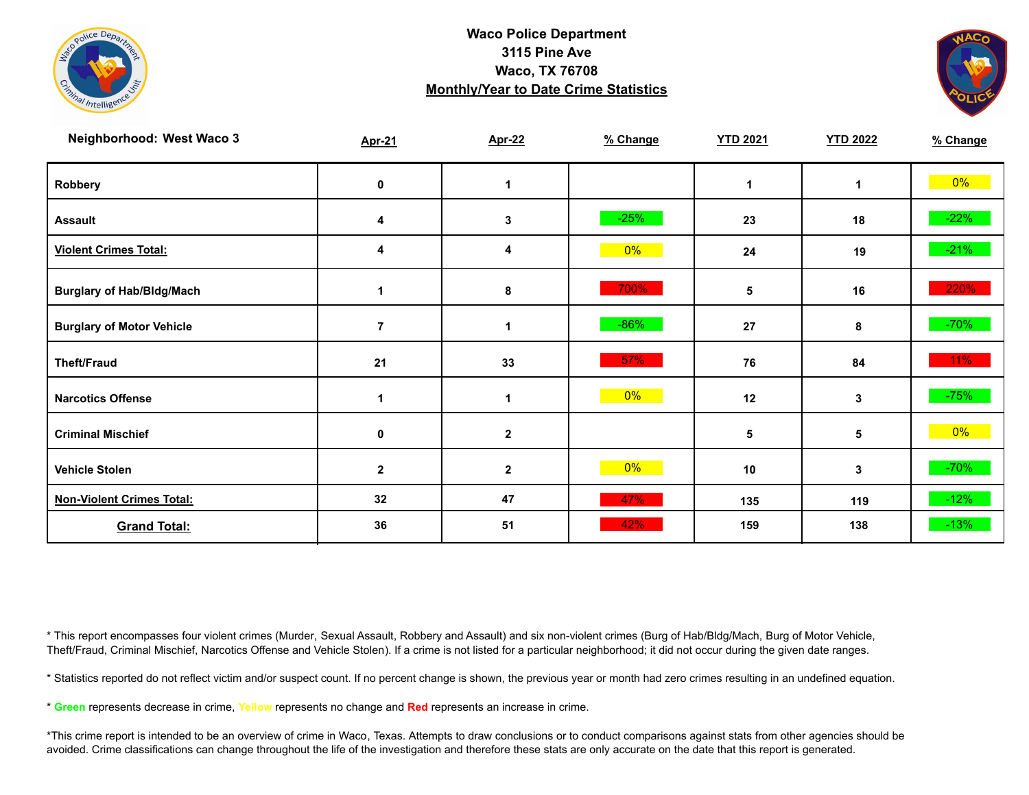



| Neighborhood: West Waco 3        | <b>Apr-21</b>  | <b>Apr-22</b> | % Change | <b>YTD 2021</b> | <b>YTD 2022</b> | % Change |
|----------------------------------|----------------|---------------|----------|-----------------|-----------------|----------|
| Robbery                          | 0              | 1             |          | 1               | $\mathbf 1$     | $0\%$    |
| <b>Assault</b>                   | 4              | 3             | $-25%$   | 23              | 18              | $-22%$   |
| <b>Violent Crimes Total:</b>     | 4              | 4             | 0%       | 24              | 19              | $-21%$   |
| <b>Burglary of Hab/Bldg/Mach</b> |                | 8             | 700%     | 5               | 16              | 220%     |
| <b>Burglary of Motor Vehicle</b> | $\overline{7}$ | 1             | $-86%$   | 27              | 8               | $-70%$   |
| <b>Theft/Fraud</b>               | 21             | 33            | $57\%$   | 76              | 84              | $11\%$   |
| <b>Narcotics Offense</b>         |                |               | 0%       | 12              | 3               | $-75%$   |
| <b>Criminal Mischief</b>         | 0              | $\mathbf 2$   |          | 5               | 5               | $0\%$    |
| <b>Vehicle Stolen</b>            | $\mathbf{2}$   | $\mathbf 2$   | $0\%$    | 10              | 3               | $-70%$   |
| <b>Non-Violent Crimes Total:</b> | 32             | 47            | 47%      | 135             | 119             | $-12%$   |
| <b>Grand Total:</b>              | 36             | 51            | 42%      | 159             | 138             | $-13%$   |

\* This report encompasses four violent crimes (Murder, Sexual Assault, Robbery and Assault) and six non-violent crimes (Burg of Hab/Bldg/Mach, Burg of Motor Vehicle, Theft/Fraud, Criminal Mischief, Narcotics Offense and Vehicle Stolen). If a crime is not listed for a particular neighborhood; it did not occur during the given date ranges.

\* Statistics reported do not reflect victim and/or suspect count. If no percent change is shown, the previous year or month had zero crimes resulting in an undefined equation.

\* **Green** represents decrease in crime, **Yellow** represents no change and **Red** represents an increase in crime.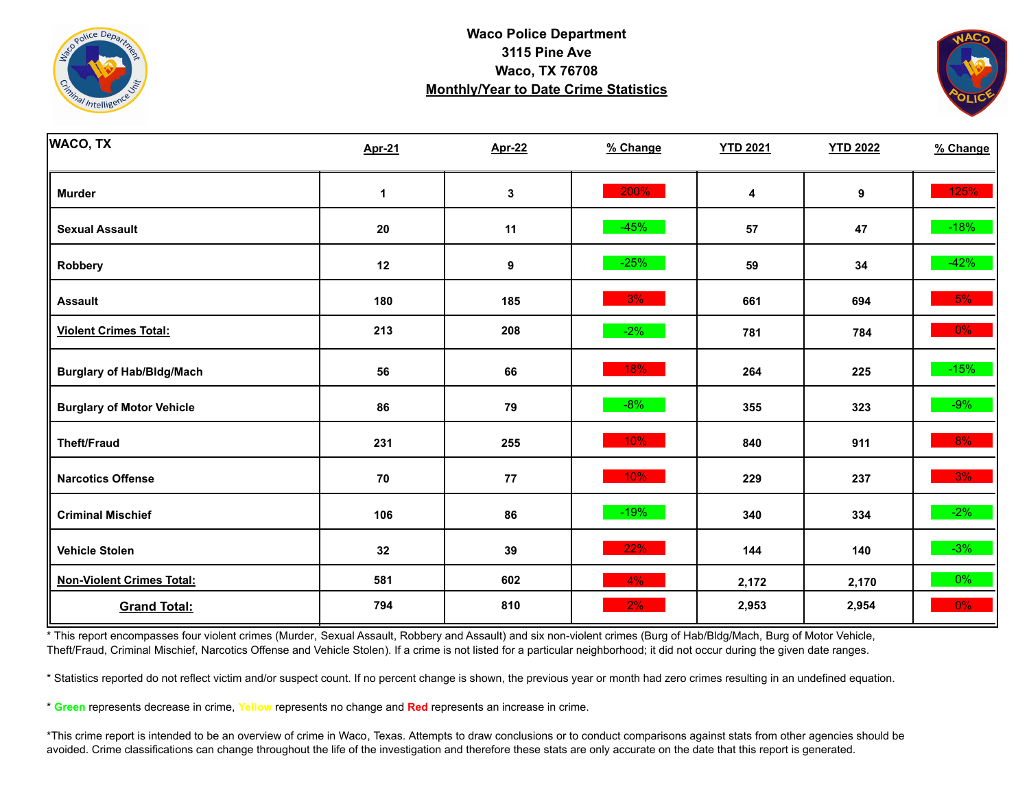



| <b>WACO, TX</b>                  | <b>Apr-21</b> | <b>Apr-22</b> | % Change | <b>YTD 2021</b> | <b>YTD 2022</b> | % Change |
|----------------------------------|---------------|---------------|----------|-----------------|-----------------|----------|
| <b>Murder</b>                    | $\mathbf 1$   | 3             | 200%     | 4               | 9               | 125%     |
| <b>Sexual Assault</b>            | 20            | 11            | $-45%$   | 57              | 47              | $-18%$   |
| Robbery                          | 12            | 9             | $-25%$   | 59              | 34              | $-42%$   |
| <b>Assault</b>                   | 180           | 185           | 3%       | 661             | 694             | 5%       |
| <b>Violent Crimes Total:</b>     | 213           | 208           | $-2%$    | 781             | 784             | $0\%$    |
| <b>Burglary of Hab/Bldg/Mach</b> | 56            | 66            | 18%      | 264             | 225             | $-15%$   |
| <b>Burglary of Motor Vehicle</b> | 86            | 79            | $-8%$    | 355             | 323             | $-9%$    |
| <b>Theft/Fraud</b>               | 231           | 255           | 10%      | 840             | 911             | 8%       |
| <b>Narcotics Offense</b>         | ${\bf 70}$    | ${\bf 77}$    | 10%      | 229             | 237             | 3%       |
| <b>Criminal Mischief</b>         | 106           | 86            | $-19%$   | 340             | 334             | $-2\%$   |
| <b>Vehicle Stolen</b>            | 32            | 39            | 22%      | 144             | 140             | $-3%$    |
| <b>Non-Violent Crimes Total:</b> | 581           | 602           | 4%       | 2,172           | 2,170           | $0\%$    |
| <b>Grand Total:</b>              | 794           | 810           | 2%       | 2,953           | 2,954           | $0\%$    |

\* This report encompasses four violent crimes (Murder, Sexual Assault, Robbery and Assault) and six non-violent crimes (Burg of Hab/Bldg/Mach, Burg of Motor Vehicle, Theft/Fraud, Criminal Mischief, Narcotics Offense and Vehicle Stolen). If a crime is not listed for a particular neighborhood; it did not occur during the given date ranges.

\* Statistics reported do not reflect victim and/or suspect count. If no percent change is shown, the previous year or month had zero crimes resulting in an undefined equation.

\* **Green** represents decrease in crime, **Yellow** represents no change and **Red** represents an increase in crime.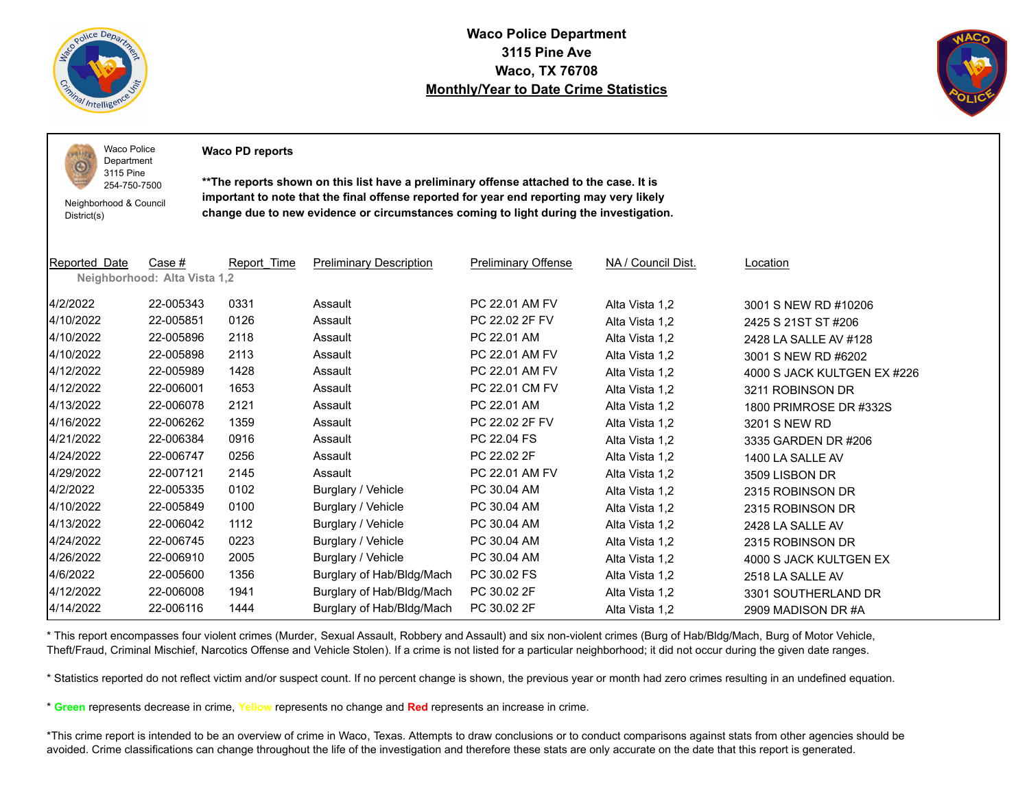

 $PQLI$  $\odot$ 

**Waco Police Department 3115 Pine Ave Waco, TX 76708 Monthly/Year to Date Crime Statistics**



Waco Police Department

**Waco PD reports**

Neighborhood & Council District(s)

3115 Pine 254-750-7500

**\*\*The reports shown on this list have a preliminary offense attached to the case. It is important to note that the final offense reported for year end reporting may very likely change due to new evidence or circumstances coming to light during the investigation.**

| Reported Date | Case #                       | Report Time | <b>Preliminary Description</b> | <b>Preliminary Offense</b> | NA / Council Dist. | <b>Location</b>             |
|---------------|------------------------------|-------------|--------------------------------|----------------------------|--------------------|-----------------------------|
|               | Neighborhood: Alta Vista 1,2 |             |                                |                            |                    |                             |
| 4/2/2022      | 22-005343                    | 0331        | Assault                        | PC 22.01 AM FV             | Alta Vista 1,2     | 3001 S NEW RD #10206        |
| 4/10/2022     | 22-005851                    | 0126        | Assault                        | PC 22.02 2F FV             | Alta Vista 1,2     | 2425 S 21ST ST #206         |
| 4/10/2022     | 22-005896                    | 2118        | Assault                        | PC 22.01 AM                | Alta Vista 1,2     | 2428 LA SALLE AV #128       |
| 4/10/2022     | 22-005898                    | 2113        | Assault                        | PC 22.01 AM FV             | Alta Vista 1,2     | 3001 S NEW RD #6202         |
| 4/12/2022     | 22-005989                    | 1428        | Assault                        | PC 22.01 AM FV             | Alta Vista 1,2     | 4000 S JACK KULTGEN EX #226 |
| 4/12/2022     | 22-006001                    | 1653        | Assault                        | PC 22.01 CM FV             | Alta Vista 1,2     | 3211 ROBINSON DR            |
| 4/13/2022     | 22-006078                    | 2121        | Assault                        | PC 22.01 AM                | Alta Vista 1,2     | 1800 PRIMROSE DR #332S      |
| 4/16/2022     | 22-006262                    | 1359        | Assault                        | PC 22.02 2F FV             | Alta Vista 1,2     | 3201 S NEW RD               |
| 4/21/2022     | 22-006384                    | 0916        | Assault                        | PC 22.04 FS                | Alta Vista 1,2     | 3335 GARDEN DR #206         |
| 4/24/2022     | 22-006747                    | 0256        | Assault                        | PC 22.02 2F                | Alta Vista 1,2     | 1400 LA SALLE AV            |
| 4/29/2022     | 22-007121                    | 2145        | Assault                        | PC 22.01 AM FV             | Alta Vista 1,2     | 3509 LISBON DR              |
| 4/2/2022      | 22-005335                    | 0102        | Burglary / Vehicle             | PC 30.04 AM                | Alta Vista 1,2     | 2315 ROBINSON DR            |
| 4/10/2022     | 22-005849                    | 0100        | Burglary / Vehicle             | PC 30.04 AM                | Alta Vista 1,2     | 2315 ROBINSON DR            |
| 4/13/2022     | 22-006042                    | 1112        | Burglary / Vehicle             | PC 30.04 AM                | Alta Vista 1,2     | 2428 LA SALLE AV            |
| 4/24/2022     | 22-006745                    | 0223        | Burglary / Vehicle             | PC 30.04 AM                | Alta Vista 1,2     | 2315 ROBINSON DR            |
| 4/26/2022     | 22-006910                    | 2005        | Burglary / Vehicle             | PC 30.04 AM                | Alta Vista 1,2     | 4000 S JACK KULTGEN EX      |
| 4/6/2022      | 22-005600                    | 1356        | Burglary of Hab/Bldg/Mach      | PC 30.02 FS                | Alta Vista 1,2     | 2518 LA SALLE AV            |
| 4/12/2022     | 22-006008                    | 1941        | Burglary of Hab/Bldg/Mach      | PC 30.02 2F                | Alta Vista 1,2     | 3301 SOUTHERLAND DR         |
| 4/14/2022     | 22-006116                    | 1444        | Burglary of Hab/Bldg/Mach      | PC 30.02 2F                | Alta Vista 1,2     | 2909 MADISON DR #A          |

\* This report encompasses four violent crimes (Murder, Sexual Assault, Robbery and Assault) and six non-violent crimes (Burg of Hab/Bldg/Mach, Burg of Motor Vehicle, Theft/Fraud, Criminal Mischief, Narcotics Offense and Vehicle Stolen). If a crime is not listed for a particular neighborhood; it did not occur during the given date ranges.

\* Statistics reported do not reflect victim and/or suspect count. If no percent change is shown, the previous year or month had zero crimes resulting in an undefined equation.

\* **Green** represents decrease in crime, **Yellow** represents no change and **Red** represents an increase in crime.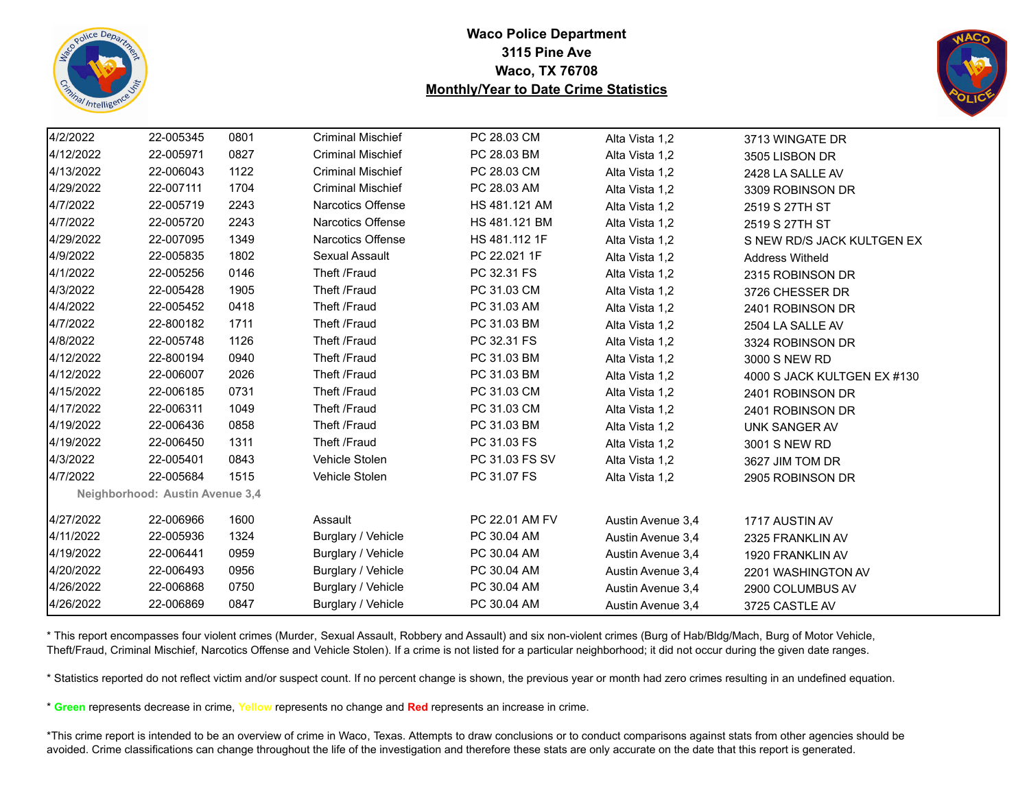



| 4/2/2022  | 22-005345                       | 0801 | <b>Criminal Mischief</b> | PC 28.03 CM    | Alta Vista 1,2    | 3713 WINGATE DR             |
|-----------|---------------------------------|------|--------------------------|----------------|-------------------|-----------------------------|
| 4/12/2022 | 22-005971                       | 0827 | <b>Criminal Mischief</b> | PC 28.03 BM    | Alta Vista 1,2    | 3505 LISBON DR              |
| 4/13/2022 | 22-006043                       | 1122 | <b>Criminal Mischief</b> | PC 28.03 CM    | Alta Vista 1,2    | 2428 LA SALLE AV            |
| 4/29/2022 | 22-007111                       | 1704 | <b>Criminal Mischief</b> | PC 28.03 AM    | Alta Vista 1,2    | 3309 ROBINSON DR            |
| 4/7/2022  | 22-005719                       | 2243 | Narcotics Offense        | HS 481.121 AM  | Alta Vista 1,2    | 2519 S 27TH ST              |
| 4/7/2022  | 22-005720                       | 2243 | Narcotics Offense        | HS 481.121 BM  | Alta Vista 1,2    | 2519 S 27TH ST              |
| 4/29/2022 | 22-007095                       | 1349 | Narcotics Offense        | HS 481.112 1F  | Alta Vista 1,2    | S NEW RD/S JACK KULTGEN EX  |
| 4/9/2022  | 22-005835                       | 1802 | Sexual Assault           | PC 22.021 1F   | Alta Vista 1,2    | <b>Address Witheld</b>      |
| 4/1/2022  | 22-005256                       | 0146 | Theft /Fraud             | PC 32.31 FS    | Alta Vista 1,2    | 2315 ROBINSON DR            |
| 4/3/2022  | 22-005428                       | 1905 | Theft /Fraud             | PC 31.03 CM    | Alta Vista 1,2    | 3726 CHESSER DR             |
| 4/4/2022  | 22-005452                       | 0418 | Theft /Fraud             | PC 31.03 AM    | Alta Vista 1,2    | 2401 ROBINSON DR            |
| 4/7/2022  | 22-800182                       | 1711 | Theft /Fraud             | PC 31.03 BM    | Alta Vista 1,2    | 2504 LA SALLE AV            |
| 4/8/2022  | 22-005748                       | 1126 | Theft /Fraud             | PC 32.31 FS    | Alta Vista 1,2    | 3324 ROBINSON DR            |
| 4/12/2022 | 22-800194                       | 0940 | Theft /Fraud             | PC 31.03 BM    | Alta Vista 1,2    | 3000 S NEW RD               |
| 4/12/2022 | 22-006007                       | 2026 | Theft /Fraud             | PC 31.03 BM    | Alta Vista 1,2    | 4000 S JACK KULTGEN EX #130 |
| 4/15/2022 | 22-006185                       | 0731 | Theft /Fraud             | PC 31.03 CM    | Alta Vista 1,2    | 2401 ROBINSON DR            |
| 4/17/2022 | 22-006311                       | 1049 | Theft /Fraud             | PC 31.03 CM    | Alta Vista 1,2    | 2401 ROBINSON DR            |
| 4/19/2022 | 22-006436                       | 0858 | Theft /Fraud             | PC 31.03 BM    | Alta Vista 1,2    | UNK SANGER AV               |
| 4/19/2022 | 22-006450                       | 1311 | Theft /Fraud             | PC 31.03 FS    | Alta Vista 1,2    | 3001 S NEW RD               |
| 4/3/2022  | 22-005401                       | 0843 | Vehicle Stolen           | PC 31.03 FS SV | Alta Vista 1,2    | 3627 JIM TOM DR             |
| 4/7/2022  | 22-005684                       | 1515 | Vehicle Stolen           | PC 31.07 FS    | Alta Vista 1,2    | 2905 ROBINSON DR            |
|           | Neighborhood: Austin Avenue 3,4 |      |                          |                |                   |                             |
| 4/27/2022 | 22-006966                       | 1600 | Assault                  | PC 22.01 AM FV | Austin Avenue 3,4 | 1717 AUSTIN AV              |
| 4/11/2022 | 22-005936                       | 1324 | Burglary / Vehicle       | PC 30.04 AM    | Austin Avenue 3,4 | 2325 FRANKLIN AV            |
| 4/19/2022 | 22-006441                       | 0959 | Burglary / Vehicle       | PC 30.04 AM    | Austin Avenue 3,4 | 1920 FRANKLIN AV            |
| 4/20/2022 | 22-006493                       | 0956 | Burglary / Vehicle       | PC 30.04 AM    | Austin Avenue 3,4 | 2201 WASHINGTON AV          |
| 4/26/2022 | 22-006868                       | 0750 | Burglary / Vehicle       | PC 30.04 AM    | Austin Avenue 3,4 | 2900 COLUMBUS AV            |
| 4/26/2022 | 22-006869                       | 0847 | Burglary / Vehicle       | PC 30.04 AM    | Austin Avenue 3,4 | 3725 CASTLE AV              |
|           |                                 |      |                          |                |                   |                             |

\* This report encompasses four violent crimes (Murder, Sexual Assault, Robbery and Assault) and six non-violent crimes (Burg of Hab/Bldg/Mach, Burg of Motor Vehicle, Theft/Fraud, Criminal Mischief, Narcotics Offense and Vehicle Stolen). If a crime is not listed for a particular neighborhood; it did not occur during the given date ranges.

\* Statistics reported do not reflect victim and/or suspect count. If no percent change is shown, the previous year or month had zero crimes resulting in an undefined equation.

\* **Green** represents decrease in crime, **Yellow** represents no change and **Red** represents an increase in crime.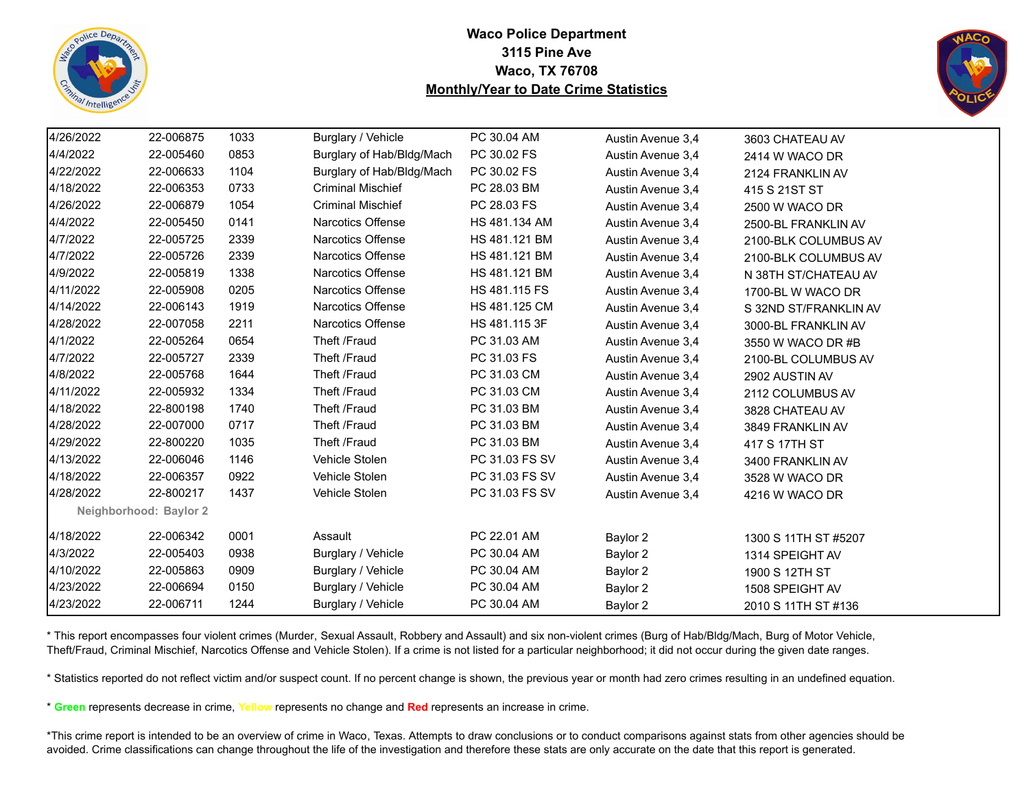



| 4/26/2022 | 22-006875              | 1033 | Burglary / Vehicle        | PC 30.04 AM    | Austin Avenue 3,4 | 3603 CHATEAU AV       |
|-----------|------------------------|------|---------------------------|----------------|-------------------|-----------------------|
| 4/4/2022  | 22-005460              | 0853 | Burglary of Hab/Bldg/Mach | PC 30.02 FS    | Austin Avenue 3,4 | 2414 W WACO DR        |
| 4/22/2022 | 22-006633              | 1104 | Burglary of Hab/Bldg/Mach | PC 30.02 FS    | Austin Avenue 3.4 | 2124 FRANKLIN AV      |
| 4/18/2022 | 22-006353              | 0733 | <b>Criminal Mischief</b>  | PC 28.03 BM    | Austin Avenue 3.4 | 415 S 21ST ST         |
| 4/26/2022 | 22-006879              | 1054 | <b>Criminal Mischief</b>  | PC 28.03 FS    | Austin Avenue 3,4 | 2500 W WACO DR        |
| 4/4/2022  | 22-005450              | 0141 | <b>Narcotics Offense</b>  | HS 481.134 AM  | Austin Avenue 3,4 | 2500-BL FRANKLIN AV   |
| 4/7/2022  | 22-005725              | 2339 | <b>Narcotics Offense</b>  | HS 481.121 BM  | Austin Avenue 3,4 | 2100-BLK COLUMBUS AV  |
| 4/7/2022  | 22-005726              | 2339 | <b>Narcotics Offense</b>  | HS 481.121 BM  | Austin Avenue 3,4 | 2100-BLK COLUMBUS AV  |
| 4/9/2022  | 22-005819              | 1338 | <b>Narcotics Offense</b>  | HS 481.121 BM  | Austin Avenue 3,4 | N 38TH ST/CHATEAU AV  |
| 4/11/2022 | 22-005908              | 0205 | <b>Narcotics Offense</b>  | HS 481.115 FS  | Austin Avenue 3,4 | 1700-BL W WACO DR     |
| 4/14/2022 | 22-006143              | 1919 | Narcotics Offense         | HS 481.125 CM  | Austin Avenue 3,4 | S 32ND ST/FRANKLIN AV |
| 4/28/2022 | 22-007058              | 2211 | <b>Narcotics Offense</b>  | HS 481.115 3F  | Austin Avenue 3.4 | 3000-BL FRANKLIN AV   |
| 4/1/2022  | 22-005264              | 0654 | Theft /Fraud              | PC 31.03 AM    | Austin Avenue 3.4 | 3550 W WACO DR #B     |
| 4/7/2022  | 22-005727              | 2339 | Theft /Fraud              | PC 31.03 FS    | Austin Avenue 3,4 | 2100-BL COLUMBUS AV   |
| 4/8/2022  | 22-005768              | 1644 | Theft /Fraud              | PC 31.03 CM    | Austin Avenue 3,4 | 2902 AUSTIN AV        |
| 4/11/2022 | 22-005932              | 1334 | Theft /Fraud              | PC 31.03 CM    | Austin Avenue 3,4 | 2112 COLUMBUS AV      |
| 4/18/2022 | 22-800198              | 1740 | Theft /Fraud              | PC 31.03 BM    | Austin Avenue 3,4 | 3828 CHATEAU AV       |
| 4/28/2022 | 22-007000              | 0717 | Theft /Fraud              | PC 31.03 BM    | Austin Avenue 3,4 | 3849 FRANKLIN AV      |
| 4/29/2022 | 22-800220              | 1035 | Theft /Fraud              | PC 31.03 BM    | Austin Avenue 3,4 | 417 S 17TH ST         |
| 4/13/2022 | 22-006046              | 1146 | Vehicle Stolen            | PC 31.03 FS SV | Austin Avenue 3,4 | 3400 FRANKLIN AV      |
| 4/18/2022 | 22-006357              | 0922 | Vehicle Stolen            | PC 31.03 FS SV | Austin Avenue 3,4 | 3528 W WACO DR        |
| 4/28/2022 | 22-800217              | 1437 | Vehicle Stolen            | PC 31.03 FS SV | Austin Avenue 3,4 | 4216 W WACO DR        |
|           | Neighborhood: Baylor 2 |      |                           |                |                   |                       |
| 4/18/2022 | 22-006342              | 0001 | Assault                   | PC 22.01 AM    | Baylor 2          | 1300 S 11TH ST #5207  |
| 4/3/2022  | 22-005403              | 0938 | Burglary / Vehicle        | PC 30.04 AM    | Baylor 2          | 1314 SPEIGHT AV       |
| 4/10/2022 | 22-005863              | 0909 | Burglary / Vehicle        | PC 30.04 AM    | Baylor 2          | 1900 S 12TH ST        |
| 4/23/2022 | 22-006694              | 0150 | Burglary / Vehicle        | PC 30.04 AM    | Baylor 2          | 1508 SPEIGHT AV       |
| 4/23/2022 | 22-006711              | 1244 | Burglary / Vehicle        | PC 30.04 AM    | Baylor 2          | 2010 S 11TH ST #136   |

\* This report encompasses four violent crimes (Murder, Sexual Assault, Robbery and Assault) and six non-violent crimes (Burg of Hab/Bldg/Mach, Burg of Motor Vehicle, Theft/Fraud, Criminal Mischief, Narcotics Offense and Vehicle Stolen). If a crime is not listed for a particular neighborhood; it did not occur during the given date ranges.

\* Statistics reported do not reflect victim and/or suspect count. If no percent change is shown, the previous year or month had zero crimes resulting in an undefined equation.

\* **Green** represents decrease in crime, **Yellow** represents no change and **Red** represents an increase in crime.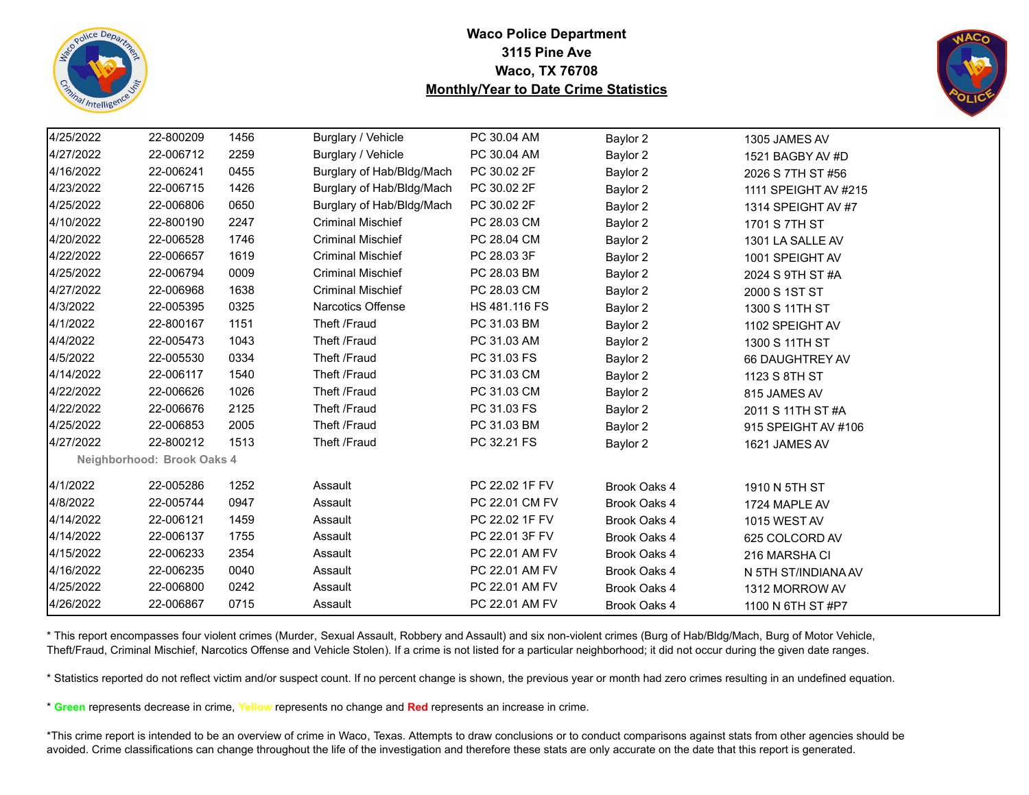



| 4/25/2022 | 22-800209                  | 1456 | Burglary / Vehicle        | PC 30.04 AM    | Baylor 2     | 1305 JAMES AV        |
|-----------|----------------------------|------|---------------------------|----------------|--------------|----------------------|
| 4/27/2022 | 22-006712                  | 2259 | Burglary / Vehicle        | PC 30.04 AM    | Baylor 2     | 1521 BAGBY AV #D     |
| 4/16/2022 | 22-006241                  | 0455 | Burglary of Hab/Bldg/Mach | PC 30.02 2F    | Baylor 2     | 2026 S 7TH ST #56    |
| 4/23/2022 | 22-006715                  | 1426 | Burglary of Hab/Bldg/Mach | PC 30.02 2F    | Baylor 2     | 1111 SPEIGHT AV #215 |
| 4/25/2022 | 22-006806                  | 0650 | Burglary of Hab/Bldg/Mach | PC 30.02 2F    | Baylor 2     | 1314 SPEIGHT AV #7   |
| 4/10/2022 | 22-800190                  | 2247 | <b>Criminal Mischief</b>  | PC 28.03 CM    | Baylor 2     | 1701 S 7TH ST        |
| 4/20/2022 | 22-006528                  | 1746 | <b>Criminal Mischief</b>  | PC 28.04 CM    | Baylor 2     | 1301 LA SALLE AV     |
| 4/22/2022 | 22-006657                  | 1619 | <b>Criminal Mischief</b>  | PC 28.03 3F    | Baylor 2     | 1001 SPEIGHT AV      |
| 4/25/2022 | 22-006794                  | 0009 | <b>Criminal Mischief</b>  | PC 28.03 BM    | Baylor 2     | 2024 S 9TH ST #A     |
| 4/27/2022 | 22-006968                  | 1638 | <b>Criminal Mischief</b>  | PC 28.03 CM    | Baylor 2     | 2000 S 1ST ST        |
| 4/3/2022  | 22-005395                  | 0325 | <b>Narcotics Offense</b>  | HS 481.116 FS  | Baylor 2     | 1300 S 11TH ST       |
| 4/1/2022  | 22-800167                  | 1151 | Theft /Fraud              | PC 31.03 BM    | Baylor 2     | 1102 SPEIGHT AV      |
| 4/4/2022  | 22-005473                  | 1043 | Theft /Fraud              | PC 31.03 AM    | Baylor 2     | 1300 S 11TH ST       |
| 4/5/2022  | 22-005530                  | 0334 | Theft /Fraud              | PC 31.03 FS    | Baylor 2     | 66 DAUGHTREY AV      |
| 4/14/2022 | 22-006117                  | 1540 | Theft /Fraud              | PC 31.03 CM    | Baylor 2     | 1123 S 8TH ST        |
| 4/22/2022 | 22-006626                  | 1026 | Theft /Fraud              | PC 31.03 CM    | Baylor 2     | 815 JAMES AV         |
| 4/22/2022 | 22-006676                  | 2125 | Theft /Fraud              | PC 31.03 FS    | Baylor 2     | 2011 S 11TH ST #A    |
| 4/25/2022 | 22-006853                  | 2005 | Theft /Fraud              | PC 31.03 BM    | Baylor 2     | 915 SPEIGHT AV #106  |
| 4/27/2022 | 22-800212                  | 1513 | Theft /Fraud              | PC 32.21 FS    | Baylor 2     | 1621 JAMES AV        |
|           | Neighborhood: Brook Oaks 4 |      |                           |                |              |                      |
| 4/1/2022  | 22-005286                  | 1252 | Assault                   | PC 22.02 1F FV | Brook Oaks 4 | 1910 N 5TH ST        |
| 4/8/2022  | 22-005744                  | 0947 | Assault                   | PC 22.01 CM FV | Brook Oaks 4 | 1724 MAPLE AV        |
| 4/14/2022 | 22-006121                  | 1459 | Assault                   | PC 22.02 1F FV | Brook Oaks 4 | <b>1015 WEST AV</b>  |
| 4/14/2022 | 22-006137                  | 1755 | Assault                   | PC 22.01 3F FV | Brook Oaks 4 | 625 COLCORD AV       |
| 4/15/2022 | 22-006233                  | 2354 | Assault                   | PC 22.01 AM FV | Brook Oaks 4 | 216 MARSHA CI        |
| 4/16/2022 | 22-006235                  | 0040 | Assault                   | PC 22.01 AM FV | Brook Oaks 4 | N 5TH ST/INDIANA AV  |
| 4/25/2022 | 22-006800                  | 0242 | Assault                   | PC 22.01 AM FV | Brook Oaks 4 | 1312 MORROW AV       |
| 4/26/2022 | 22-006867                  | 0715 | Assault                   | PC 22.01 AM FV | Brook Oaks 4 | 1100 N 6TH ST #P7    |

\* This report encompasses four violent crimes (Murder, Sexual Assault, Robbery and Assault) and six non-violent crimes (Burg of Hab/Bldg/Mach, Burg of Motor Vehicle, Theft/Fraud, Criminal Mischief, Narcotics Offense and Vehicle Stolen). If a crime is not listed for a particular neighborhood; it did not occur during the given date ranges.

\* Statistics reported do not reflect victim and/or suspect count. If no percent change is shown, the previous year or month had zero crimes resulting in an undefined equation.

\* **Green** represents decrease in crime, **Yellow** represents no change and **Red** represents an increase in crime.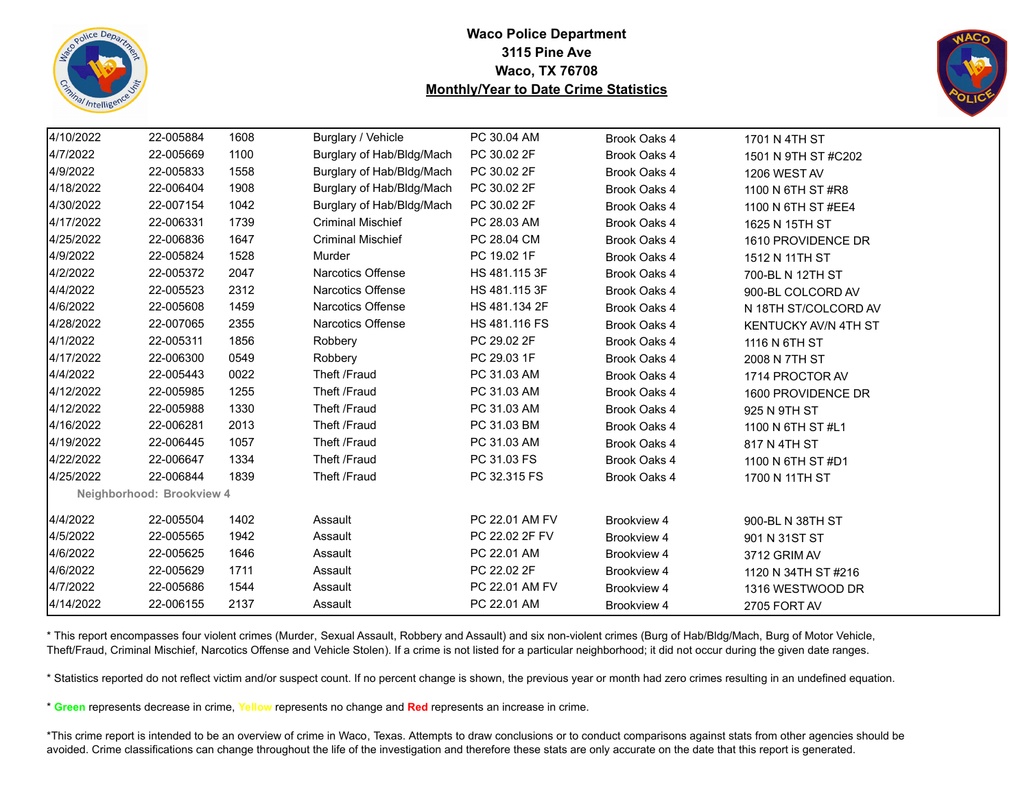



| 4/10/2022 | 22-005884                 | 1608 | Burglary / Vehicle        | PC 30.04 AM    | Brook Oaks 4 | 1701 N 4TH ST               |
|-----------|---------------------------|------|---------------------------|----------------|--------------|-----------------------------|
| 4/7/2022  | 22-005669                 | 1100 | Burglary of Hab/Bldg/Mach | PC 30.02 2F    | Brook Oaks 4 | 1501 N 9TH ST #C202         |
| 4/9/2022  | 22-005833                 | 1558 | Burglary of Hab/Bldg/Mach | PC 30.02 2F    | Brook Oaks 4 | 1206 WEST AV                |
| 4/18/2022 | 22-006404                 | 1908 | Burglary of Hab/Bldg/Mach | PC 30.02 2F    | Brook Oaks 4 | 1100 N 6TH ST #R8           |
| 4/30/2022 | 22-007154                 | 1042 | Burglary of Hab/Bldg/Mach | PC 30.02 2F    | Brook Oaks 4 | 1100 N 6TH ST #EE4          |
| 4/17/2022 | 22-006331                 | 1739 | <b>Criminal Mischief</b>  | PC 28.03 AM    | Brook Oaks 4 | 1625 N 15TH ST              |
| 4/25/2022 | 22-006836                 | 1647 | <b>Criminal Mischief</b>  | PC 28.04 CM    | Brook Oaks 4 | 1610 PROVIDENCE DR          |
| 4/9/2022  | 22-005824                 | 1528 | Murder                    | PC 19.02 1F    | Brook Oaks 4 | 1512 N 11TH ST              |
| 4/2/2022  | 22-005372                 | 2047 | <b>Narcotics Offense</b>  | HS 481.115 3F  | Brook Oaks 4 | 700-BL N 12TH ST            |
| 4/4/2022  | 22-005523                 | 2312 | Narcotics Offense         | HS 481.115 3F  | Brook Oaks 4 | 900-BL COLCORD AV           |
| 4/6/2022  | 22-005608                 | 1459 | Narcotics Offense         | HS 481.134 2F  | Brook Oaks 4 | N 18TH ST/COLCORD AV        |
| 4/28/2022 | 22-007065                 | 2355 | <b>Narcotics Offense</b>  | HS 481.116 FS  | Brook Oaks 4 | <b>KENTUCKY AV/N 4TH ST</b> |
| 4/1/2022  | 22-005311                 | 1856 | Robbery                   | PC 29.02 2F    | Brook Oaks 4 | 1116 N 6TH ST               |
| 4/17/2022 | 22-006300                 | 0549 | Robbery                   | PC 29.03 1F    | Brook Oaks 4 | 2008 N 7TH ST               |
| 4/4/2022  | 22-005443                 | 0022 | Theft /Fraud              | PC 31.03 AM    | Brook Oaks 4 | 1714 PROCTOR AV             |
| 4/12/2022 | 22-005985                 | 1255 | Theft /Fraud              | PC 31.03 AM    | Brook Oaks 4 | 1600 PROVIDENCE DR          |
| 4/12/2022 | 22-005988                 | 1330 | Theft /Fraud              | PC 31.03 AM    | Brook Oaks 4 | 925 N 9TH ST                |
| 4/16/2022 | 22-006281                 | 2013 | Theft /Fraud              | PC 31.03 BM    | Brook Oaks 4 | 1100 N 6TH ST #L1           |
| 4/19/2022 | 22-006445                 | 1057 | Theft /Fraud              | PC 31.03 AM    | Brook Oaks 4 | 817 N 4TH ST                |
| 4/22/2022 | 22-006647                 | 1334 | Theft /Fraud              | PC 31.03 FS    | Brook Oaks 4 | 1100 N 6TH ST #D1           |
| 4/25/2022 | 22-006844                 | 1839 | Theft /Fraud              | PC 32.315 FS   | Brook Oaks 4 | 1700 N 11TH ST              |
|           | Neighborhood: Brookview 4 |      |                           |                |              |                             |
| 4/4/2022  | 22-005504                 | 1402 | Assault                   | PC 22.01 AM FV | Brookview 4  | 900-BL N 38TH ST            |
| 4/5/2022  | 22-005565                 | 1942 | Assault                   | PC 22.02 2F FV | Brookview 4  | 901 N 31ST ST               |
| 4/6/2022  | 22-005625                 | 1646 | Assault                   | PC 22.01 AM    | Brookview 4  | 3712 GRIM AV                |
| 4/6/2022  | 22-005629                 | 1711 | Assault                   | PC 22.02 2F    | Brookview 4  | 1120 N 34TH ST #216         |
| 4/7/2022  | 22-005686                 | 1544 | Assault                   | PC 22.01 AM FV | Brookview 4  | 1316 WESTWOOD DR            |
| 4/14/2022 | 22-006155                 | 2137 | Assault                   | PC 22.01 AM    | Brookview 4  | 2705 FORT AV                |

\* This report encompasses four violent crimes (Murder, Sexual Assault, Robbery and Assault) and six non-violent crimes (Burg of Hab/Bldg/Mach, Burg of Motor Vehicle, Theft/Fraud, Criminal Mischief, Narcotics Offense and Vehicle Stolen). If a crime is not listed for a particular neighborhood; it did not occur during the given date ranges.

\* Statistics reported do not reflect victim and/or suspect count. If no percent change is shown, the previous year or month had zero crimes resulting in an undefined equation.

\* **Green** represents decrease in crime, **Yellow** represents no change and **Red** represents an increase in crime.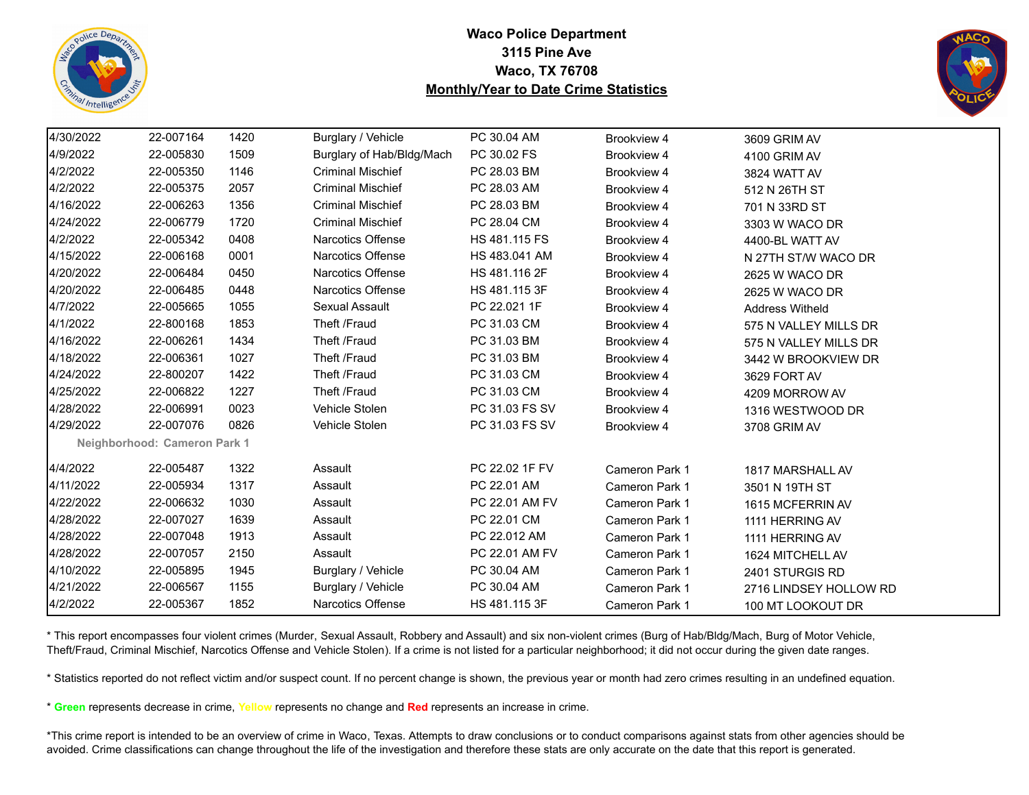



| 4/30/2022 | 22-007164                    | 1420 | Burglary / Vehicle        | PC 30.04 AM    |                       |                        |  |
|-----------|------------------------------|------|---------------------------|----------------|-----------------------|------------------------|--|
|           |                              |      |                           |                | Brookview 4           | 3609 GRIM AV           |  |
| 4/9/2022  | 22-005830                    | 1509 | Burglary of Hab/Bldg/Mach | PC 30.02 FS    | Brookview 4           | 4100 GRIM AV           |  |
| 4/2/2022  | 22-005350                    | 1146 | <b>Criminal Mischief</b>  | PC 28.03 BM    | Brookview 4           | 3824 WATT AV           |  |
| 4/2/2022  | 22-005375                    | 2057 | <b>Criminal Mischief</b>  | PC 28.03 AM    | Brookview 4           | 512 N 26TH ST          |  |
| 4/16/2022 | 22-006263                    | 1356 | <b>Criminal Mischief</b>  | PC 28.03 BM    | Brookview 4           | 701 N 33RD ST          |  |
| 4/24/2022 | 22-006779                    | 1720 | <b>Criminal Mischief</b>  | PC 28.04 CM    | Brookview 4           | 3303 W WACO DR         |  |
| 4/2/2022  | 22-005342                    | 0408 | Narcotics Offense         | HS 481.115 FS  | Brookview 4           | 4400-BL WATT AV        |  |
| 4/15/2022 | 22-006168                    | 0001 | <b>Narcotics Offense</b>  | HS 483.041 AM  | Brookview 4           | N 27TH ST/W WACO DR    |  |
| 4/20/2022 | 22-006484                    | 0450 | <b>Narcotics Offense</b>  | HS 481.116 2F  | Brookview 4           | 2625 W WACO DR         |  |
| 4/20/2022 | 22-006485                    | 0448 | <b>Narcotics Offense</b>  | HS 481.115 3F  | Brookview 4           | 2625 W WACO DR         |  |
| 4/7/2022  | 22-005665                    | 1055 | Sexual Assault            | PC 22.021 1F   | Brookview 4           | <b>Address Witheld</b> |  |
| 4/1/2022  | 22-800168                    | 1853 | Theft /Fraud              | PC 31.03 CM    | Brookview 4           | 575 N VALLEY MILLS DR  |  |
| 4/16/2022 | 22-006261                    | 1434 | Theft /Fraud              | PC 31.03 BM    | Brookview 4           | 575 N VALLEY MILLS DR  |  |
| 4/18/2022 | 22-006361                    | 1027 | Theft /Fraud              | PC 31.03 BM    | Brookview 4           | 3442 W BROOKVIEW DR    |  |
| 4/24/2022 | 22-800207                    | 1422 | Theft /Fraud              | PC 31.03 CM    | Brookview 4           | 3629 FORT AV           |  |
| 4/25/2022 | 22-006822                    | 1227 | Theft /Fraud              | PC 31.03 CM    | Brookview 4           | 4209 MORROW AV         |  |
| 4/28/2022 | 22-006991                    | 0023 | Vehicle Stolen            | PC 31.03 FS SV | Brookview 4           | 1316 WESTWOOD DR       |  |
| 4/29/2022 | 22-007076                    | 0826 | Vehicle Stolen            | PC 31.03 FS SV | Brookview 4           | 3708 GRIM AV           |  |
|           | Neighborhood: Cameron Park 1 |      |                           |                |                       |                        |  |
| 4/4/2022  | 22-005487                    | 1322 | Assault                   | PC 22.02 1F FV | Cameron Park 1        | 1817 MARSHALL AV       |  |
| 4/11/2022 | 22-005934                    | 1317 | Assault                   | PC 22.01 AM    | Cameron Park 1        | 3501 N 19TH ST         |  |
| 4/22/2022 | 22-006632                    | 1030 | Assault                   | PC 22.01 AM FV | Cameron Park 1        | 1615 MCFERRIN AV       |  |
| 4/28/2022 | 22-007027                    | 1639 | Assault                   | PC 22.01 CM    | Cameron Park 1        | 1111 HERRING AV        |  |
| 4/28/2022 | 22-007048                    | 1913 | Assault                   | PC 22.012 AM   | <b>Cameron Park 1</b> | 1111 HERRING AV        |  |
| 4/28/2022 | 22-007057                    | 2150 | Assault                   | PC 22.01 AM FV | Cameron Park 1        | 1624 MITCHELL AV       |  |
| 4/10/2022 | 22-005895                    | 1945 | Burglary / Vehicle        | PC 30.04 AM    | <b>Cameron Park 1</b> | 2401 STURGIS RD        |  |
| 4/21/2022 | 22-006567                    | 1155 | Burglary / Vehicle        | PC 30.04 AM    | <b>Cameron Park 1</b> | 2716 LINDSEY HOLLOW RD |  |
| 4/2/2022  | 22-005367                    | 1852 | Narcotics Offense         | HS 481.115 3F  | <b>Cameron Park 1</b> | 100 MT LOOKOUT DR      |  |

\* This report encompasses four violent crimes (Murder, Sexual Assault, Robbery and Assault) and six non-violent crimes (Burg of Hab/Bldg/Mach, Burg of Motor Vehicle, Theft/Fraud, Criminal Mischief, Narcotics Offense and Vehicle Stolen). If a crime is not listed for a particular neighborhood; it did not occur during the given date ranges.

\* Statistics reported do not reflect victim and/or suspect count. If no percent change is shown, the previous year or month had zero crimes resulting in an undefined equation.

\* **Green** represents decrease in crime, **Yellow** represents no change and **Red** represents an increase in crime.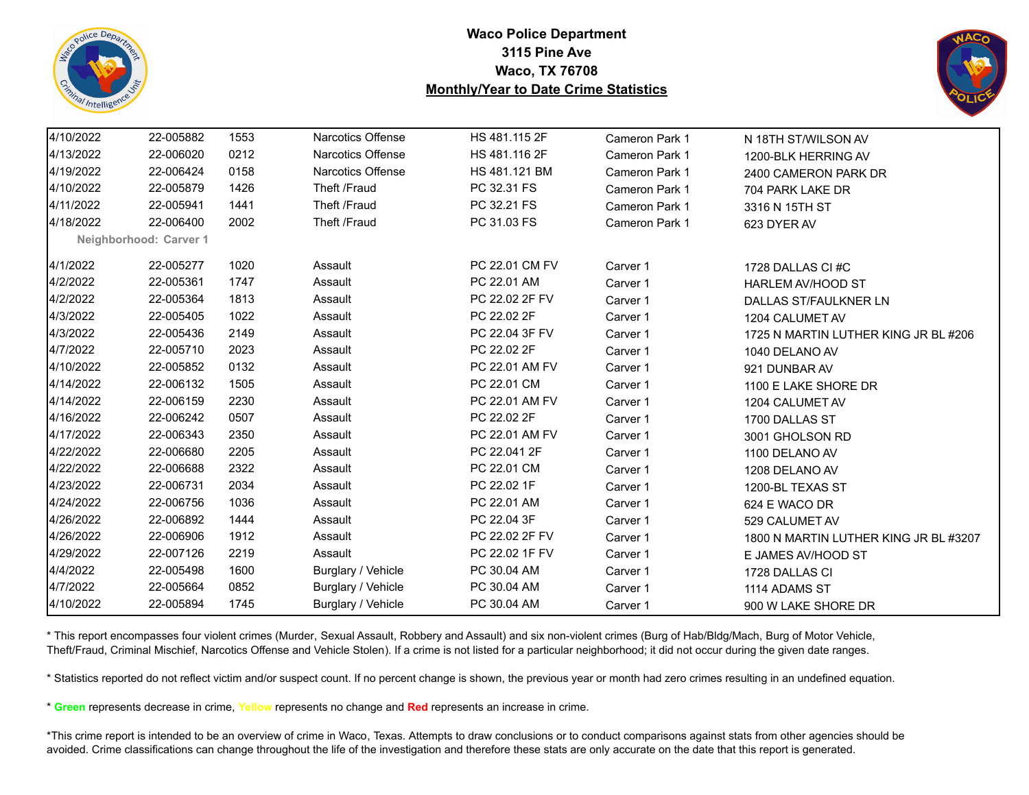



| 4/10/2022 | 22-005882              | 1553 | <b>Narcotics Offense</b> | HS 481.115 2F  | Cameron Park 1        | N 18TH ST/WILSON AV                   |
|-----------|------------------------|------|--------------------------|----------------|-----------------------|---------------------------------------|
| 4/13/2022 | 22-006020              | 0212 | Narcotics Offense        | HS 481.116 2F  | <b>Cameron Park 1</b> | 1200-BLK HERRING AV                   |
| 4/19/2022 | 22-006424              | 0158 | <b>Narcotics Offense</b> | HS 481.121 BM  | <b>Cameron Park 1</b> | 2400 CAMERON PARK DR                  |
| 4/10/2022 | 22-005879              | 1426 | Theft /Fraud             | PC 32.31 FS    | Cameron Park 1        | 704 PARK LAKE DR                      |
| 4/11/2022 | 22-005941              | 1441 | Theft /Fraud             | PC 32.21 FS    | <b>Cameron Park 1</b> | 3316 N 15TH ST                        |
| 4/18/2022 | 22-006400              | 2002 | Theft /Fraud             | PC 31.03 FS    | Cameron Park 1        | 623 DYER AV                           |
|           | Neighborhood: Carver 1 |      |                          |                |                       |                                       |
| 4/1/2022  | 22-005277              | 1020 | Assault                  | PC 22.01 CM FV | Carver 1              | 1728 DALLAS CI#C                      |
| 4/2/2022  | 22-005361              | 1747 | Assault                  | PC 22.01 AM    | Carver 1              | HARLEM AV/HOOD ST                     |
| 4/2/2022  | 22-005364              | 1813 | Assault                  | PC 22.02 2F FV | Carver 1              | DALLAS ST/FAULKNER LN                 |
| 4/3/2022  | 22-005405              | 1022 | Assault                  | PC 22.02 2F    | Carver 1              | 1204 CALUMET AV                       |
| 4/3/2022  | 22-005436              | 2149 | Assault                  | PC 22.04 3F FV | Carver 1              | 1725 N MARTIN LUTHER KING JR BL #206  |
| 4/7/2022  | 22-005710              | 2023 | Assault                  | PC 22.02 2F    | Carver 1              | 1040 DELANO AV                        |
| 4/10/2022 | 22-005852              | 0132 | Assault                  | PC 22.01 AM FV | Carver 1              | 921 DUNBAR AV                         |
| 4/14/2022 | 22-006132              | 1505 | Assault                  | PC 22.01 CM    | Carver 1              | 1100 E LAKE SHORE DR                  |
| 4/14/2022 | 22-006159              | 2230 | Assault                  | PC 22.01 AM FV | Carver 1              | 1204 CALUMET AV                       |
| 4/16/2022 | 22-006242              | 0507 | Assault                  | PC 22.02 2F    | Carver 1              | 1700 DALLAS ST                        |
| 4/17/2022 | 22-006343              | 2350 | Assault                  | PC 22.01 AM FV | Carver 1              | 3001 GHOLSON RD                       |
| 4/22/2022 | 22-006680              | 2205 | Assault                  | PC 22.041 2F   | Carver 1              | 1100 DELANO AV                        |
| 4/22/2022 | 22-006688              | 2322 | Assault                  | PC 22.01 CM    | Carver 1              | 1208 DELANO AV                        |
| 4/23/2022 | 22-006731              | 2034 | Assault                  | PC 22.02 1F    | Carver 1              | 1200-BL TEXAS ST                      |
| 4/24/2022 | 22-006756              | 1036 | Assault                  | PC 22.01 AM    | Carver 1              | 624 E WACO DR                         |
| 4/26/2022 | 22-006892              | 1444 | Assault                  | PC 22.04 3F    | Carver 1              | 529 CALUMET AV                        |
| 4/26/2022 | 22-006906              | 1912 | Assault                  | PC 22.02 2F FV | Carver 1              | 1800 N MARTIN LUTHER KING JR BL #3207 |
| 4/29/2022 | 22-007126              | 2219 | Assault                  | PC 22.02 1F FV | Carver 1              | E JAMES AV/HOOD ST                    |
| 4/4/2022  | 22-005498              | 1600 | Burglary / Vehicle       | PC 30.04 AM    | Carver 1              | 1728 DALLAS CI                        |
| 4/7/2022  | 22-005664              | 0852 | Burglary / Vehicle       | PC 30.04 AM    | Carver 1              | 1114 ADAMS ST                         |
| 4/10/2022 | 22-005894              | 1745 | Burglary / Vehicle       | PC 30.04 AM    | Carver 1              | 900 W LAKE SHORE DR                   |

\* This report encompasses four violent crimes (Murder, Sexual Assault, Robbery and Assault) and six non-violent crimes (Burg of Hab/Bldg/Mach, Burg of Motor Vehicle, Theft/Fraud, Criminal Mischief, Narcotics Offense and Vehicle Stolen). If a crime is not listed for a particular neighborhood; it did not occur during the given date ranges.

\* Statistics reported do not reflect victim and/or suspect count. If no percent change is shown, the previous year or month had zero crimes resulting in an undefined equation.

\* **Green** represents decrease in crime, **Yellow** represents no change and **Red** represents an increase in crime.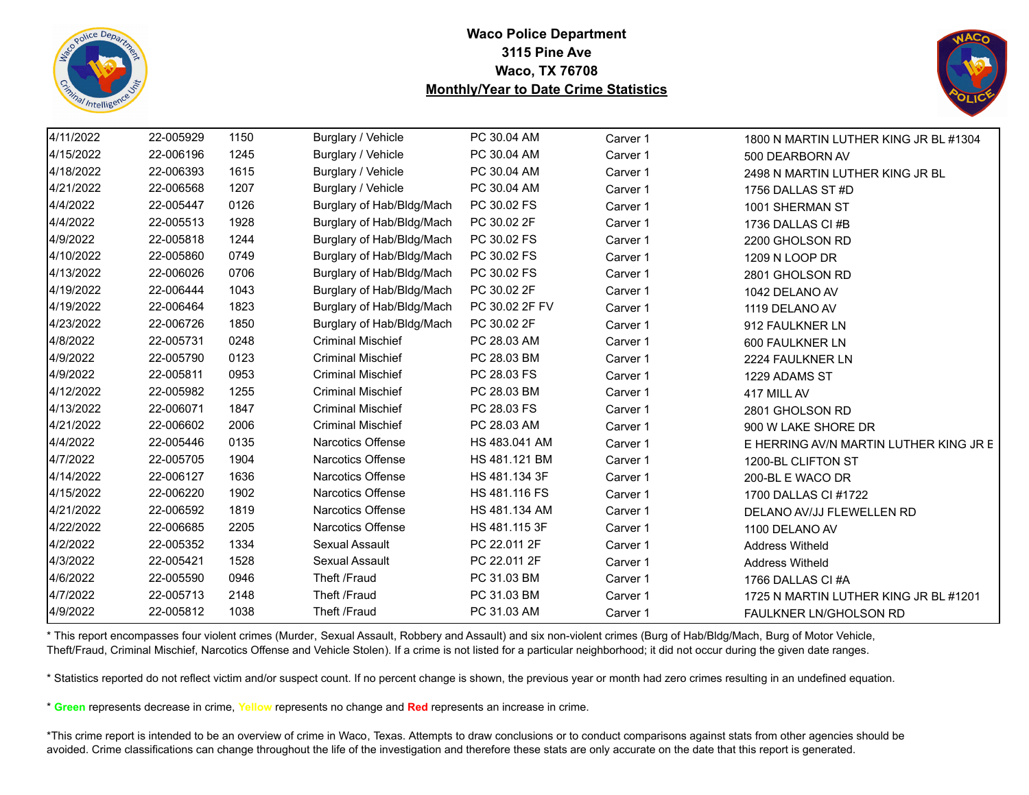



| 4/11/2022 | 22-005929 | 1150 | Burglary / Vehicle        | PC 30.04 AM    | Carver 1 | 1800 N MARTIN LUTHER KING JR BL #1304  |
|-----------|-----------|------|---------------------------|----------------|----------|----------------------------------------|
| 4/15/2022 | 22-006196 | 1245 | Burglary / Vehicle        | PC 30.04 AM    | Carver 1 | 500 DEARBORN AV                        |
| 4/18/2022 | 22-006393 | 1615 | Burglary / Vehicle        | PC 30.04 AM    | Carver 1 | 2498 N MARTIN LUTHER KING JR BL        |
| 4/21/2022 | 22-006568 | 1207 | Burglary / Vehicle        | PC 30.04 AM    | Carver 1 | 1756 DALLAS ST #D                      |
| 4/4/2022  | 22-005447 | 0126 | Burglary of Hab/Bldg/Mach | PC 30.02 FS    | Carver 1 | 1001 SHERMAN ST                        |
| 4/4/2022  | 22-005513 | 1928 | Burglary of Hab/Bldg/Mach | PC 30.02 2F    | Carver 1 | 1736 DALLAS CI#B                       |
| 4/9/2022  | 22-005818 | 1244 | Burglary of Hab/Bldg/Mach | PC 30.02 FS    | Carver 1 | 2200 GHOLSON RD                        |
| 4/10/2022 | 22-005860 | 0749 | Burglary of Hab/Bldg/Mach | PC 30.02 FS    | Carver 1 | 1209 N LOOP DR                         |
| 4/13/2022 | 22-006026 | 0706 | Burglary of Hab/Bldg/Mach | PC 30.02 FS    | Carver 1 | 2801 GHOLSON RD                        |
| 4/19/2022 | 22-006444 | 1043 | Burglary of Hab/Bldg/Mach | PC 30.02 2F    | Carver 1 | 1042 DELANO AV                         |
| 4/19/2022 | 22-006464 | 1823 | Burglary of Hab/Bldg/Mach | PC 30.02 2F FV | Carver 1 | 1119 DELANO AV                         |
| 4/23/2022 | 22-006726 | 1850 | Burglary of Hab/Bldg/Mach | PC 30.02 2F    | Carver 1 | 912 FAULKNER LN                        |
| 4/8/2022  | 22-005731 | 0248 | <b>Criminal Mischief</b>  | PC 28.03 AM    | Carver 1 | 600 FAULKNER LN                        |
| 4/9/2022  | 22-005790 | 0123 | <b>Criminal Mischief</b>  | PC 28.03 BM    | Carver 1 | 2224 FAULKNER LN                       |
| 4/9/2022  | 22-005811 | 0953 | <b>Criminal Mischief</b>  | PC 28.03 FS    | Carver 1 | 1229 ADAMS ST                          |
| 4/12/2022 | 22-005982 | 1255 | <b>Criminal Mischief</b>  | PC 28.03 BM    | Carver 1 | 417 MILL AV                            |
| 4/13/2022 | 22-006071 | 1847 | <b>Criminal Mischief</b>  | PC 28.03 FS    | Carver 1 | 2801 GHOLSON RD                        |
| 4/21/2022 | 22-006602 | 2006 | <b>Criminal Mischief</b>  | PC 28.03 AM    | Carver 1 | 900 W LAKE SHORE DR                    |
| 4/4/2022  | 22-005446 | 0135 | Narcotics Offense         | HS 483.041 AM  | Carver 1 | E HERRING AV/N MARTIN LUTHER KING JR E |
| 4/7/2022  | 22-005705 | 1904 | <b>Narcotics Offense</b>  | HS 481.121 BM  | Carver 1 | 1200-BL CLIFTON ST                     |
| 4/14/2022 | 22-006127 | 1636 | Narcotics Offense         | HS 481.134 3F  | Carver 1 | 200-BL E WACO DR                       |
| 4/15/2022 | 22-006220 | 1902 | <b>Narcotics Offense</b>  | HS 481.116 FS  | Carver 1 | 1700 DALLAS CI #1722                   |
| 4/21/2022 | 22-006592 | 1819 | <b>Narcotics Offense</b>  | HS 481.134 AM  | Carver 1 | DELANO AV/JJ FLEWELLEN RD              |
| 4/22/2022 | 22-006685 | 2205 | Narcotics Offense         | HS 481.115 3F  | Carver 1 | 1100 DELANO AV                         |
| 4/2/2022  | 22-005352 | 1334 | Sexual Assault            | PC 22.011 2F   | Carver 1 | <b>Address Witheld</b>                 |
| 4/3/2022  | 22-005421 | 1528 | Sexual Assault            | PC 22.011 2F   | Carver 1 | <b>Address Witheld</b>                 |
| 4/6/2022  | 22-005590 | 0946 | Theft /Fraud              | PC 31.03 BM    | Carver 1 | 1766 DALLAS CI#A                       |
| 4/7/2022  | 22-005713 | 2148 | Theft /Fraud              | PC 31.03 BM    | Carver 1 | 1725 N MARTIN LUTHER KING JR BL #1201  |
| 4/9/2022  | 22-005812 | 1038 | Theft /Fraud              | PC 31.03 AM    | Carver 1 | FAULKNER LN/GHOLSON RD                 |

\* This report encompasses four violent crimes (Murder, Sexual Assault, Robbery and Assault) and six non-violent crimes (Burg of Hab/Bldg/Mach, Burg of Motor Vehicle, Theft/Fraud, Criminal Mischief, Narcotics Offense and Vehicle Stolen). If a crime is not listed for a particular neighborhood; it did not occur during the given date ranges.

\* Statistics reported do not reflect victim and/or suspect count. If no percent change is shown, the previous year or month had zero crimes resulting in an undefined equation.

\* **Green** represents decrease in crime, **Yellow** represents no change and **Red** represents an increase in crime.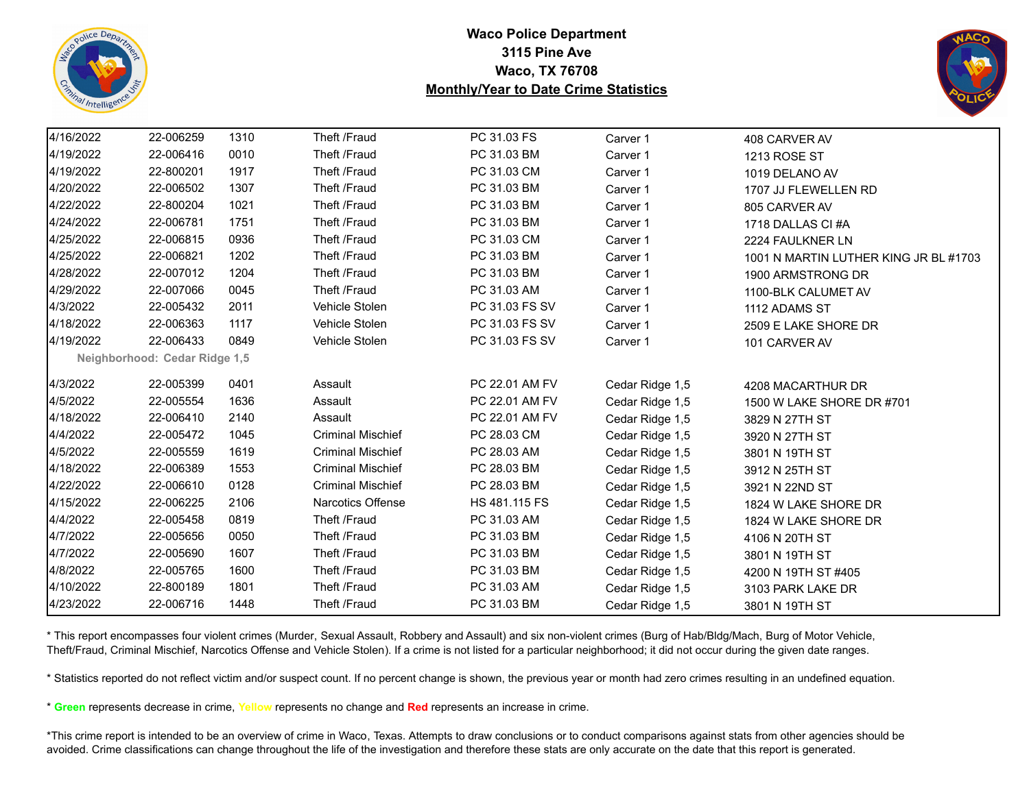



| 4/16/2022 | 22-006259                     | 1310 | Theft /Fraud             | PC 31.03 FS    | Carver 1        | 408 CARVER AV                         |
|-----------|-------------------------------|------|--------------------------|----------------|-----------------|---------------------------------------|
| 4/19/2022 | 22-006416                     | 0010 | Theft /Fraud             | PC 31.03 BM    | Carver 1        | 1213 ROSE ST                          |
| 4/19/2022 | 22-800201                     | 1917 | Theft /Fraud             | PC 31.03 CM    | Carver 1        | 1019 DELANO AV                        |
| 4/20/2022 | 22-006502                     | 1307 | Theft /Fraud             | PC 31.03 BM    | Carver 1        | 1707 JJ FLEWELLEN RD                  |
| 4/22/2022 | 22-800204                     | 1021 | Theft /Fraud             | PC 31.03 BM    | Carver 1        | 805 CARVER AV                         |
| 4/24/2022 | 22-006781                     | 1751 | Theft /Fraud             | PC 31.03 BM    | Carver 1        | 1718 DALLAS CI #A                     |
| 4/25/2022 | 22-006815                     | 0936 | Theft /Fraud             | PC 31.03 CM    | Carver 1        | 2224 FAULKNER LN                      |
| 4/25/2022 | 22-006821                     | 1202 | Theft /Fraud             | PC 31.03 BM    | Carver 1        | 1001 N MARTIN LUTHER KING JR BL #1703 |
| 4/28/2022 | 22-007012                     | 1204 | Theft /Fraud             | PC 31.03 BM    | Carver 1        | 1900 ARMSTRONG DR                     |
| 4/29/2022 | 22-007066                     | 0045 | Theft /Fraud             | PC 31.03 AM    | Carver 1        | 1100-BLK CALUMET AV                   |
| 4/3/2022  | 22-005432                     | 2011 | Vehicle Stolen           | PC 31.03 FS SV | Carver 1        | 1112 ADAMS ST                         |
| 4/18/2022 | 22-006363                     | 1117 | Vehicle Stolen           | PC 31.03 FS SV | Carver 1        | 2509 E LAKE SHORE DR                  |
| 4/19/2022 | 22-006433                     | 0849 | Vehicle Stolen           | PC 31.03 FS SV | Carver 1        | 101 CARVER AV                         |
|           | Neighborhood: Cedar Ridge 1,5 |      |                          |                |                 |                                       |
| 4/3/2022  | 22-005399                     | 0401 | Assault                  | PC 22.01 AM FV | Cedar Ridge 1,5 | 4208 MACARTHUR DR                     |
| 4/5/2022  | 22-005554                     | 1636 | Assault                  | PC 22.01 AM FV | Cedar Ridge 1,5 | 1500 W LAKE SHORE DR #701             |
| 4/18/2022 | 22-006410                     | 2140 | Assault                  | PC 22.01 AM FV | Cedar Ridge 1,5 | 3829 N 27TH ST                        |
| 4/4/2022  | 22-005472                     | 1045 | <b>Criminal Mischief</b> | PC 28.03 CM    | Cedar Ridge 1,5 | 3920 N 27TH ST                        |
| 4/5/2022  | 22-005559                     | 1619 | <b>Criminal Mischief</b> | PC 28.03 AM    | Cedar Ridge 1,5 | 3801 N 19TH ST                        |
| 4/18/2022 | 22-006389                     | 1553 | <b>Criminal Mischief</b> | PC 28.03 BM    | Cedar Ridge 1,5 | 3912 N 25TH ST                        |
| 4/22/2022 | 22-006610                     | 0128 | <b>Criminal Mischief</b> | PC 28.03 BM    | Cedar Ridge 1,5 | 3921 N 22ND ST                        |
| 4/15/2022 | 22-006225                     | 2106 | <b>Narcotics Offense</b> | HS 481.115 FS  | Cedar Ridge 1,5 | 1824 W LAKE SHORE DR                  |
| 4/4/2022  | 22-005458                     | 0819 | Theft /Fraud             | PC 31.03 AM    | Cedar Ridge 1,5 | 1824 W LAKE SHORE DR                  |
| 4/7/2022  | 22-005656                     | 0050 | Theft /Fraud             | PC 31.03 BM    | Cedar Ridge 1,5 | 4106 N 20TH ST                        |
| 4/7/2022  | 22-005690                     | 1607 | Theft /Fraud             | PC 31.03 BM    | Cedar Ridge 1,5 | 3801 N 19TH ST                        |
| 4/8/2022  | 22-005765                     | 1600 | Theft /Fraud             | PC 31.03 BM    | Cedar Ridge 1,5 | 4200 N 19TH ST #405                   |
| 4/10/2022 | 22-800189                     | 1801 | Theft /Fraud             | PC 31.03 AM    | Cedar Ridge 1,5 | 3103 PARK LAKE DR                     |
| 4/23/2022 | 22-006716                     | 1448 | Theft /Fraud             | PC 31.03 BM    | Cedar Ridge 1,5 | 3801 N 19TH ST                        |

\* This report encompasses four violent crimes (Murder, Sexual Assault, Robbery and Assault) and six non-violent crimes (Burg of Hab/Bldg/Mach, Burg of Motor Vehicle, Theft/Fraud, Criminal Mischief, Narcotics Offense and Vehicle Stolen). If a crime is not listed for a particular neighborhood; it did not occur during the given date ranges.

\* Statistics reported do not reflect victim and/or suspect count. If no percent change is shown, the previous year or month had zero crimes resulting in an undefined equation.

\* **Green** represents decrease in crime, **Yellow** represents no change and **Red** represents an increase in crime.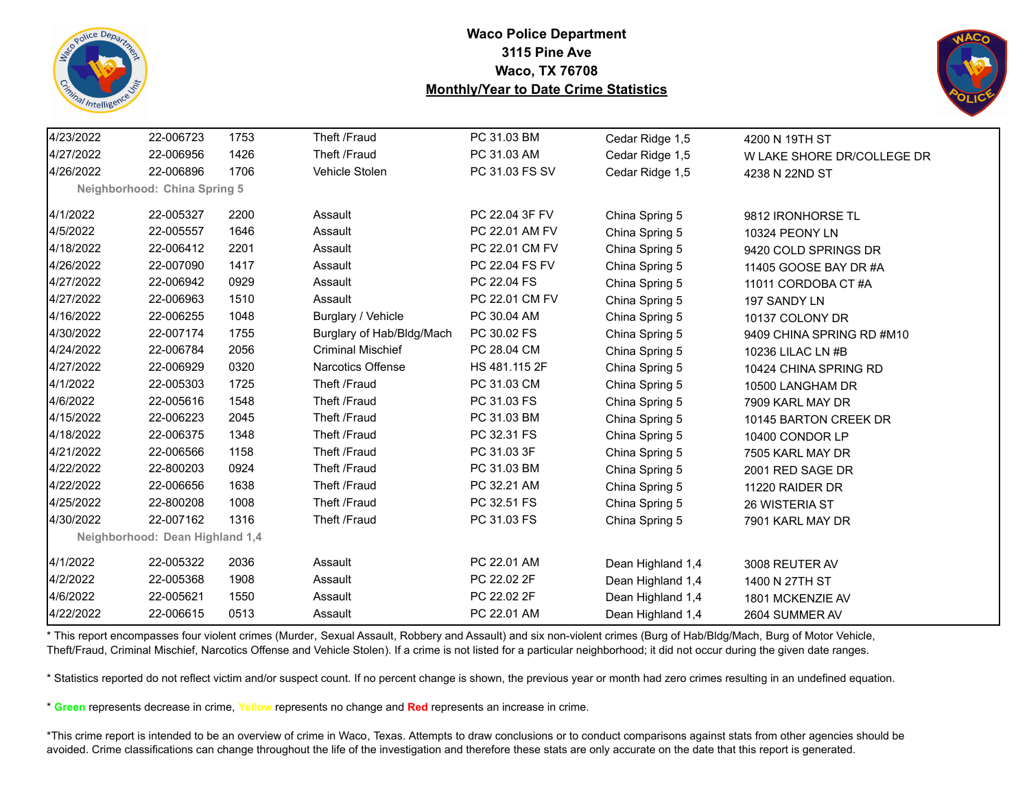



| 4/23/2022 | 22-006723                       | 1753 | Theft /Fraud              | PC 31.03 BM    | Cedar Ridge 1,5   | 4200 N 19TH ST             |
|-----------|---------------------------------|------|---------------------------|----------------|-------------------|----------------------------|
| 4/27/2022 | 22-006956                       | 1426 | Theft /Fraud              | PC 31.03 AM    | Cedar Ridge 1,5   | W LAKE SHORE DR/COLLEGE DR |
| 4/26/2022 | 22-006896                       | 1706 | Vehicle Stolen            | PC 31.03 FS SV | Cedar Ridge 1,5   | 4238 N 22ND ST             |
|           | Neighborhood: China Spring 5    |      |                           |                |                   |                            |
| 4/1/2022  | 22-005327                       | 2200 | Assault                   | PC 22.04 3F FV | China Spring 5    | 9812 IRONHORSE TL          |
| 4/5/2022  | 22-005557                       | 1646 | Assault                   | PC 22.01 AM FV | China Spring 5    | 10324 PEONY LN             |
| 4/18/2022 | 22-006412                       | 2201 | Assault                   | PC 22.01 CM FV | China Spring 5    | 9420 COLD SPRINGS DR       |
| 4/26/2022 | 22-007090                       | 1417 | Assault                   | PC 22.04 FS FV | China Spring 5    | 11405 GOOSE BAY DR #A      |
| 4/27/2022 | 22-006942                       | 0929 | Assault                   | PC 22.04 FS    | China Spring 5    | 11011 CORDOBA CT #A        |
| 4/27/2022 | 22-006963                       | 1510 | Assault                   | PC 22.01 CM FV | China Spring 5    | 197 SANDY LN               |
| 4/16/2022 | 22-006255                       | 1048 | Burglary / Vehicle        | PC 30.04 AM    | China Spring 5    | 10137 COLONY DR            |
| 4/30/2022 | 22-007174                       | 1755 | Burglary of Hab/Bldg/Mach | PC 30.02 FS    | China Spring 5    | 9409 CHINA SPRING RD #M10  |
| 4/24/2022 | 22-006784                       | 2056 | <b>Criminal Mischief</b>  | PC 28.04 CM    | China Spring 5    | 10236 LILAC LN #B          |
| 4/27/2022 | 22-006929                       | 0320 | Narcotics Offense         | HS 481.115 2F  | China Spring 5    | 10424 CHINA SPRING RD      |
| 4/1/2022  | 22-005303                       | 1725 | Theft /Fraud              | PC 31.03 CM    | China Spring 5    | 10500 LANGHAM DR           |
| 4/6/2022  | 22-005616                       | 1548 | Theft /Fraud              | PC 31.03 FS    | China Spring 5    | 7909 KARL MAY DR           |
| 4/15/2022 | 22-006223                       | 2045 | Theft /Fraud              | PC 31.03 BM    | China Spring 5    | 10145 BARTON CREEK DR      |
| 4/18/2022 | 22-006375                       | 1348 | Theft /Fraud              | PC 32.31 FS    | China Spring 5    | 10400 CONDOR LP            |
| 4/21/2022 | 22-006566                       | 1158 | Theft /Fraud              | PC 31.03 3F    | China Spring 5    | 7505 KARL MAY DR           |
| 4/22/2022 | 22-800203                       | 0924 | Theft /Fraud              | PC 31.03 BM    | China Spring 5    | 2001 RED SAGE DR           |
| 4/22/2022 | 22-006656                       | 1638 | Theft /Fraud              | PC 32.21 AM    | China Spring 5    | 11220 RAIDER DR            |
| 4/25/2022 | 22-800208                       | 1008 | Theft /Fraud              | PC 32.51 FS    | China Spring 5    | 26 WISTERIA ST             |
| 4/30/2022 | 22-007162                       | 1316 | Theft /Fraud              | PC 31.03 FS    | China Spring 5    | 7901 KARL MAY DR           |
|           | Neighborhood: Dean Highland 1,4 |      |                           |                |                   |                            |
| 4/1/2022  | 22-005322                       | 2036 | Assault                   | PC 22.01 AM    | Dean Highland 1,4 | 3008 REUTER AV             |
| 4/2/2022  | 22-005368                       | 1908 | Assault                   | PC 22.02 2F    | Dean Highland 1,4 | 1400 N 27TH ST             |
| 4/6/2022  | 22-005621                       | 1550 | Assault                   | PC 22.02 2F    | Dean Highland 1,4 | 1801 MCKENZIE AV           |
| 4/22/2022 | 22-006615                       | 0513 | Assault                   | PC 22.01 AM    | Dean Highland 1,4 | 2604 SUMMER AV             |

\* This report encompasses four violent crimes (Murder, Sexual Assault, Robbery and Assault) and six non-violent crimes (Burg of Hab/Bldg/Mach, Burg of Motor Vehicle, Theft/Fraud, Criminal Mischief, Narcotics Offense and Vehicle Stolen). If a crime is not listed for a particular neighborhood; it did not occur during the given date ranges.

\* Statistics reported do not reflect victim and/or suspect count. If no percent change is shown, the previous year or month had zero crimes resulting in an undefined equation.

\* **Green** represents decrease in crime, **Yellow** represents no change and **Red** represents an increase in crime.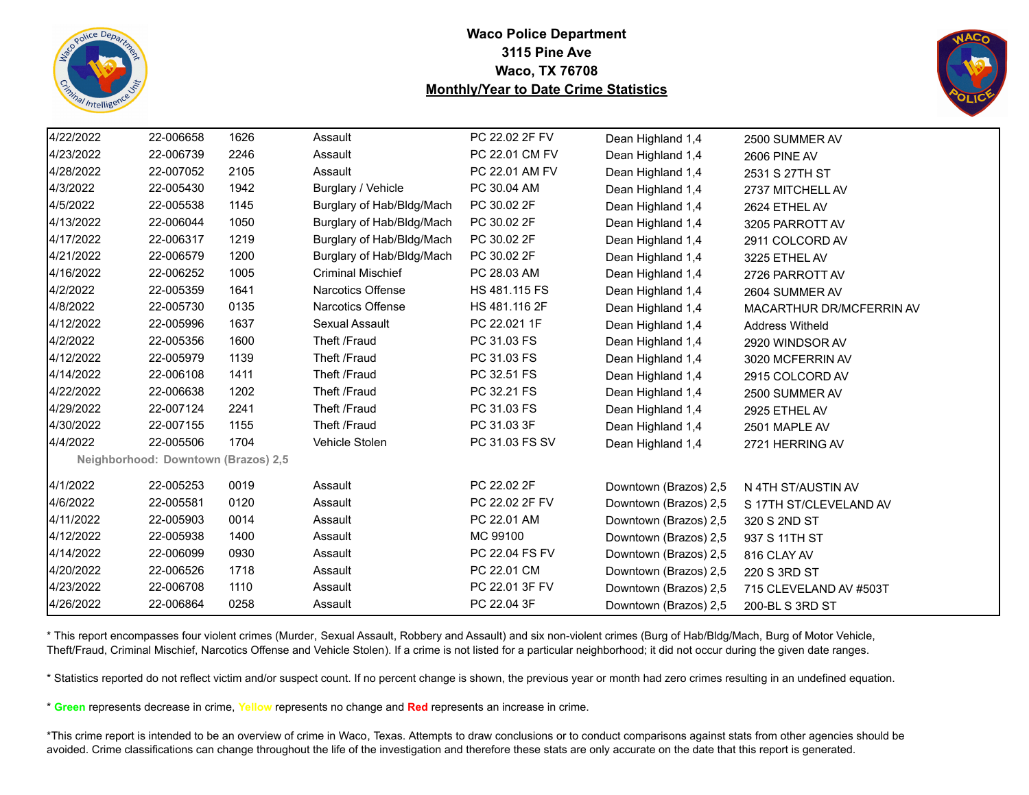



| 4/22/2022 | 22-006658                           | 1626 | Assault                   | PC 22.02 2F FV | Dean Highland 1,4     | 2500 SUMMER AV           |
|-----------|-------------------------------------|------|---------------------------|----------------|-----------------------|--------------------------|
| 4/23/2022 | 22-006739                           | 2246 | Assault                   | PC 22.01 CM FV | Dean Highland 1,4     | <b>2606 PINE AV</b>      |
| 4/28/2022 | 22-007052                           | 2105 | Assault                   | PC 22.01 AM FV | Dean Highland 1,4     | 2531 S 27TH ST           |
| 4/3/2022  | 22-005430                           | 1942 | Burglary / Vehicle        | PC 30.04 AM    | Dean Highland 1,4     | 2737 MITCHELL AV         |
| 4/5/2022  | 22-005538                           | 1145 | Burglary of Hab/Bldg/Mach | PC 30.02 2F    | Dean Highland 1,4     | 2624 ETHEL AV            |
| 4/13/2022 | 22-006044                           | 1050 | Burglary of Hab/Bldg/Mach | PC 30.02 2F    | Dean Highland 1,4     | 3205 PARROTT AV          |
| 4/17/2022 | 22-006317                           | 1219 | Burglary of Hab/Bldg/Mach | PC 30.02 2F    | Dean Highland 1,4     | 2911 COLCORD AV          |
| 4/21/2022 | 22-006579                           | 1200 | Burglary of Hab/Bldg/Mach | PC 30.02 2F    | Dean Highland 1,4     | 3225 ETHEL AV            |
| 4/16/2022 | 22-006252                           | 1005 | <b>Criminal Mischief</b>  | PC 28.03 AM    | Dean Highland 1,4     | 2726 PARROTT AV          |
| 4/2/2022  | 22-005359                           | 1641 | <b>Narcotics Offense</b>  | HS 481.115 FS  | Dean Highland 1,4     | 2604 SUMMER AV           |
| 4/8/2022  | 22-005730                           | 0135 | <b>Narcotics Offense</b>  | HS 481.116 2F  | Dean Highland 1,4     | MACARTHUR DR/MCFERRIN AV |
| 4/12/2022 | 22-005996                           | 1637 | Sexual Assault            | PC 22.021 1F   | Dean Highland 1,4     | <b>Address Witheld</b>   |
| 4/2/2022  | 22-005356                           | 1600 | Theft /Fraud              | PC 31.03 FS    | Dean Highland 1,4     | 2920 WINDSOR AV          |
| 4/12/2022 | 22-005979                           | 1139 | Theft /Fraud              | PC 31.03 FS    | Dean Highland 1,4     | 3020 MCFERRIN AV         |
| 4/14/2022 | 22-006108                           | 1411 | Theft /Fraud              | PC 32.51 FS    | Dean Highland 1,4     | 2915 COLCORD AV          |
| 4/22/2022 | 22-006638                           | 1202 | Theft /Fraud              | PC 32.21 FS    | Dean Highland 1,4     | 2500 SUMMER AV           |
| 4/29/2022 | 22-007124                           | 2241 | Theft /Fraud              | PC 31.03 FS    | Dean Highland 1,4     | 2925 ETHEL AV            |
| 4/30/2022 | 22-007155                           | 1155 | Theft /Fraud              | PC 31.03 3F    | Dean Highland 1,4     | 2501 MAPLE AV            |
| 4/4/2022  | 22-005506                           | 1704 | Vehicle Stolen            | PC 31.03 FS SV | Dean Highland 1,4     | 2721 HERRING AV          |
|           | Neighborhood: Downtown (Brazos) 2,5 |      |                           |                |                       |                          |
| 4/1/2022  | 22-005253                           | 0019 | Assault                   | PC 22.02 2F    | Downtown (Brazos) 2,5 | N 4TH ST/AUSTIN AV       |
| 4/6/2022  | 22-005581                           | 0120 | Assault                   | PC 22.02 2F FV | Downtown (Brazos) 2,5 | S 17TH ST/CLEVELAND AV   |
| 4/11/2022 | 22-005903                           | 0014 | Assault                   | PC 22.01 AM    | Downtown (Brazos) 2,5 | 320 S 2ND ST             |
| 4/12/2022 | 22-005938                           | 1400 | Assault                   | MC 99100       | Downtown (Brazos) 2,5 | 937 S 11TH ST            |
| 4/14/2022 | 22-006099                           | 0930 | Assault                   | PC 22.04 FS FV | Downtown (Brazos) 2,5 | 816 CLAY AV              |
| 4/20/2022 | 22-006526                           | 1718 | Assault                   | PC 22.01 CM    | Downtown (Brazos) 2,5 | 220 S 3RD ST             |
| 4/23/2022 | 22-006708                           | 1110 | Assault                   | PC 22.01 3F FV | Downtown (Brazos) 2,5 | 715 CLEVELAND AV #503T   |
| 4/26/2022 | 22-006864                           | 0258 | Assault                   | PC 22.04 3F    | Downtown (Brazos) 2,5 | 200-BL S 3RD ST          |

\* This report encompasses four violent crimes (Murder, Sexual Assault, Robbery and Assault) and six non-violent crimes (Burg of Hab/Bldg/Mach, Burg of Motor Vehicle, Theft/Fraud, Criminal Mischief, Narcotics Offense and Vehicle Stolen). If a crime is not listed for a particular neighborhood; it did not occur during the given date ranges.

\* Statistics reported do not reflect victim and/or suspect count. If no percent change is shown, the previous year or month had zero crimes resulting in an undefined equation.

\* **Green** represents decrease in crime, **Yellow** represents no change and **Red** represents an increase in crime.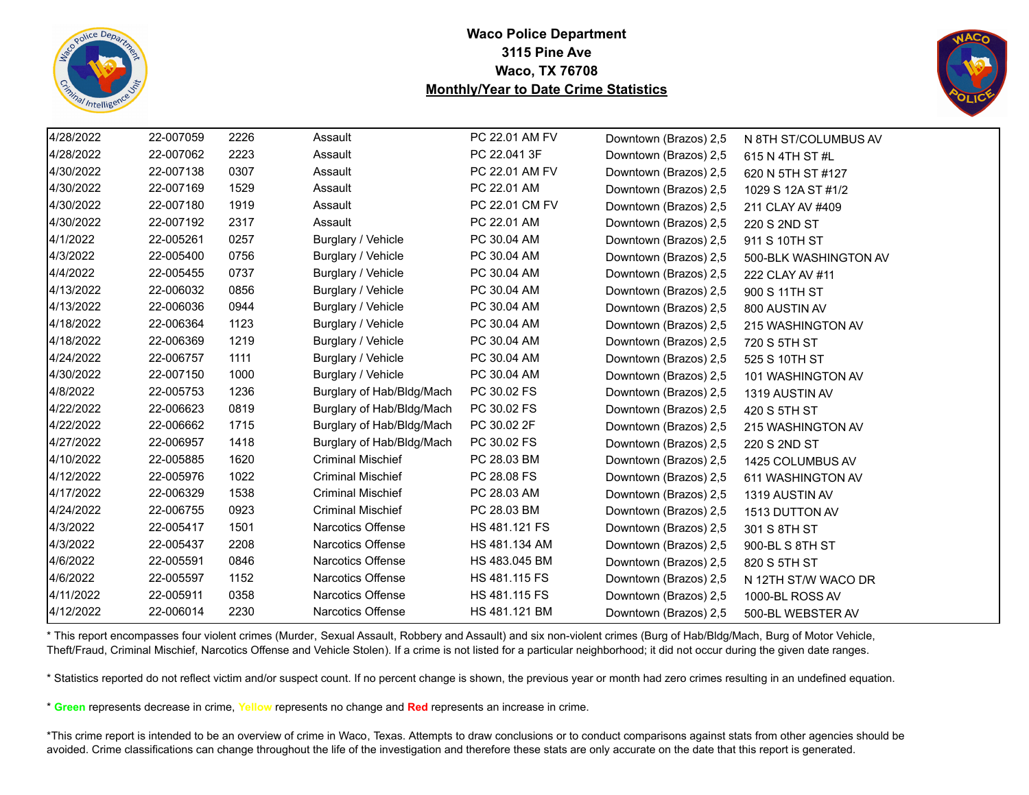



| 4/28/2022 | 22-007059 | 2226 | Assault                   | PC 22.01 AM FV | Downtown (Brazos) 2,5 | N 8TH ST/COLUMBUS AV  |
|-----------|-----------|------|---------------------------|----------------|-----------------------|-----------------------|
| 4/28/2022 | 22-007062 | 2223 | Assault                   | PC 22.041 3F   | Downtown (Brazos) 2,5 | 615 N 4TH ST #L       |
| 4/30/2022 | 22-007138 | 0307 | Assault                   | PC 22.01 AM FV | Downtown (Brazos) 2,5 | 620 N 5TH ST #127     |
| 4/30/2022 | 22-007169 | 1529 | Assault                   | PC 22.01 AM    | Downtown (Brazos) 2,5 | 1029 S 12A ST #1/2    |
| 4/30/2022 | 22-007180 | 1919 | Assault                   | PC 22.01 CM FV | Downtown (Brazos) 2,5 | 211 CLAY AV #409      |
| 4/30/2022 | 22-007192 | 2317 | Assault                   | PC 22.01 AM    | Downtown (Brazos) 2,5 | 220 S 2ND ST          |
| 4/1/2022  | 22-005261 | 0257 | Burglary / Vehicle        | PC 30.04 AM    | Downtown (Brazos) 2,5 | 911 S 10TH ST         |
| 4/3/2022  | 22-005400 | 0756 | Burglary / Vehicle        | PC 30.04 AM    | Downtown (Brazos) 2,5 | 500-BLK WASHINGTON AV |
| 4/4/2022  | 22-005455 | 0737 | Burglary / Vehicle        | PC 30.04 AM    | Downtown (Brazos) 2,5 | 222 CLAY AV #11       |
| 4/13/2022 | 22-006032 | 0856 | Burglary / Vehicle        | PC 30.04 AM    | Downtown (Brazos) 2,5 | 900 S 11TH ST         |
| 4/13/2022 | 22-006036 | 0944 | Burglary / Vehicle        | PC 30.04 AM    | Downtown (Brazos) 2,5 | 800 AUSTIN AV         |
| 4/18/2022 | 22-006364 | 1123 | Burglary / Vehicle        | PC 30.04 AM    | Downtown (Brazos) 2,5 | 215 WASHINGTON AV     |
| 4/18/2022 | 22-006369 | 1219 | Burglary / Vehicle        | PC 30.04 AM    | Downtown (Brazos) 2,5 | 720 S 5TH ST          |
| 4/24/2022 | 22-006757 | 1111 | Burglary / Vehicle        | PC 30.04 AM    | Downtown (Brazos) 2,5 | 525 S 10TH ST         |
| 4/30/2022 | 22-007150 | 1000 | Burglary / Vehicle        | PC 30.04 AM    | Downtown (Brazos) 2,5 | 101 WASHINGTON AV     |
| 4/8/2022  | 22-005753 | 1236 | Burglary of Hab/Bldg/Mach | PC 30.02 FS    | Downtown (Brazos) 2,5 | 1319 AUSTIN AV        |
| 4/22/2022 | 22-006623 | 0819 | Burglary of Hab/Bldg/Mach | PC 30.02 FS    | Downtown (Brazos) 2,5 | 420 S 5TH ST          |
| 4/22/2022 | 22-006662 | 1715 | Burglary of Hab/Bldg/Mach | PC 30.02 2F    | Downtown (Brazos) 2,5 | 215 WASHINGTON AV     |
| 4/27/2022 | 22-006957 | 1418 | Burglary of Hab/Bldg/Mach | PC 30.02 FS    | Downtown (Brazos) 2,5 | 220 S 2ND ST          |
| 4/10/2022 | 22-005885 | 1620 | <b>Criminal Mischief</b>  | PC 28.03 BM    | Downtown (Brazos) 2,5 | 1425 COLUMBUS AV      |
| 4/12/2022 | 22-005976 | 1022 | <b>Criminal Mischief</b>  | PC 28.08 FS    | Downtown (Brazos) 2,5 | 611 WASHINGTON AV     |
| 4/17/2022 | 22-006329 | 1538 | <b>Criminal Mischief</b>  | PC 28.03 AM    | Downtown (Brazos) 2,5 | 1319 AUSTIN AV        |
| 4/24/2022 | 22-006755 | 0923 | <b>Criminal Mischief</b>  | PC 28.03 BM    | Downtown (Brazos) 2,5 | 1513 DUTTON AV        |
| 4/3/2022  | 22-005417 | 1501 | <b>Narcotics Offense</b>  | HS 481.121 FS  | Downtown (Brazos) 2,5 | 301 S 8TH ST          |
| 4/3/2022  | 22-005437 | 2208 | Narcotics Offense         | HS 481.134 AM  | Downtown (Brazos) 2,5 | 900-BL S 8TH ST       |
| 4/6/2022  | 22-005591 | 0846 | Narcotics Offense         | HS 483.045 BM  | Downtown (Brazos) 2,5 | 820 S 5TH ST          |
| 4/6/2022  | 22-005597 | 1152 | Narcotics Offense         | HS 481.115 FS  | Downtown (Brazos) 2,5 | N 12TH ST/W WACO DR   |
| 4/11/2022 | 22-005911 | 0358 | Narcotics Offense         | HS 481.115 FS  | Downtown (Brazos) 2,5 | 1000-BL ROSS AV       |
| 4/12/2022 | 22-006014 | 2230 | Narcotics Offense         | HS 481.121 BM  | Downtown (Brazos) 2,5 | 500-BL WEBSTER AV     |

\* This report encompasses four violent crimes (Murder, Sexual Assault, Robbery and Assault) and six non-violent crimes (Burg of Hab/Bldg/Mach, Burg of Motor Vehicle, Theft/Fraud, Criminal Mischief, Narcotics Offense and Vehicle Stolen). If a crime is not listed for a particular neighborhood; it did not occur during the given date ranges.

\* Statistics reported do not reflect victim and/or suspect count. If no percent change is shown, the previous year or month had zero crimes resulting in an undefined equation.

\* **Green** represents decrease in crime, **Yellow** represents no change and **Red** represents an increase in crime.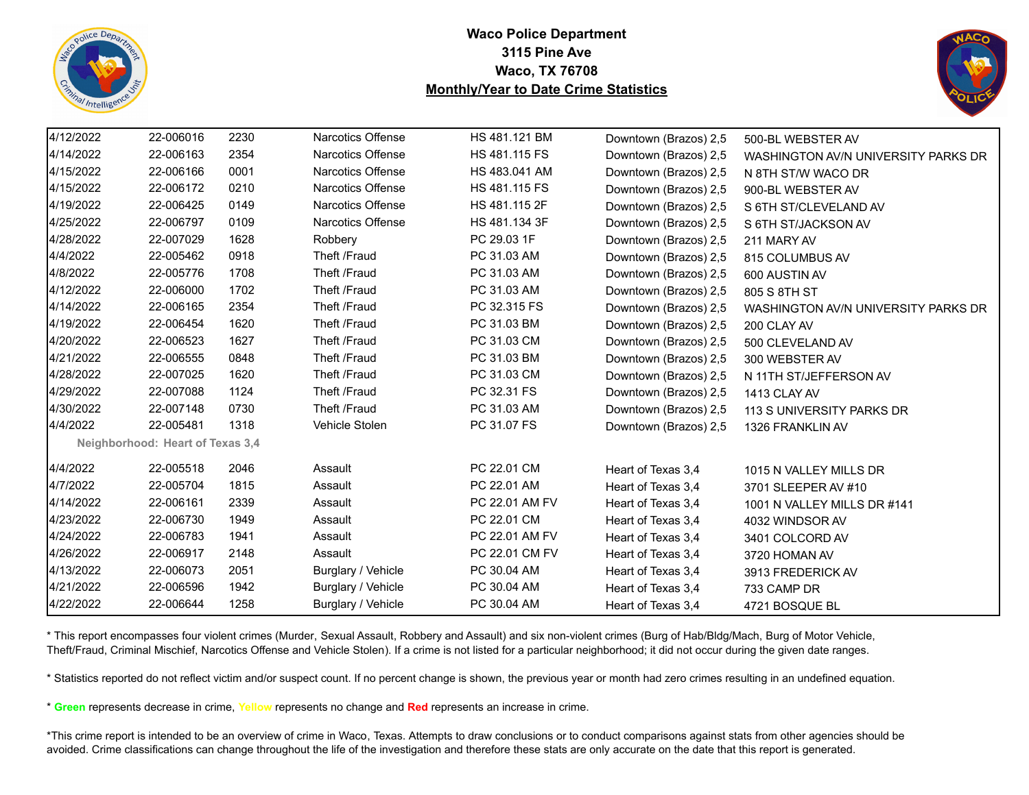



| 4/12/2022 | 22-006016                        | 2230 | <b>Narcotics Offense</b> | HS 481.121 BM  | Downtown (Brazos) 2,5 | 500-BL WEBSTER AV                   |
|-----------|----------------------------------|------|--------------------------|----------------|-----------------------|-------------------------------------|
| 4/14/2022 | 22-006163                        | 2354 | Narcotics Offense        | HS 481.115 FS  | Downtown (Brazos) 2,5 | WASHINGTON AV/N UNIVERSITY PARKS DR |
| 4/15/2022 | 22-006166                        | 0001 | Narcotics Offense        | HS 483.041 AM  | Downtown (Brazos) 2,5 | N 8TH ST/W WACO DR                  |
| 4/15/2022 | 22-006172                        | 0210 | <b>Narcotics Offense</b> | HS 481.115 FS  | Downtown (Brazos) 2,5 | 900-BL WEBSTER AV                   |
| 4/19/2022 | 22-006425                        | 0149 | <b>Narcotics Offense</b> | HS 481.115 2F  | Downtown (Brazos) 2,5 | S 6TH ST/CLEVELAND AV               |
| 4/25/2022 | 22-006797                        | 0109 | <b>Narcotics Offense</b> | HS 481.134 3F  | Downtown (Brazos) 2,5 | S 6TH ST/JACKSON AV                 |
| 4/28/2022 | 22-007029                        | 1628 | Robbery                  | PC 29.03 1F    | Downtown (Brazos) 2,5 | 211 MARY AV                         |
| 4/4/2022  | 22-005462                        | 0918 | Theft /Fraud             | PC 31.03 AM    | Downtown (Brazos) 2,5 | 815 COLUMBUS AV                     |
| 4/8/2022  | 22-005776                        | 1708 | Theft /Fraud             | PC 31.03 AM    | Downtown (Brazos) 2,5 | 600 AUSTIN AV                       |
| 4/12/2022 | 22-006000                        | 1702 | Theft /Fraud             | PC 31.03 AM    | Downtown (Brazos) 2,5 | 805 S 8TH ST                        |
| 4/14/2022 | 22-006165                        | 2354 | Theft /Fraud             | PC 32.315 FS   | Downtown (Brazos) 2,5 | WASHINGTON AV/N UNIVERSITY PARKS DR |
| 4/19/2022 | 22-006454                        | 1620 | Theft /Fraud             | PC 31.03 BM    | Downtown (Brazos) 2,5 | 200 CLAY AV                         |
| 4/20/2022 | 22-006523                        | 1627 | Theft /Fraud             | PC 31.03 CM    | Downtown (Brazos) 2,5 | 500 CLEVELAND AV                    |
| 4/21/2022 | 22-006555                        | 0848 | Theft /Fraud             | PC 31.03 BM    | Downtown (Brazos) 2,5 | 300 WEBSTER AV                      |
| 4/28/2022 | 22-007025                        | 1620 | Theft /Fraud             | PC 31.03 CM    | Downtown (Brazos) 2,5 | N 11TH ST/JEFFERSON AV              |
| 4/29/2022 | 22-007088                        | 1124 | Theft /Fraud             | PC 32.31 FS    | Downtown (Brazos) 2,5 | 1413 CLAY AV                        |
| 4/30/2022 | 22-007148                        | 0730 | Theft /Fraud             | PC 31.03 AM    | Downtown (Brazos) 2,5 | 113 S UNIVERSITY PARKS DR           |
| 4/4/2022  | 22-005481                        | 1318 | Vehicle Stolen           | PC 31.07 FS    | Downtown (Brazos) 2,5 | 1326 FRANKLIN AV                    |
|           | Neighborhood: Heart of Texas 3,4 |      |                          |                |                       |                                     |
| 4/4/2022  | 22-005518                        | 2046 | Assault                  | PC 22.01 CM    | Heart of Texas 3,4    | 1015 N VALLEY MILLS DR              |
| 4/7/2022  | 22-005704                        | 1815 | Assault                  | PC 22.01 AM    | Heart of Texas 3,4    | 3701 SLEEPER AV #10                 |
| 4/14/2022 | 22-006161                        | 2339 | Assault                  | PC 22.01 AM FV | Heart of Texas 3,4    | 1001 N VALLEY MILLS DR #141         |
| 4/23/2022 | 22-006730                        | 1949 | Assault                  | PC 22.01 CM    | Heart of Texas 3.4    | 4032 WINDSOR AV                     |
| 4/24/2022 | 22-006783                        | 1941 | Assault                  | PC 22.01 AM FV | Heart of Texas 3,4    | 3401 COLCORD AV                     |
| 4/26/2022 | 22-006917                        | 2148 | Assault                  | PC 22.01 CM FV | Heart of Texas 3,4    | 3720 HOMAN AV                       |
| 4/13/2022 | 22-006073                        | 2051 | Burglary / Vehicle       | PC 30.04 AM    | Heart of Texas 3,4    | 3913 FREDERICK AV                   |
| 4/21/2022 | 22-006596                        | 1942 | Burglary / Vehicle       | PC 30.04 AM    | Heart of Texas 3,4    | 733 CAMP DR                         |
| 4/22/2022 | 22-006644                        | 1258 | Burglary / Vehicle       | PC 30.04 AM    | Heart of Texas 3,4    | 4721 BOSQUE BL                      |

\* This report encompasses four violent crimes (Murder, Sexual Assault, Robbery and Assault) and six non-violent crimes (Burg of Hab/Bldg/Mach, Burg of Motor Vehicle, Theft/Fraud, Criminal Mischief, Narcotics Offense and Vehicle Stolen). If a crime is not listed for a particular neighborhood; it did not occur during the given date ranges.

\* Statistics reported do not reflect victim and/or suspect count. If no percent change is shown, the previous year or month had zero crimes resulting in an undefined equation.

\* **Green** represents decrease in crime, **Yellow** represents no change and **Red** represents an increase in crime.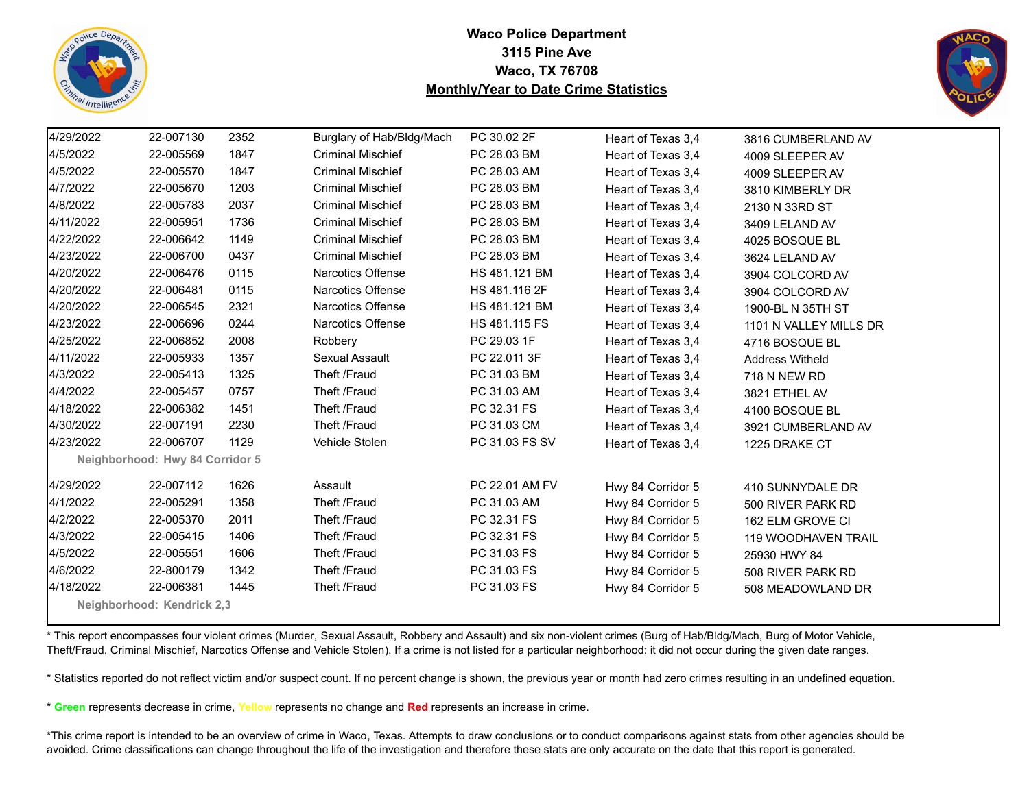



| 4/29/2022                  | 22-007130                       | 2352 | Burglary of Hab/Bldg/Mach | PC 30.02 2F    | Heart of Texas 3,4 | 3816 CUMBERLAND AV         |  |  |  |
|----------------------------|---------------------------------|------|---------------------------|----------------|--------------------|----------------------------|--|--|--|
| 4/5/2022                   | 22-005569                       | 1847 | <b>Criminal Mischief</b>  | PC 28.03 BM    | Heart of Texas 3,4 | 4009 SLEEPER AV            |  |  |  |
| 4/5/2022                   | 22-005570                       | 1847 | <b>Criminal Mischief</b>  | PC 28.03 AM    | Heart of Texas 3,4 | 4009 SLEEPER AV            |  |  |  |
| 4/7/2022                   | 22-005670                       | 1203 | <b>Criminal Mischief</b>  | PC 28.03 BM    | Heart of Texas 3,4 | 3810 KIMBERLY DR           |  |  |  |
| 4/8/2022                   | 22-005783                       | 2037 | <b>Criminal Mischief</b>  | PC 28.03 BM    | Heart of Texas 3,4 | 2130 N 33RD ST             |  |  |  |
| 4/11/2022                  | 22-005951                       | 1736 | <b>Criminal Mischief</b>  | PC 28.03 BM    | Heart of Texas 3,4 | 3409 LELAND AV             |  |  |  |
| 4/22/2022                  | 22-006642                       | 1149 | <b>Criminal Mischief</b>  | PC 28.03 BM    | Heart of Texas 3,4 | 4025 BOSQUE BL             |  |  |  |
| 4/23/2022                  | 22-006700                       | 0437 | <b>Criminal Mischief</b>  | PC 28.03 BM    | Heart of Texas 3,4 | 3624 LELAND AV             |  |  |  |
| 4/20/2022                  | 22-006476                       | 0115 | <b>Narcotics Offense</b>  | HS 481.121 BM  | Heart of Texas 3,4 | 3904 COLCORD AV            |  |  |  |
| 4/20/2022                  | 22-006481                       | 0115 | <b>Narcotics Offense</b>  | HS 481.116 2F  | Heart of Texas 3,4 | 3904 COLCORD AV            |  |  |  |
| 4/20/2022                  | 22-006545                       | 2321 | Narcotics Offense         | HS 481.121 BM  | Heart of Texas 3,4 | 1900-BL N 35TH ST          |  |  |  |
| 4/23/2022                  | 22-006696                       | 0244 | <b>Narcotics Offense</b>  | HS 481.115 FS  | Heart of Texas 3,4 | 1101 N VALLEY MILLS DR     |  |  |  |
| 4/25/2022                  | 22-006852                       | 2008 | Robbery                   | PC 29.03 1F    | Heart of Texas 3,4 | 4716 BOSQUE BL             |  |  |  |
| 4/11/2022                  | 22-005933                       | 1357 | Sexual Assault            | PC 22.011 3F   | Heart of Texas 3,4 | <b>Address Witheld</b>     |  |  |  |
| 4/3/2022                   | 22-005413                       | 1325 | Theft /Fraud              | PC 31.03 BM    | Heart of Texas 3,4 | 718 N NEW RD               |  |  |  |
| 4/4/2022                   | 22-005457                       | 0757 | Theft /Fraud              | PC 31.03 AM    | Heart of Texas 3,4 | 3821 ETHEL AV              |  |  |  |
| 4/18/2022                  | 22-006382                       | 1451 | Theft /Fraud              | PC 32.31 FS    | Heart of Texas 3,4 | 4100 BOSQUE BL             |  |  |  |
| 4/30/2022                  | 22-007191                       | 2230 | Theft /Fraud              | PC 31.03 CM    | Heart of Texas 3,4 | 3921 CUMBERLAND AV         |  |  |  |
| 4/23/2022                  | 22-006707                       | 1129 | Vehicle Stolen            | PC 31.03 FS SV | Heart of Texas 3,4 | 1225 DRAKE CT              |  |  |  |
|                            | Neighborhood: Hwy 84 Corridor 5 |      |                           |                |                    |                            |  |  |  |
| 4/29/2022                  | 22-007112                       | 1626 | Assault                   | PC 22.01 AM FV | Hwy 84 Corridor 5  | 410 SUNNYDALE DR           |  |  |  |
| 4/1/2022                   | 22-005291                       | 1358 | Theft /Fraud              | PC 31.03 AM    | Hwy 84 Corridor 5  | 500 RIVER PARK RD          |  |  |  |
| 4/2/2022                   | 22-005370                       | 2011 | Theft /Fraud              | PC 32.31 FS    | Hwy 84 Corridor 5  | 162 ELM GROVE CI           |  |  |  |
| 4/3/2022                   | 22-005415                       | 1406 | Theft /Fraud              | PC 32.31 FS    | Hwy 84 Corridor 5  | <b>119 WOODHAVEN TRAIL</b> |  |  |  |
| 4/5/2022                   | 22-005551                       | 1606 | Theft /Fraud              | PC 31.03 FS    | Hwy 84 Corridor 5  | 25930 HWY 84               |  |  |  |
| 4/6/2022                   | 22-800179                       | 1342 | Theft /Fraud              | PC 31.03 FS    | Hwy 84 Corridor 5  | 508 RIVER PARK RD          |  |  |  |
| 4/18/2022                  | 22-006381                       | 1445 | Theft /Fraud              | PC 31.03 FS    | Hwy 84 Corridor 5  | 508 MEADOWLAND DR          |  |  |  |
| Neighborhood: Kendrick 2,3 |                                 |      |                           |                |                    |                            |  |  |  |

\* This report encompasses four violent crimes (Murder, Sexual Assault, Robbery and Assault) and six non-violent crimes (Burg of Hab/Bldg/Mach, Burg of Motor Vehicle, Theft/Fraud, Criminal Mischief, Narcotics Offense and Vehicle Stolen). If a crime is not listed for a particular neighborhood; it did not occur during the given date ranges.

\* Statistics reported do not reflect victim and/or suspect count. If no percent change is shown, the previous year or month had zero crimes resulting in an undefined equation.

\* **Green** represents decrease in crime, **Yellow** represents no change and **Red** represents an increase in crime.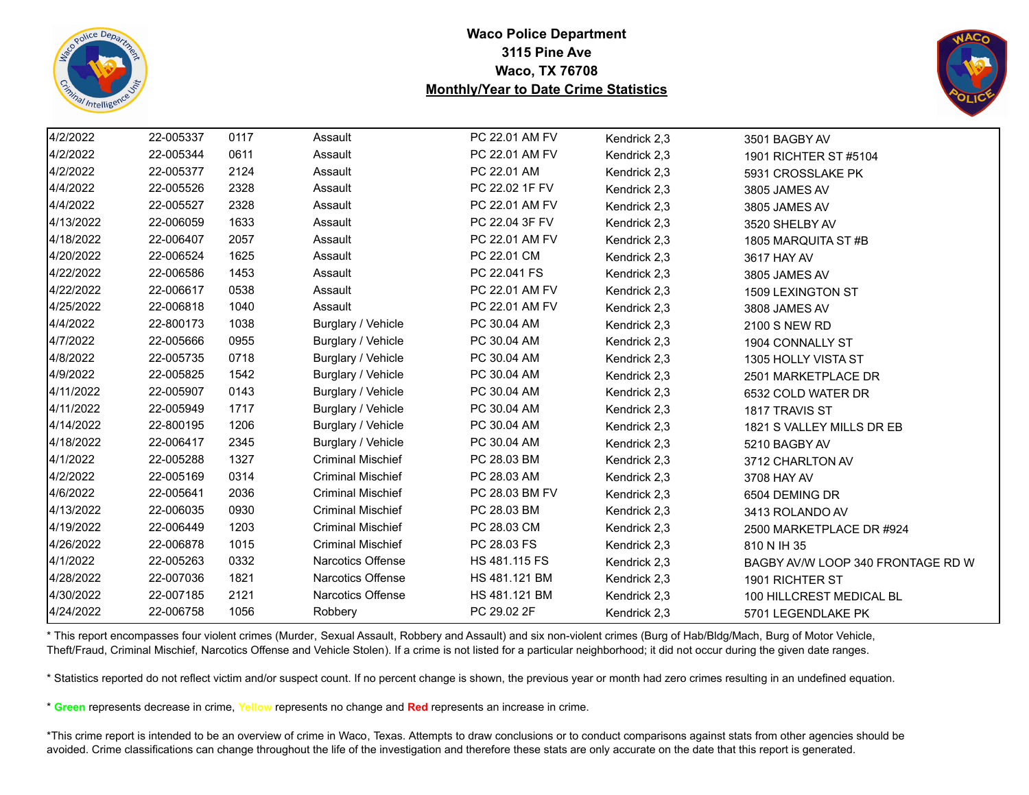



| 4/2/2022  | 22-005337 | 0117 | Assault                  | PC 22.01 AM FV | Kendrick 2,3 | 3501 BAGBY AV                     |
|-----------|-----------|------|--------------------------|----------------|--------------|-----------------------------------|
| 4/2/2022  | 22-005344 | 0611 | Assault                  | PC 22.01 AM FV | Kendrick 2,3 | 1901 RICHTER ST #5104             |
| 4/2/2022  | 22-005377 | 2124 | Assault                  | PC 22.01 AM    | Kendrick 2,3 | 5931 CROSSLAKE PK                 |
| 4/4/2022  | 22-005526 | 2328 | Assault                  | PC 22.02 1F FV | Kendrick 2,3 | 3805 JAMES AV                     |
| 4/4/2022  | 22-005527 | 2328 | Assault                  | PC 22.01 AM FV | Kendrick 2,3 | 3805 JAMES AV                     |
| 4/13/2022 | 22-006059 | 1633 | Assault                  | PC 22.04 3F FV | Kendrick 2,3 | 3520 SHELBY AV                    |
| 4/18/2022 | 22-006407 | 2057 | Assault                  | PC 22.01 AM FV | Kendrick 2,3 | 1805 MARQUITA ST #B               |
| 4/20/2022 | 22-006524 | 1625 | Assault                  | PC 22.01 CM    | Kendrick 2,3 | 3617 HAY AV                       |
| 4/22/2022 | 22-006586 | 1453 | Assault                  | PC 22.041 FS   | Kendrick 2,3 | 3805 JAMES AV                     |
| 4/22/2022 | 22-006617 | 0538 | Assault                  | PC 22.01 AM FV | Kendrick 2,3 | 1509 LEXINGTON ST                 |
| 4/25/2022 | 22-006818 | 1040 | Assault                  | PC 22.01 AM FV | Kendrick 2,3 | 3808 JAMES AV                     |
| 4/4/2022  | 22-800173 | 1038 | Burglary / Vehicle       | PC 30.04 AM    | Kendrick 2,3 | 2100 S NEW RD                     |
| 4/7/2022  | 22-005666 | 0955 | Burglary / Vehicle       | PC 30.04 AM    | Kendrick 2,3 | 1904 CONNALLY ST                  |
| 4/8/2022  | 22-005735 | 0718 | Burglary / Vehicle       | PC 30.04 AM    | Kendrick 2,3 | 1305 HOLLY VISTA ST               |
| 4/9/2022  | 22-005825 | 1542 | Burglary / Vehicle       | PC 30.04 AM    | Kendrick 2,3 | 2501 MARKETPLACE DR               |
| 4/11/2022 | 22-005907 | 0143 | Burglary / Vehicle       | PC 30.04 AM    | Kendrick 2,3 | 6532 COLD WATER DR                |
| 4/11/2022 | 22-005949 | 1717 | Burglary / Vehicle       | PC 30.04 AM    | Kendrick 2,3 | 1817 TRAVIS ST                    |
| 4/14/2022 | 22-800195 | 1206 | Burglary / Vehicle       | PC 30.04 AM    | Kendrick 2,3 | 1821 S VALLEY MILLS DR EB         |
| 4/18/2022 | 22-006417 | 2345 | Burglary / Vehicle       | PC 30.04 AM    | Kendrick 2,3 | 5210 BAGBY AV                     |
| 4/1/2022  | 22-005288 | 1327 | <b>Criminal Mischief</b> | PC 28.03 BM    | Kendrick 2,3 | 3712 CHARLTON AV                  |
| 4/2/2022  | 22-005169 | 0314 | <b>Criminal Mischief</b> | PC 28.03 AM    | Kendrick 2,3 | 3708 HAY AV                       |
| 4/6/2022  | 22-005641 | 2036 | <b>Criminal Mischief</b> | PC 28.03 BM FV | Kendrick 2,3 | 6504 DEMING DR                    |
| 4/13/2022 | 22-006035 | 0930 | <b>Criminal Mischief</b> | PC 28.03 BM    | Kendrick 2,3 | 3413 ROLANDO AV                   |
| 4/19/2022 | 22-006449 | 1203 | <b>Criminal Mischief</b> | PC 28.03 CM    | Kendrick 2,3 | 2500 MARKETPLACE DR #924          |
| 4/26/2022 | 22-006878 | 1015 | <b>Criminal Mischief</b> | PC 28.03 FS    | Kendrick 2,3 | 810 N IH 35                       |
| 4/1/2022  | 22-005263 | 0332 | Narcotics Offense        | HS 481.115 FS  | Kendrick 2,3 | BAGBY AV/W LOOP 340 FRONTAGE RD W |
| 4/28/2022 | 22-007036 | 1821 | Narcotics Offense        | HS 481.121 BM  | Kendrick 2,3 | 1901 RICHTER ST                   |
| 4/30/2022 | 22-007185 | 2121 | Narcotics Offense        | HS 481.121 BM  | Kendrick 2,3 | 100 HILLCREST MEDICAL BL          |
| 4/24/2022 | 22-006758 | 1056 | Robbery                  | PC 29.02 2F    | Kendrick 2,3 | 5701 LEGENDLAKE PK                |

\* This report encompasses four violent crimes (Murder, Sexual Assault, Robbery and Assault) and six non-violent crimes (Burg of Hab/Bldg/Mach, Burg of Motor Vehicle, Theft/Fraud, Criminal Mischief, Narcotics Offense and Vehicle Stolen). If a crime is not listed for a particular neighborhood; it did not occur during the given date ranges.

\* Statistics reported do not reflect victim and/or suspect count. If no percent change is shown, the previous year or month had zero crimes resulting in an undefined equation.

\* **Green** represents decrease in crime, **Yellow** represents no change and **Red** represents an increase in crime.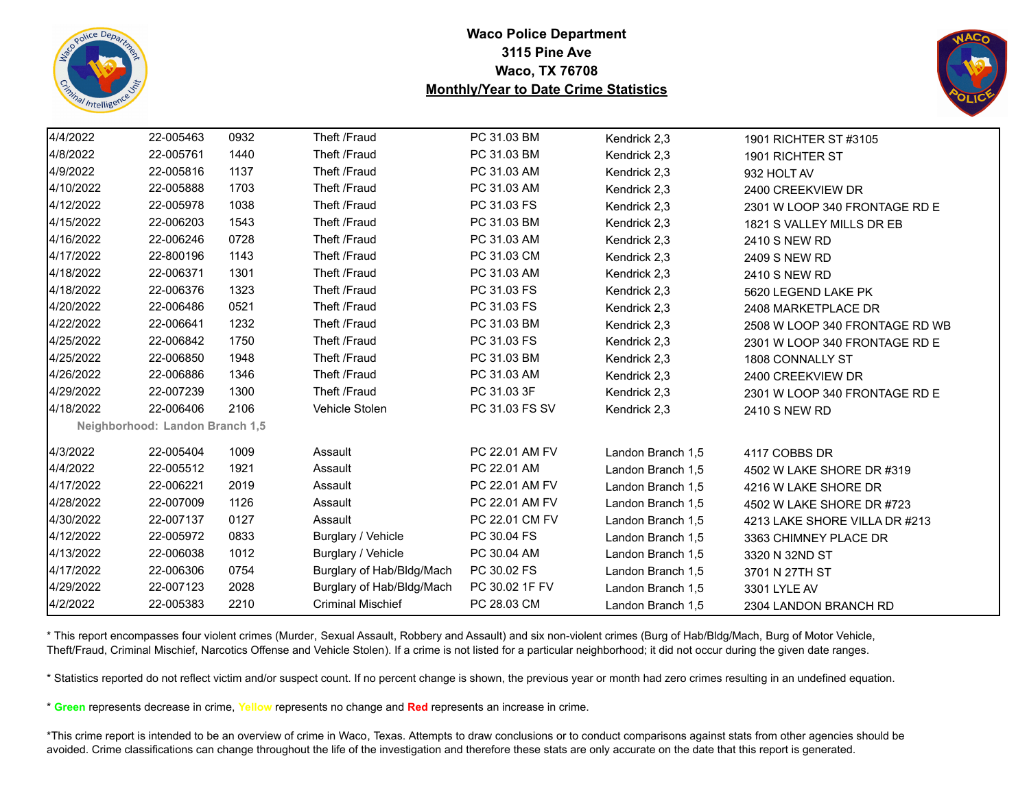



| 4/4/2022  | 22-005463                       | 0932 | Theft /Fraud              | PC 31.03 BM    | Kendrick 2,3      | 1901 RICHTER ST #3105          |
|-----------|---------------------------------|------|---------------------------|----------------|-------------------|--------------------------------|
| 4/8/2022  | 22-005761                       | 1440 | Theft /Fraud              | PC 31.03 BM    | Kendrick 2,3      | 1901 RICHTER ST                |
| 4/9/2022  | 22-005816                       | 1137 | Theft /Fraud              | PC 31.03 AM    | Kendrick 2,3      | 932 HOLT AV                    |
| 4/10/2022 | 22-005888                       | 1703 | Theft /Fraud              | PC 31.03 AM    | Kendrick 2,3      | 2400 CREEKVIEW DR              |
| 4/12/2022 | 22-005978                       | 1038 | Theft /Fraud              | PC 31.03 FS    | Kendrick 2,3      | 2301 W LOOP 340 FRONTAGE RD E  |
| 4/15/2022 | 22-006203                       | 1543 | Theft /Fraud              | PC 31.03 BM    | Kendrick 2,3      | 1821 S VALLEY MILLS DR EB      |
| 4/16/2022 | 22-006246                       | 0728 | Theft /Fraud              | PC 31.03 AM    | Kendrick 2,3      | <b>2410 S NEW RD</b>           |
| 4/17/2022 | 22-800196                       | 1143 | Theft /Fraud              | PC 31.03 CM    | Kendrick 2,3      | <b>2409 S NEW RD</b>           |
| 4/18/2022 | 22-006371                       | 1301 | Theft /Fraud              | PC 31.03 AM    | Kendrick 2,3      | <b>2410 S NEW RD</b>           |
| 4/18/2022 | 22-006376                       | 1323 | Theft /Fraud              | PC 31.03 FS    | Kendrick 2,3      | 5620 LEGEND LAKE PK            |
| 4/20/2022 | 22-006486                       | 0521 | Theft /Fraud              | PC 31.03 FS    | Kendrick 2,3      | 2408 MARKETPLACE DR            |
| 4/22/2022 | 22-006641                       | 1232 | Theft /Fraud              | PC 31.03 BM    | Kendrick 2,3      | 2508 W LOOP 340 FRONTAGE RD WB |
| 4/25/2022 | 22-006842                       | 1750 | Theft /Fraud              | PC 31.03 FS    | Kendrick 2,3      | 2301 W LOOP 340 FRONTAGE RD E  |
| 4/25/2022 | 22-006850                       | 1948 | Theft /Fraud              | PC 31.03 BM    | Kendrick 2,3      | 1808 CONNALLY ST               |
| 4/26/2022 | 22-006886                       | 1346 | Theft /Fraud              | PC 31.03 AM    | Kendrick 2,3      | 2400 CREEKVIEW DR              |
| 4/29/2022 | 22-007239                       | 1300 | Theft /Fraud              | PC 31.03 3F    | Kendrick 2,3      | 2301 W LOOP 340 FRONTAGE RD E  |
| 4/18/2022 | 22-006406                       | 2106 | Vehicle Stolen            | PC 31.03 FS SV | Kendrick 2,3      | 2410 S NEW RD                  |
|           | Neighborhood: Landon Branch 1,5 |      |                           |                |                   |                                |
| 4/3/2022  | 22-005404                       | 1009 | Assault                   | PC 22.01 AM FV | Landon Branch 1,5 | 4117 COBBS DR                  |
| 4/4/2022  | 22-005512                       | 1921 | Assault                   | PC 22.01 AM    | Landon Branch 1,5 | 4502 W LAKE SHORE DR #319      |
| 4/17/2022 | 22-006221                       | 2019 | Assault                   | PC 22.01 AM FV | Landon Branch 1.5 | 4216 W LAKE SHORE DR           |
| 4/28/2022 | 22-007009                       | 1126 | Assault                   | PC 22.01 AM FV | Landon Branch 1.5 | 4502 W LAKE SHORE DR #723      |
| 4/30/2022 | 22-007137                       | 0127 | Assault                   | PC 22.01 CM FV | Landon Branch 1,5 | 4213 LAKE SHORE VILLA DR #213  |
| 4/12/2022 | 22-005972                       | 0833 | Burglary / Vehicle        | PC 30.04 FS    | Landon Branch 1.5 | 3363 CHIMNEY PLACE DR          |
| 4/13/2022 | 22-006038                       | 1012 | Burglary / Vehicle        | PC 30.04 AM    | Landon Branch 1,5 | 3320 N 32ND ST                 |
| 4/17/2022 | 22-006306                       | 0754 | Burglary of Hab/Bldg/Mach | PC 30.02 FS    | Landon Branch 1,5 | 3701 N 27TH ST                 |
| 4/29/2022 | 22-007123                       | 2028 | Burglary of Hab/Bldg/Mach | PC 30.02 1F FV | Landon Branch 1,5 | 3301 LYLE AV                   |
| 4/2/2022  | 22-005383                       | 2210 | <b>Criminal Mischief</b>  | PC 28.03 CM    | Landon Branch 1,5 | 2304 LANDON BRANCH RD          |

\* This report encompasses four violent crimes (Murder, Sexual Assault, Robbery and Assault) and six non-violent crimes (Burg of Hab/Bldg/Mach, Burg of Motor Vehicle, Theft/Fraud, Criminal Mischief, Narcotics Offense and Vehicle Stolen). If a crime is not listed for a particular neighborhood; it did not occur during the given date ranges.

\* Statistics reported do not reflect victim and/or suspect count. If no percent change is shown, the previous year or month had zero crimes resulting in an undefined equation.

\* **Green** represents decrease in crime, **Yellow** represents no change and **Red** represents an increase in crime.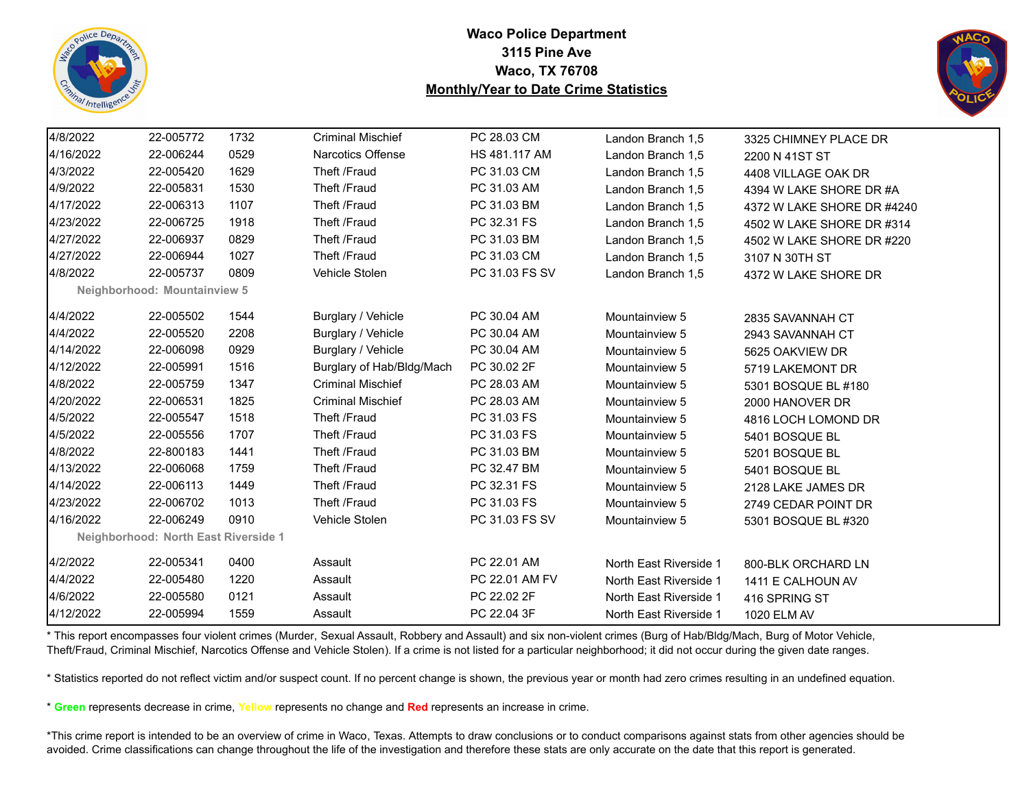



| 4/8/2022<br>22-005772<br>1732<br><b>Criminal Mischief</b><br>PC 28.03 CM<br>Landon Branch 1,5<br>3325 CHIMNEY PLACE DR<br>4/16/2022<br>Narcotics Offense<br>22-006244<br>0529<br>HS 481.117 AM<br>Landon Branch 1,5<br>2200 N 41ST ST<br>4/3/2022<br>22-005420<br>1629<br>Theft /Fraud<br>PC 31.03 CM<br>Landon Branch 1,5<br>4408 VILLAGE OAK DR<br>4/9/2022<br>1530<br>Theft /Fraud<br>22-005831<br>PC 31.03 AM<br>Landon Branch 1,5<br>4394 W LAKE SHORE DR #A<br>4/17/2022<br>1107<br>Theft /Fraud<br>22-006313<br>PC 31.03 BM<br>Landon Branch 1,5<br>4/23/2022<br>22-006725<br>1918<br>Theft /Fraud<br>PC 32.31 FS<br>Landon Branch 1,5<br>4/27/2022<br>22-006937<br>0829<br>Theft /Fraud<br>PC 31.03 BM<br>Landon Branch 1.5<br>4/27/2022<br>22-006944<br>1027<br>Theft /Fraud<br>PC 31.03 CM<br>Landon Branch 1.5<br>3107 N 30TH ST<br>4/8/2022<br>22-005737<br>0809<br>Vehicle Stolen<br>PC 31.03 FS SV<br>Landon Branch 1,5<br>4372 W LAKE SHORE DR<br><b>Neighborhood: Mountainview 5</b><br>4/4/2022<br>22-005502<br>1544<br>Burglary / Vehicle<br>PC 30.04 AM<br>Mountainview 5<br>2835 SAVANNAH CT<br>4/4/2022<br>Burglary / Vehicle<br>PC 30.04 AM<br>22-005520<br>2208<br>Mountainview 5<br>2943 SAVANNAH CT<br>4/14/2022<br>0929<br>Burglary / Vehicle<br>22-006098<br>PC 30.04 AM<br>Mountainview 5<br>5625 OAKVIEW DR<br>4/12/2022<br>22-005991<br>1516<br>Burglary of Hab/Bldg/Mach<br>PC 30.02 2F<br>Mountainview 5<br>5719 LAKEMONT DR<br>4/8/2022<br>1347<br><b>Criminal Mischief</b><br>PC 28.03 AM<br>22-005759<br>Mountainview 5<br>5301 BOSQUE BL #180<br><b>Criminal Mischief</b><br>4/20/2022<br>22-006531<br>1825<br>PC 28.03 AM<br>Mountainview 5<br>2000 HANOVER DR<br>4/5/2022<br>1518<br>Theft /Fraud<br>PC 31.03 FS<br>22-005547<br>Mountainview 5<br>4816 LOCH LOMOND DR<br>4/5/2022<br>22-005556<br>1707<br>Theft /Fraud<br>PC 31.03 FS<br>Mountainview 5<br>5401 BOSQUE BL<br>4/8/2022<br>1441<br>Theft /Fraud<br>22-800183<br>PC 31.03 BM<br>Mountainview 5<br>5201 BOSQUE BL<br>4/13/2022<br>1759<br>Theft /Fraud<br>22-006068<br>PC 32.47 BM<br>Mountainview 5<br>5401 BOSQUE BL<br>4/14/2022<br>1449<br>Theft /Fraud<br>PC 32.31 FS<br>22-006113<br>Mountainview 5<br>2128 LAKE JAMES DR<br>4/23/2022<br>22-006702<br>1013<br>Theft /Fraud<br>PC 31.03 FS<br>Mountainview 5<br>2749 CEDAR POINT DR<br>4/16/2022<br>22-006249<br>0910<br>Vehicle Stolen<br>PC 31.03 FS SV<br>Mountainview 5<br>5301 BOSQUE BL #320<br>Neighborhood: North East Riverside 1<br>4/2/2022<br>22-005341<br>0400<br>PC 22.01 AM<br>Assault<br>North East Riverside 1<br>800-BLK ORCHARD LN<br>4/4/2022<br>22-005480<br>1220<br>PC 22.01 AM FV<br>Assault<br>North East Riverside 1<br>1411 E CALHOUN AV<br>4/6/2022<br>22-005580<br>0121<br>PC 22.02 2F<br>Assault<br>North East Riverside 1<br>416 SPRING ST<br>4/12/2022<br>22-005994<br>1559<br>PC 22.04 3F<br>Assault<br>North East Riverside 1<br>1020 ELM AV |  |  |  |                            |
|----------------------------------------------------------------------------------------------------------------------------------------------------------------------------------------------------------------------------------------------------------------------------------------------------------------------------------------------------------------------------------------------------------------------------------------------------------------------------------------------------------------------------------------------------------------------------------------------------------------------------------------------------------------------------------------------------------------------------------------------------------------------------------------------------------------------------------------------------------------------------------------------------------------------------------------------------------------------------------------------------------------------------------------------------------------------------------------------------------------------------------------------------------------------------------------------------------------------------------------------------------------------------------------------------------------------------------------------------------------------------------------------------------------------------------------------------------------------------------------------------------------------------------------------------------------------------------------------------------------------------------------------------------------------------------------------------------------------------------------------------------------------------------------------------------------------------------------------------------------------------------------------------------------------------------------------------------------------------------------------------------------------------------------------------------------------------------------------------------------------------------------------------------------------------------------------------------------------------------------------------------------------------------------------------------------------------------------------------------------------------------------------------------------------------------------------------------------------------------------------------------------------------------------------------------------------------------------------------------------------------------------------------------------------------------------------------------------------------------------------------------------------------------------------------------------------------------------------------------------------------------------------------------------------------------------|--|--|--|----------------------------|
|                                                                                                                                                                                                                                                                                                                                                                                                                                                                                                                                                                                                                                                                                                                                                                                                                                                                                                                                                                                                                                                                                                                                                                                                                                                                                                                                                                                                                                                                                                                                                                                                                                                                                                                                                                                                                                                                                                                                                                                                                                                                                                                                                                                                                                                                                                                                                                                                                                                                                                                                                                                                                                                                                                                                                                                                                                                                                                                                        |  |  |  |                            |
|                                                                                                                                                                                                                                                                                                                                                                                                                                                                                                                                                                                                                                                                                                                                                                                                                                                                                                                                                                                                                                                                                                                                                                                                                                                                                                                                                                                                                                                                                                                                                                                                                                                                                                                                                                                                                                                                                                                                                                                                                                                                                                                                                                                                                                                                                                                                                                                                                                                                                                                                                                                                                                                                                                                                                                                                                                                                                                                                        |  |  |  |                            |
|                                                                                                                                                                                                                                                                                                                                                                                                                                                                                                                                                                                                                                                                                                                                                                                                                                                                                                                                                                                                                                                                                                                                                                                                                                                                                                                                                                                                                                                                                                                                                                                                                                                                                                                                                                                                                                                                                                                                                                                                                                                                                                                                                                                                                                                                                                                                                                                                                                                                                                                                                                                                                                                                                                                                                                                                                                                                                                                                        |  |  |  |                            |
|                                                                                                                                                                                                                                                                                                                                                                                                                                                                                                                                                                                                                                                                                                                                                                                                                                                                                                                                                                                                                                                                                                                                                                                                                                                                                                                                                                                                                                                                                                                                                                                                                                                                                                                                                                                                                                                                                                                                                                                                                                                                                                                                                                                                                                                                                                                                                                                                                                                                                                                                                                                                                                                                                                                                                                                                                                                                                                                                        |  |  |  |                            |
|                                                                                                                                                                                                                                                                                                                                                                                                                                                                                                                                                                                                                                                                                                                                                                                                                                                                                                                                                                                                                                                                                                                                                                                                                                                                                                                                                                                                                                                                                                                                                                                                                                                                                                                                                                                                                                                                                                                                                                                                                                                                                                                                                                                                                                                                                                                                                                                                                                                                                                                                                                                                                                                                                                                                                                                                                                                                                                                                        |  |  |  | 4372 W LAKE SHORE DR #4240 |
|                                                                                                                                                                                                                                                                                                                                                                                                                                                                                                                                                                                                                                                                                                                                                                                                                                                                                                                                                                                                                                                                                                                                                                                                                                                                                                                                                                                                                                                                                                                                                                                                                                                                                                                                                                                                                                                                                                                                                                                                                                                                                                                                                                                                                                                                                                                                                                                                                                                                                                                                                                                                                                                                                                                                                                                                                                                                                                                                        |  |  |  | 4502 W LAKE SHORE DR #314  |
|                                                                                                                                                                                                                                                                                                                                                                                                                                                                                                                                                                                                                                                                                                                                                                                                                                                                                                                                                                                                                                                                                                                                                                                                                                                                                                                                                                                                                                                                                                                                                                                                                                                                                                                                                                                                                                                                                                                                                                                                                                                                                                                                                                                                                                                                                                                                                                                                                                                                                                                                                                                                                                                                                                                                                                                                                                                                                                                                        |  |  |  | 4502 W LAKE SHORE DR #220  |
|                                                                                                                                                                                                                                                                                                                                                                                                                                                                                                                                                                                                                                                                                                                                                                                                                                                                                                                                                                                                                                                                                                                                                                                                                                                                                                                                                                                                                                                                                                                                                                                                                                                                                                                                                                                                                                                                                                                                                                                                                                                                                                                                                                                                                                                                                                                                                                                                                                                                                                                                                                                                                                                                                                                                                                                                                                                                                                                                        |  |  |  |                            |
|                                                                                                                                                                                                                                                                                                                                                                                                                                                                                                                                                                                                                                                                                                                                                                                                                                                                                                                                                                                                                                                                                                                                                                                                                                                                                                                                                                                                                                                                                                                                                                                                                                                                                                                                                                                                                                                                                                                                                                                                                                                                                                                                                                                                                                                                                                                                                                                                                                                                                                                                                                                                                                                                                                                                                                                                                                                                                                                                        |  |  |  |                            |
|                                                                                                                                                                                                                                                                                                                                                                                                                                                                                                                                                                                                                                                                                                                                                                                                                                                                                                                                                                                                                                                                                                                                                                                                                                                                                                                                                                                                                                                                                                                                                                                                                                                                                                                                                                                                                                                                                                                                                                                                                                                                                                                                                                                                                                                                                                                                                                                                                                                                                                                                                                                                                                                                                                                                                                                                                                                                                                                                        |  |  |  |                            |
|                                                                                                                                                                                                                                                                                                                                                                                                                                                                                                                                                                                                                                                                                                                                                                                                                                                                                                                                                                                                                                                                                                                                                                                                                                                                                                                                                                                                                                                                                                                                                                                                                                                                                                                                                                                                                                                                                                                                                                                                                                                                                                                                                                                                                                                                                                                                                                                                                                                                                                                                                                                                                                                                                                                                                                                                                                                                                                                                        |  |  |  |                            |
|                                                                                                                                                                                                                                                                                                                                                                                                                                                                                                                                                                                                                                                                                                                                                                                                                                                                                                                                                                                                                                                                                                                                                                                                                                                                                                                                                                                                                                                                                                                                                                                                                                                                                                                                                                                                                                                                                                                                                                                                                                                                                                                                                                                                                                                                                                                                                                                                                                                                                                                                                                                                                                                                                                                                                                                                                                                                                                                                        |  |  |  |                            |
|                                                                                                                                                                                                                                                                                                                                                                                                                                                                                                                                                                                                                                                                                                                                                                                                                                                                                                                                                                                                                                                                                                                                                                                                                                                                                                                                                                                                                                                                                                                                                                                                                                                                                                                                                                                                                                                                                                                                                                                                                                                                                                                                                                                                                                                                                                                                                                                                                                                                                                                                                                                                                                                                                                                                                                                                                                                                                                                                        |  |  |  |                            |
|                                                                                                                                                                                                                                                                                                                                                                                                                                                                                                                                                                                                                                                                                                                                                                                                                                                                                                                                                                                                                                                                                                                                                                                                                                                                                                                                                                                                                                                                                                                                                                                                                                                                                                                                                                                                                                                                                                                                                                                                                                                                                                                                                                                                                                                                                                                                                                                                                                                                                                                                                                                                                                                                                                                                                                                                                                                                                                                                        |  |  |  |                            |
|                                                                                                                                                                                                                                                                                                                                                                                                                                                                                                                                                                                                                                                                                                                                                                                                                                                                                                                                                                                                                                                                                                                                                                                                                                                                                                                                                                                                                                                                                                                                                                                                                                                                                                                                                                                                                                                                                                                                                                                                                                                                                                                                                                                                                                                                                                                                                                                                                                                                                                                                                                                                                                                                                                                                                                                                                                                                                                                                        |  |  |  |                            |
|                                                                                                                                                                                                                                                                                                                                                                                                                                                                                                                                                                                                                                                                                                                                                                                                                                                                                                                                                                                                                                                                                                                                                                                                                                                                                                                                                                                                                                                                                                                                                                                                                                                                                                                                                                                                                                                                                                                                                                                                                                                                                                                                                                                                                                                                                                                                                                                                                                                                                                                                                                                                                                                                                                                                                                                                                                                                                                                                        |  |  |  |                            |
|                                                                                                                                                                                                                                                                                                                                                                                                                                                                                                                                                                                                                                                                                                                                                                                                                                                                                                                                                                                                                                                                                                                                                                                                                                                                                                                                                                                                                                                                                                                                                                                                                                                                                                                                                                                                                                                                                                                                                                                                                                                                                                                                                                                                                                                                                                                                                                                                                                                                                                                                                                                                                                                                                                                                                                                                                                                                                                                                        |  |  |  |                            |
|                                                                                                                                                                                                                                                                                                                                                                                                                                                                                                                                                                                                                                                                                                                                                                                                                                                                                                                                                                                                                                                                                                                                                                                                                                                                                                                                                                                                                                                                                                                                                                                                                                                                                                                                                                                                                                                                                                                                                                                                                                                                                                                                                                                                                                                                                                                                                                                                                                                                                                                                                                                                                                                                                                                                                                                                                                                                                                                                        |  |  |  |                            |
|                                                                                                                                                                                                                                                                                                                                                                                                                                                                                                                                                                                                                                                                                                                                                                                                                                                                                                                                                                                                                                                                                                                                                                                                                                                                                                                                                                                                                                                                                                                                                                                                                                                                                                                                                                                                                                                                                                                                                                                                                                                                                                                                                                                                                                                                                                                                                                                                                                                                                                                                                                                                                                                                                                                                                                                                                                                                                                                                        |  |  |  |                            |
|                                                                                                                                                                                                                                                                                                                                                                                                                                                                                                                                                                                                                                                                                                                                                                                                                                                                                                                                                                                                                                                                                                                                                                                                                                                                                                                                                                                                                                                                                                                                                                                                                                                                                                                                                                                                                                                                                                                                                                                                                                                                                                                                                                                                                                                                                                                                                                                                                                                                                                                                                                                                                                                                                                                                                                                                                                                                                                                                        |  |  |  |                            |
|                                                                                                                                                                                                                                                                                                                                                                                                                                                                                                                                                                                                                                                                                                                                                                                                                                                                                                                                                                                                                                                                                                                                                                                                                                                                                                                                                                                                                                                                                                                                                                                                                                                                                                                                                                                                                                                                                                                                                                                                                                                                                                                                                                                                                                                                                                                                                                                                                                                                                                                                                                                                                                                                                                                                                                                                                                                                                                                                        |  |  |  |                            |
|                                                                                                                                                                                                                                                                                                                                                                                                                                                                                                                                                                                                                                                                                                                                                                                                                                                                                                                                                                                                                                                                                                                                                                                                                                                                                                                                                                                                                                                                                                                                                                                                                                                                                                                                                                                                                                                                                                                                                                                                                                                                                                                                                                                                                                                                                                                                                                                                                                                                                                                                                                                                                                                                                                                                                                                                                                                                                                                                        |  |  |  |                            |
|                                                                                                                                                                                                                                                                                                                                                                                                                                                                                                                                                                                                                                                                                                                                                                                                                                                                                                                                                                                                                                                                                                                                                                                                                                                                                                                                                                                                                                                                                                                                                                                                                                                                                                                                                                                                                                                                                                                                                                                                                                                                                                                                                                                                                                                                                                                                                                                                                                                                                                                                                                                                                                                                                                                                                                                                                                                                                                                                        |  |  |  |                            |
|                                                                                                                                                                                                                                                                                                                                                                                                                                                                                                                                                                                                                                                                                                                                                                                                                                                                                                                                                                                                                                                                                                                                                                                                                                                                                                                                                                                                                                                                                                                                                                                                                                                                                                                                                                                                                                                                                                                                                                                                                                                                                                                                                                                                                                                                                                                                                                                                                                                                                                                                                                                                                                                                                                                                                                                                                                                                                                                                        |  |  |  |                            |
|                                                                                                                                                                                                                                                                                                                                                                                                                                                                                                                                                                                                                                                                                                                                                                                                                                                                                                                                                                                                                                                                                                                                                                                                                                                                                                                                                                                                                                                                                                                                                                                                                                                                                                                                                                                                                                                                                                                                                                                                                                                                                                                                                                                                                                                                                                                                                                                                                                                                                                                                                                                                                                                                                                                                                                                                                                                                                                                                        |  |  |  |                            |
|                                                                                                                                                                                                                                                                                                                                                                                                                                                                                                                                                                                                                                                                                                                                                                                                                                                                                                                                                                                                                                                                                                                                                                                                                                                                                                                                                                                                                                                                                                                                                                                                                                                                                                                                                                                                                                                                                                                                                                                                                                                                                                                                                                                                                                                                                                                                                                                                                                                                                                                                                                                                                                                                                                                                                                                                                                                                                                                                        |  |  |  |                            |
|                                                                                                                                                                                                                                                                                                                                                                                                                                                                                                                                                                                                                                                                                                                                                                                                                                                                                                                                                                                                                                                                                                                                                                                                                                                                                                                                                                                                                                                                                                                                                                                                                                                                                                                                                                                                                                                                                                                                                                                                                                                                                                                                                                                                                                                                                                                                                                                                                                                                                                                                                                                                                                                                                                                                                                                                                                                                                                                                        |  |  |  |                            |
|                                                                                                                                                                                                                                                                                                                                                                                                                                                                                                                                                                                                                                                                                                                                                                                                                                                                                                                                                                                                                                                                                                                                                                                                                                                                                                                                                                                                                                                                                                                                                                                                                                                                                                                                                                                                                                                                                                                                                                                                                                                                                                                                                                                                                                                                                                                                                                                                                                                                                                                                                                                                                                                                                                                                                                                                                                                                                                                                        |  |  |  |                            |

\* This report encompasses four violent crimes (Murder, Sexual Assault, Robbery and Assault) and six non-violent crimes (Burg of Hab/Bldg/Mach, Burg of Motor Vehicle, Theft/Fraud, Criminal Mischief, Narcotics Offense and Vehicle Stolen). If a crime is not listed for a particular neighborhood; it did not occur during the given date ranges.

\* Statistics reported do not reflect victim and/or suspect count. If no percent change is shown, the previous year or month had zero crimes resulting in an undefined equation.

\* **Green** represents decrease in crime, **Yellow** represents no change and **Red** represents an increase in crime.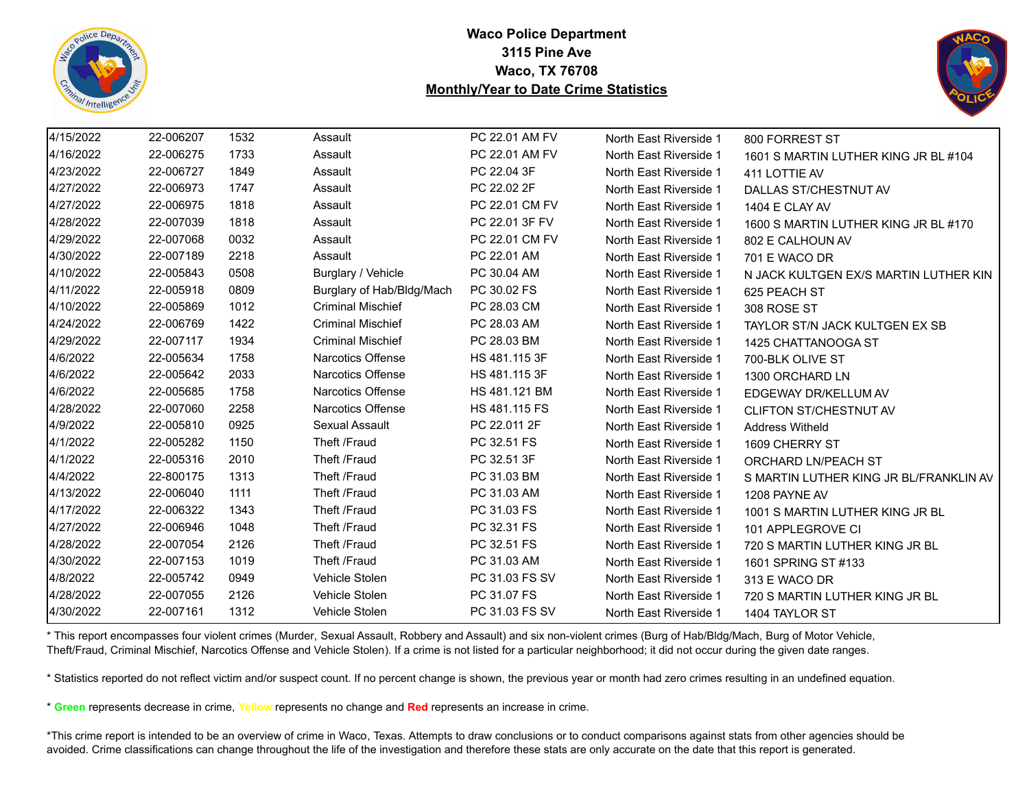



| 4/15/2022 | 22-006207 | 1532 | Assault                   | PC 22.01 AM FV | North East Riverside 1 | 800 FORREST ST                         |
|-----------|-----------|------|---------------------------|----------------|------------------------|----------------------------------------|
| 4/16/2022 | 22-006275 | 1733 | Assault                   | PC 22.01 AM FV | North East Riverside 1 | 1601 S MARTIN LUTHER KING JR BL #104   |
| 4/23/2022 | 22-006727 | 1849 | Assault                   | PC 22.04 3F    | North East Riverside 1 | 411 LOTTIE AV                          |
| 4/27/2022 | 22-006973 | 1747 | Assault                   | PC 22.02 2F    | North East Riverside 1 | DALLAS ST/CHESTNUT AV                  |
| 4/27/2022 | 22-006975 | 1818 | Assault                   | PC 22.01 CM FV | North East Riverside 1 | 1404 E CLAY AV                         |
| 4/28/2022 | 22-007039 | 1818 | Assault                   | PC 22.01 3F FV | North East Riverside 1 | 1600 S MARTIN LUTHER KING JR BL #170   |
| 4/29/2022 | 22-007068 | 0032 | Assault                   | PC 22.01 CM FV | North East Riverside 1 | 802 E CALHOUN AV                       |
| 4/30/2022 | 22-007189 | 2218 | Assault                   | PC 22.01 AM    | North East Riverside 1 | 701 E WACO DR                          |
| 4/10/2022 | 22-005843 | 0508 | Burglary / Vehicle        | PC 30.04 AM    | North East Riverside 1 | N JACK KULTGEN EX/S MARTIN LUTHER KIN  |
| 4/11/2022 | 22-005918 | 0809 | Burglary of Hab/Bldg/Mach | PC 30.02 FS    | North East Riverside 1 | 625 PEACH ST                           |
| 4/10/2022 | 22-005869 | 1012 | <b>Criminal Mischief</b>  | PC 28.03 CM    | North East Riverside 1 | 308 ROSE ST                            |
| 4/24/2022 | 22-006769 | 1422 | <b>Criminal Mischief</b>  | PC 28.03 AM    | North East Riverside 1 | TAYLOR ST/N JACK KULTGEN EX SB         |
| 4/29/2022 | 22-007117 | 1934 | <b>Criminal Mischief</b>  | PC 28.03 BM    | North East Riverside 1 | 1425 CHATTANOOGA ST                    |
| 4/6/2022  | 22-005634 | 1758 | Narcotics Offense         | HS 481.115 3F  | North East Riverside 1 | 700-BLK OLIVE ST                       |
| 4/6/2022  | 22-005642 | 2033 | Narcotics Offense         | HS 481.115 3F  | North East Riverside 1 | 1300 ORCHARD LN                        |
| 4/6/2022  | 22-005685 | 1758 | Narcotics Offense         | HS 481.121 BM  | North East Riverside 1 | EDGEWAY DR/KELLUM AV                   |
| 4/28/2022 | 22-007060 | 2258 | Narcotics Offense         | HS 481.115 FS  | North East Riverside 1 | <b>CLIFTON ST/CHESTNUT AV</b>          |
| 4/9/2022  | 22-005810 | 0925 | Sexual Assault            | PC 22.011 2F   | North East Riverside 1 | <b>Address Witheld</b>                 |
| 4/1/2022  | 22-005282 | 1150 | Theft /Fraud              | PC 32.51 FS    | North East Riverside 1 | 1609 CHERRY ST                         |
| 4/1/2022  | 22-005316 | 2010 | Theft /Fraud              | PC 32.51 3F    | North East Riverside 1 | ORCHARD LN/PEACH ST                    |
| 4/4/2022  | 22-800175 | 1313 | Theft /Fraud              | PC 31.03 BM    | North East Riverside 1 | S MARTIN LUTHER KING JR BL/FRANKLIN AV |
| 4/13/2022 | 22-006040 | 1111 | Theft /Fraud              | PC 31.03 AM    | North East Riverside 1 | 1208 PAYNE AV                          |
| 4/17/2022 | 22-006322 | 1343 | Theft /Fraud              | PC 31.03 FS    | North East Riverside 1 | 1001 S MARTIN LUTHER KING JR BL        |
| 4/27/2022 | 22-006946 | 1048 | Theft /Fraud              | PC 32.31 FS    | North East Riverside 1 | 101 APPLEGROVE CI                      |
| 4/28/2022 | 22-007054 | 2126 | Theft /Fraud              | PC 32.51 FS    | North East Riverside 1 | 720 S MARTIN LUTHER KING JR BL         |
| 4/30/2022 | 22-007153 | 1019 | Theft /Fraud              | PC 31.03 AM    | North East Riverside 1 | 1601 SPRING ST #133                    |
| 4/8/2022  | 22-005742 | 0949 | Vehicle Stolen            | PC 31.03 FS SV | North East Riverside 1 | 313 E WACO DR                          |
| 4/28/2022 | 22-007055 | 2126 | Vehicle Stolen            | PC 31.07 FS    | North East Riverside 1 | 720 S MARTIN LUTHER KING JR BL         |
| 4/30/2022 | 22-007161 | 1312 | Vehicle Stolen            | PC 31.03 FS SV | North East Riverside 1 | 1404 TAYLOR ST                         |

\* This report encompasses four violent crimes (Murder, Sexual Assault, Robbery and Assault) and six non-violent crimes (Burg of Hab/Bldg/Mach, Burg of Motor Vehicle, Theft/Fraud, Criminal Mischief, Narcotics Offense and Vehicle Stolen). If a crime is not listed for a particular neighborhood; it did not occur during the given date ranges.

\* Statistics reported do not reflect victim and/or suspect count. If no percent change is shown, the previous year or month had zero crimes resulting in an undefined equation.

\* **Green** represents decrease in crime, **Yellow** represents no change and **Red** represents an increase in crime.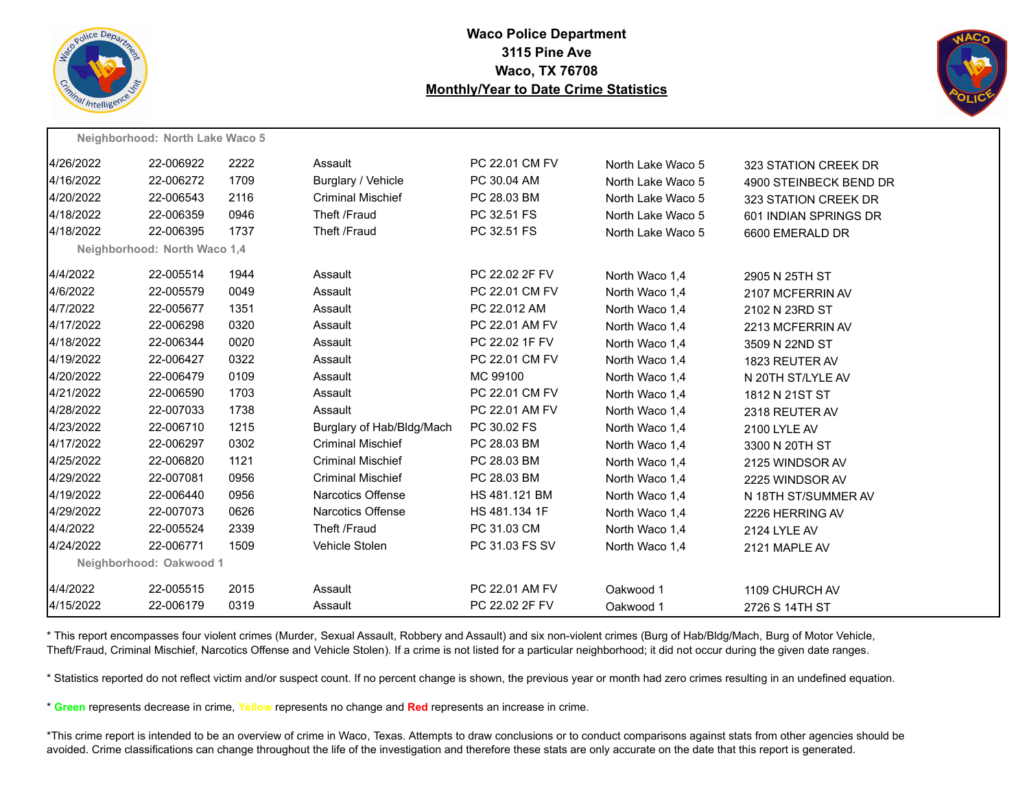



|           | Neighborhood: North Lake Waco 5 |      |                           |                |                   |                        |
|-----------|---------------------------------|------|---------------------------|----------------|-------------------|------------------------|
| 4/26/2022 | 22-006922                       | 2222 | Assault                   | PC 22.01 CM FV | North Lake Waco 5 | 323 STATION CREEK DR   |
| 4/16/2022 | 22-006272                       | 1709 | Burglary / Vehicle        | PC 30.04 AM    | North Lake Waco 5 | 4900 STEINBECK BEND DR |
| 4/20/2022 | 22-006543                       | 2116 | <b>Criminal Mischief</b>  | PC 28.03 BM    | North Lake Waco 5 | 323 STATION CREEK DR   |
| 4/18/2022 | 22-006359                       | 0946 | Theft /Fraud              | PC 32.51 FS    | North Lake Waco 5 | 601 INDIAN SPRINGS DR  |
| 4/18/2022 | 22-006395                       | 1737 | Theft /Fraud              | PC 32.51 FS    | North Lake Waco 5 | 6600 EMERALD DR        |
|           | Neighborhood: North Waco 1,4    |      |                           |                |                   |                        |
| 4/4/2022  | 22-005514                       | 1944 | Assault                   | PC 22.02 2F FV | North Waco 1,4    | 2905 N 25TH ST         |
| 4/6/2022  | 22-005579                       | 0049 | Assault                   | PC 22.01 CM FV | North Waco 1,4    | 2107 MCFERRIN AV       |
| 4/7/2022  | 22-005677                       | 1351 | Assault                   | PC 22.012 AM   | North Waco 1.4    | 2102 N 23RD ST         |
| 4/17/2022 | 22-006298                       | 0320 | Assault                   | PC 22.01 AM FV | North Waco 1,4    | 2213 MCFERRIN AV       |
| 4/18/2022 | 22-006344                       | 0020 | Assault                   | PC 22.02 1F FV | North Waco 1,4    | 3509 N 22ND ST         |
| 4/19/2022 | 22-006427                       | 0322 | Assault                   | PC 22.01 CM FV | North Waco 1,4    | 1823 REUTER AV         |
| 4/20/2022 | 22-006479                       | 0109 | Assault                   | MC 99100       | North Waco 1,4    | N 20TH ST/LYLE AV      |
| 4/21/2022 | 22-006590                       | 1703 | Assault                   | PC 22.01 CM FV | North Waco 1,4    | 1812 N 21ST ST         |
| 4/28/2022 | 22-007033                       | 1738 | Assault                   | PC 22.01 AM FV | North Waco 1.4    | 2318 REUTER AV         |
| 4/23/2022 | 22-006710                       | 1215 | Burglary of Hab/Bldg/Mach | PC 30.02 FS    | North Waco 1,4    | 2100 LYLE AV           |
| 4/17/2022 | 22-006297                       | 0302 | <b>Criminal Mischief</b>  | PC 28.03 BM    | North Waco 1,4    | 3300 N 20TH ST         |
| 4/25/2022 | 22-006820                       | 1121 | <b>Criminal Mischief</b>  | PC 28.03 BM    | North Waco 1,4    | 2125 WINDSOR AV        |
| 4/29/2022 | 22-007081                       | 0956 | <b>Criminal Mischief</b>  | PC 28.03 BM    | North Waco 1,4    | 2225 WINDSOR AV        |
| 4/19/2022 | 22-006440                       | 0956 | Narcotics Offense         | HS 481.121 BM  | North Waco 1,4    | N 18TH ST/SUMMER AV    |
| 4/29/2022 | 22-007073                       | 0626 | Narcotics Offense         | HS 481.134 1F  | North Waco 1,4    | 2226 HERRING AV        |
| 4/4/2022  | 22-005524                       | 2339 | Theft /Fraud              | PC 31.03 CM    | North Waco 1,4    | 2124 LYLE AV           |
| 4/24/2022 | 22-006771                       | 1509 | Vehicle Stolen            | PC 31.03 FS SV | North Waco 1,4    | 2121 MAPLE AV          |
|           | Neighborhood: Oakwood 1         |      |                           |                |                   |                        |
| 4/4/2022  | 22-005515                       | 2015 | Assault                   | PC 22.01 AM FV | Oakwood 1         | 1109 CHURCH AV         |
| 4/15/2022 | 22-006179                       | 0319 | Assault                   | PC 22.02 2F FV | Oakwood 1         | 2726 S 14TH ST         |
|           |                                 |      |                           |                |                   |                        |

\* This report encompasses four violent crimes (Murder, Sexual Assault, Robbery and Assault) and six non-violent crimes (Burg of Hab/Bldg/Mach, Burg of Motor Vehicle, Theft/Fraud, Criminal Mischief, Narcotics Offense and Vehicle Stolen). If a crime is not listed for a particular neighborhood; it did not occur during the given date ranges.

\* Statistics reported do not reflect victim and/or suspect count. If no percent change is shown, the previous year or month had zero crimes resulting in an undefined equation.

\* **Green** represents decrease in crime, **Yellow** represents no change and **Red** represents an increase in crime.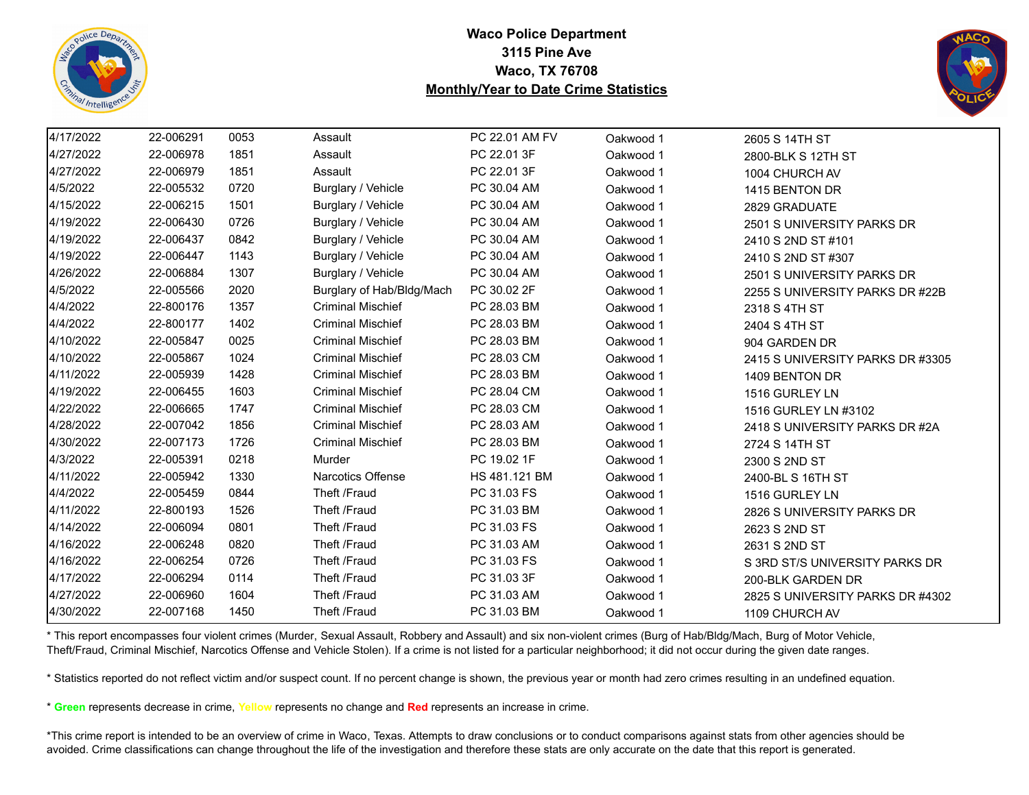



| 4/17/2022 | 22-006291 | 0053 | Assault                   | PC 22.01 AM FV | Oakwood 1 | 2605 S 14TH ST                   |
|-----------|-----------|------|---------------------------|----------------|-----------|----------------------------------|
| 4/27/2022 | 22-006978 | 1851 | Assault                   | PC 22.01 3F    | Oakwood 1 | 2800-BLK S 12TH ST               |
| 4/27/2022 | 22-006979 | 1851 | Assault                   | PC 22.01 3F    | Oakwood 1 | 1004 CHURCH AV                   |
| 4/5/2022  | 22-005532 | 0720 | Burglary / Vehicle        | PC 30.04 AM    | Oakwood 1 | 1415 BENTON DR                   |
| 4/15/2022 | 22-006215 | 1501 | Burglary / Vehicle        | PC 30.04 AM    | Oakwood 1 | 2829 GRADUATE                    |
| 4/19/2022 | 22-006430 | 0726 | Burglary / Vehicle        | PC 30.04 AM    | Oakwood 1 | 2501 S UNIVERSITY PARKS DR       |
| 4/19/2022 | 22-006437 | 0842 | Burglary / Vehicle        | PC 30.04 AM    | Oakwood 1 | 2410 S 2ND ST #101               |
| 4/19/2022 | 22-006447 | 1143 | Burglary / Vehicle        | PC 30.04 AM    | Oakwood 1 | 2410 S 2ND ST #307               |
| 4/26/2022 | 22-006884 | 1307 | Burglary / Vehicle        | PC 30.04 AM    | Oakwood 1 | 2501 S UNIVERSITY PARKS DR       |
| 4/5/2022  | 22-005566 | 2020 | Burglary of Hab/Bldg/Mach | PC 30.02 2F    | Oakwood 1 | 2255 S UNIVERSITY PARKS DR #22B  |
| 4/4/2022  | 22-800176 | 1357 | <b>Criminal Mischief</b>  | PC 28.03 BM    | Oakwood 1 | 2318 S 4TH ST                    |
| 4/4/2022  | 22-800177 | 1402 | <b>Criminal Mischief</b>  | PC 28.03 BM    | Oakwood 1 | 2404 S 4TH ST                    |
| 4/10/2022 | 22-005847 | 0025 | <b>Criminal Mischief</b>  | PC 28.03 BM    | Oakwood 1 | 904 GARDEN DR                    |
| 4/10/2022 | 22-005867 | 1024 | <b>Criminal Mischief</b>  | PC 28.03 CM    | Oakwood 1 | 2415 S UNIVERSITY PARKS DR #3305 |
| 4/11/2022 | 22-005939 | 1428 | <b>Criminal Mischief</b>  | PC 28.03 BM    | Oakwood 1 | 1409 BENTON DR                   |
| 4/19/2022 | 22-006455 | 1603 | <b>Criminal Mischief</b>  | PC 28.04 CM    | Oakwood 1 | 1516 GURLEY LN                   |
| 4/22/2022 | 22-006665 | 1747 | <b>Criminal Mischief</b>  | PC 28.03 CM    | Oakwood 1 | 1516 GURLEY LN #3102             |
| 4/28/2022 | 22-007042 | 1856 | <b>Criminal Mischief</b>  | PC 28.03 AM    | Oakwood 1 | 2418 S UNIVERSITY PARKS DR #2A   |
| 4/30/2022 | 22-007173 | 1726 | <b>Criminal Mischief</b>  | PC 28.03 BM    | Oakwood 1 | 2724 S 14TH ST                   |
| 4/3/2022  | 22-005391 | 0218 | <b>Murder</b>             | PC 19.02 1F    | Oakwood 1 | 2300 S 2ND ST                    |
| 4/11/2022 | 22-005942 | 1330 | <b>Narcotics Offense</b>  | HS 481.121 BM  | Oakwood 1 | 2400-BL S 16TH ST                |
| 4/4/2022  | 22-005459 | 0844 | Theft /Fraud              | PC 31.03 FS    | Oakwood 1 | 1516 GURLEY LN                   |
| 4/11/2022 | 22-800193 | 1526 | Theft /Fraud              | PC 31.03 BM    | Oakwood 1 | 2826 S UNIVERSITY PARKS DR       |
| 4/14/2022 | 22-006094 | 0801 | Theft /Fraud              | PC 31.03 FS    | Oakwood 1 | 2623 S 2ND ST                    |
| 4/16/2022 | 22-006248 | 0820 | Theft /Fraud              | PC 31.03 AM    | Oakwood 1 | 2631 S 2ND ST                    |
| 4/16/2022 | 22-006254 | 0726 | Theft /Fraud              | PC 31.03 FS    | Oakwood 1 | S 3RD ST/S UNIVERSITY PARKS DR   |
| 4/17/2022 | 22-006294 | 0114 | Theft /Fraud              | PC 31.03 3F    | Oakwood 1 | 200-BLK GARDEN DR                |
| 4/27/2022 | 22-006960 | 1604 | Theft /Fraud              | PC 31.03 AM    | Oakwood 1 | 2825 S UNIVERSITY PARKS DR #4302 |
| 4/30/2022 | 22-007168 | 1450 | Theft /Fraud              | PC 31.03 BM    | Oakwood 1 | 1109 CHURCH AV                   |

\* This report encompasses four violent crimes (Murder, Sexual Assault, Robbery and Assault) and six non-violent crimes (Burg of Hab/Bldg/Mach, Burg of Motor Vehicle, Theft/Fraud, Criminal Mischief, Narcotics Offense and Vehicle Stolen). If a crime is not listed for a particular neighborhood; it did not occur during the given date ranges.

\* Statistics reported do not reflect victim and/or suspect count. If no percent change is shown, the previous year or month had zero crimes resulting in an undefined equation.

\* **Green** represents decrease in crime, **Yellow** represents no change and **Red** represents an increase in crime.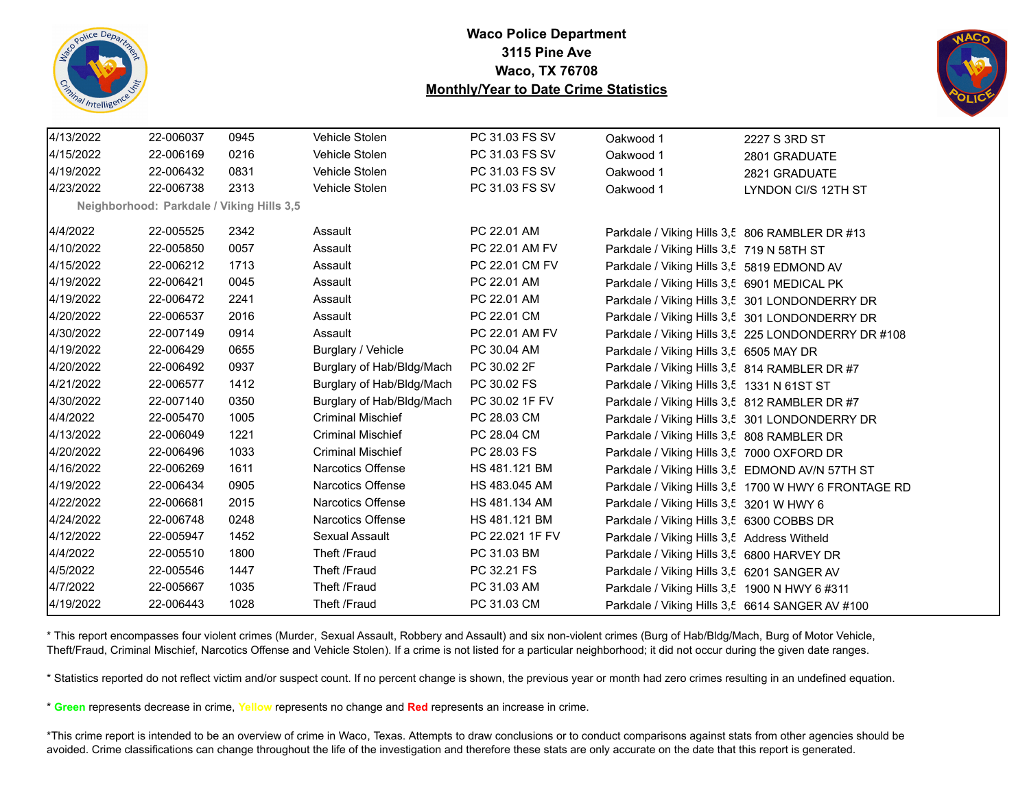



| 4/13/2022 | 22-006037                                 | 0945 | Vehicle Stolen            | PC 31.03 FS SV  | Oakwood 1                                      | 2227 S 3RD ST                                        |
|-----------|-------------------------------------------|------|---------------------------|-----------------|------------------------------------------------|------------------------------------------------------|
| 4/15/2022 | 22-006169                                 | 0216 | Vehicle Stolen            | PC 31.03 FS SV  | Oakwood 1                                      | 2801 GRADUATE                                        |
| 4/19/2022 | 22-006432                                 | 0831 | Vehicle Stolen            | PC 31.03 FS SV  | Oakwood 1                                      | 2821 GRADUATE                                        |
| 4/23/2022 | 22-006738                                 | 2313 | Vehicle Stolen            | PC 31.03 FS SV  | Oakwood 1                                      | LYNDON CI/S 12TH ST                                  |
|           | Neighborhood: Parkdale / Viking Hills 3,5 |      |                           |                 |                                                |                                                      |
| 4/4/2022  | 22-005525                                 | 2342 | Assault                   | PC 22.01 AM     | Parkdale / Viking Hills 3,5 806 RAMBLER DR #13 |                                                      |
| 4/10/2022 | 22-005850                                 | 0057 | Assault                   | PC 22.01 AM FV  | Parkdale / Viking Hills 3,5 719 N 58TH ST      |                                                      |
| 4/15/2022 | 22-006212                                 | 1713 | Assault                   | PC 22.01 CM FV  | Parkdale / Viking Hills 3,5 5819 EDMOND AV     |                                                      |
| 4/19/2022 | 22-006421                                 | 0045 | Assault                   | PC 22.01 AM     | Parkdale / Viking Hills 3,5 6901 MEDICAL PK    |                                                      |
| 4/19/2022 | 22-006472                                 | 2241 | Assault                   | PC 22.01 AM     |                                                | Parkdale / Viking Hills 3,5 301 LONDONDERRY DR       |
| 4/20/2022 | 22-006537                                 | 2016 | Assault                   | PC 22.01 CM     |                                                | Parkdale / Viking Hills 3,5 301 LONDONDERRY DR       |
| 4/30/2022 | 22-007149                                 | 0914 | Assault                   | PC 22.01 AM FV  |                                                | Parkdale / Viking Hills 3,5 225 LONDONDERRY DR #108  |
| 4/19/2022 | 22-006429                                 | 0655 | Burglary / Vehicle        | PC 30.04 AM     | Parkdale / Viking Hills 3,5 6505 MAY DR        |                                                      |
| 4/20/2022 | 22-006492                                 | 0937 | Burglary of Hab/Bldg/Mach | PC 30.02 2F     | Parkdale / Viking Hills 3,5 814 RAMBLER DR #7  |                                                      |
| 4/21/2022 | 22-006577                                 | 1412 | Burglary of Hab/Bldg/Mach | PC 30.02 FS     | Parkdale / Viking Hills 3,5 1331 N 61ST ST     |                                                      |
| 4/30/2022 | 22-007140                                 | 0350 | Burglary of Hab/Bldg/Mach | PC 30.02 1F FV  | Parkdale / Viking Hills 3,5 812 RAMBLER DR #7  |                                                      |
| 4/4/2022  | 22-005470                                 | 1005 | <b>Criminal Mischief</b>  | PC 28.03 CM     |                                                | Parkdale / Viking Hills 3,5 301 LONDONDERRY DR       |
| 4/13/2022 | 22-006049                                 | 1221 | <b>Criminal Mischief</b>  | PC 28.04 CM     | Parkdale / Viking Hills 3,5 808 RAMBLER DR     |                                                      |
| 4/20/2022 | 22-006496                                 | 1033 | <b>Criminal Mischief</b>  | PC 28.03 FS     | Parkdale / Viking Hills 3,5 7000 OXFORD DR     |                                                      |
| 4/16/2022 | 22-006269                                 | 1611 | Narcotics Offense         | HS 481.121 BM   |                                                | Parkdale / Viking Hills 3,5 EDMOND AV/N 57TH ST      |
| 4/19/2022 | 22-006434                                 | 0905 | Narcotics Offense         | HS 483.045 AM   |                                                | Parkdale / Viking Hills 3,5 1700 W HWY 6 FRONTAGE RD |
| 4/22/2022 | 22-006681                                 | 2015 | <b>Narcotics Offense</b>  | HS 481.134 AM   | Parkdale / Viking Hills 3,5 3201 W HWY 6       |                                                      |
| 4/24/2022 | 22-006748                                 | 0248 | <b>Narcotics Offense</b>  | HS 481.121 BM   | Parkdale / Viking Hills 3,5 6300 COBBS DR      |                                                      |
| 4/12/2022 | 22-005947                                 | 1452 | Sexual Assault            | PC 22.021 1F FV | Parkdale / Viking Hills 3,5 Address Witheld    |                                                      |
| 4/4/2022  | 22-005510                                 | 1800 | Theft /Fraud              | PC 31.03 BM     | Parkdale / Viking Hills 3,5 6800 HARVEY DR     |                                                      |
| 4/5/2022  | 22-005546                                 | 1447 | Theft /Fraud              | PC 32.21 FS     | Parkdale / Viking Hills 3,5 6201 SANGER AV     |                                                      |
| 4/7/2022  | 22-005667                                 | 1035 | Theft /Fraud              | PC 31.03 AM     | Parkdale / Viking Hills 3,5 1900 N HWY 6 #311  |                                                      |
| 4/19/2022 | 22-006443                                 | 1028 | Theft /Fraud              | PC 31.03 CM     |                                                | Parkdale / Viking Hills 3,5 6614 SANGER AV #100      |

\* This report encompasses four violent crimes (Murder, Sexual Assault, Robbery and Assault) and six non-violent crimes (Burg of Hab/Bldg/Mach, Burg of Motor Vehicle, Theft/Fraud, Criminal Mischief, Narcotics Offense and Vehicle Stolen). If a crime is not listed for a particular neighborhood; it did not occur during the given date ranges.

\* Statistics reported do not reflect victim and/or suspect count. If no percent change is shown, the previous year or month had zero crimes resulting in an undefined equation.

\* **Green** represents decrease in crime, **Yellow** represents no change and **Red** represents an increase in crime.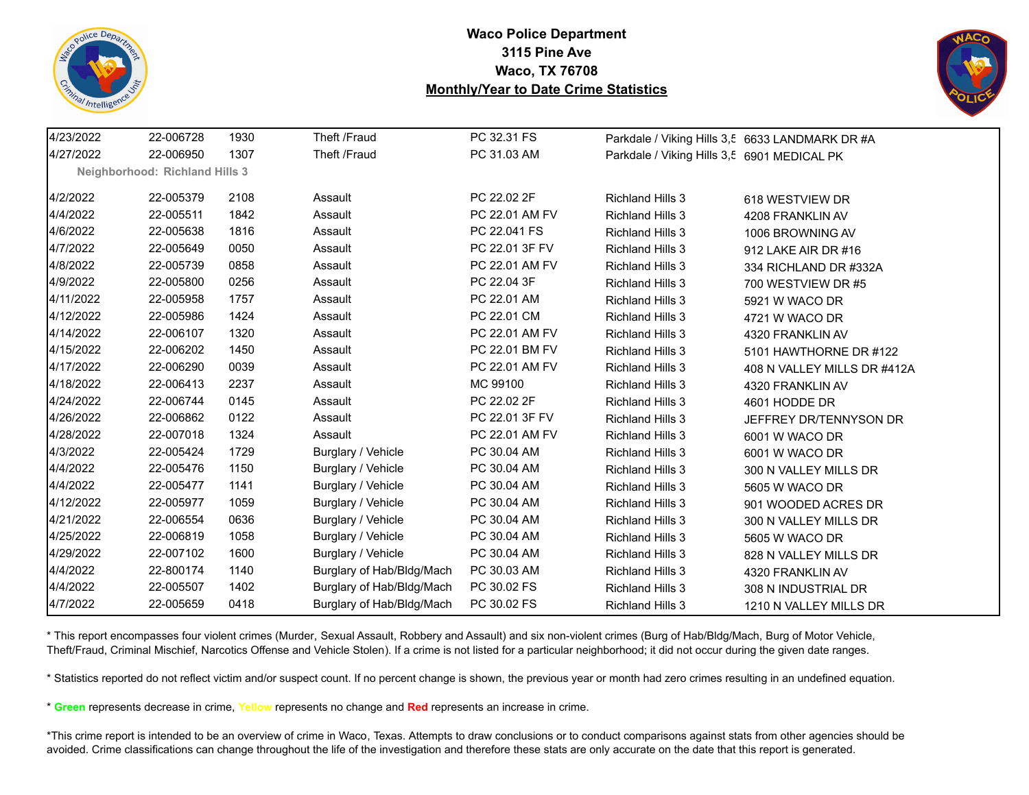



| 4/23/2022 | 22-006728                             | 1930 | Theft /Fraud              | PC 32.31 FS    |                                             | Parkdale / Viking Hills 3,5 6633 LANDMARK DR #A |
|-----------|---------------------------------------|------|---------------------------|----------------|---------------------------------------------|-------------------------------------------------|
| 4/27/2022 | 22-006950                             | 1307 | Theft /Fraud              | PC 31.03 AM    | Parkdale / Viking Hills 3,5 6901 MEDICAL PK |                                                 |
|           | <b>Neighborhood: Richland Hills 3</b> |      |                           |                |                                             |                                                 |
| 4/2/2022  | 22-005379                             | 2108 | Assault                   | PC 22.02 2F    | <b>Richland Hills 3</b>                     | 618 WESTVIEW DR                                 |
| 4/4/2022  | 22-005511                             | 1842 | Assault                   | PC 22.01 AM FV | <b>Richland Hills 3</b>                     | 4208 FRANKLIN AV                                |
| 4/6/2022  | 22-005638                             | 1816 | Assault                   | PC 22.041 FS   | <b>Richland Hills 3</b>                     | 1006 BROWNING AV                                |
| 4/7/2022  | 22-005649                             | 0050 | Assault                   | PC 22.01 3F FV | Richland Hills 3                            | 912 LAKE AIR DR #16                             |
| 4/8/2022  | 22-005739                             | 0858 | Assault                   | PC 22.01 AM FV | <b>Richland Hills 3</b>                     | 334 RICHLAND DR #332A                           |
| 4/9/2022  | 22-005800                             | 0256 | Assault                   | PC 22.04 3F    | <b>Richland Hills 3</b>                     | 700 WESTVIEW DR #5                              |
| 4/11/2022 | 22-005958                             | 1757 | Assault                   | PC 22.01 AM    | <b>Richland Hills 3</b>                     | 5921 W WACO DR                                  |
| 4/12/2022 | 22-005986                             | 1424 | Assault                   | PC 22.01 CM    | <b>Richland Hills 3</b>                     | 4721 W WACO DR                                  |
| 4/14/2022 | 22-006107                             | 1320 | Assault                   | PC 22.01 AM FV | <b>Richland Hills 3</b>                     | 4320 FRANKLIN AV                                |
| 4/15/2022 | 22-006202                             | 1450 | Assault                   | PC 22.01 BM FV | <b>Richland Hills 3</b>                     | 5101 HAWTHORNE DR #122                          |
| 4/17/2022 | 22-006290                             | 0039 | Assault                   | PC 22.01 AM FV | <b>Richland Hills 3</b>                     | 408 N VALLEY MILLS DR #412A                     |
| 4/18/2022 | 22-006413                             | 2237 | Assault                   | MC 99100       | <b>Richland Hills 3</b>                     | 4320 FRANKLIN AV                                |
| 4/24/2022 | 22-006744                             | 0145 | Assault                   | PC 22.02 2F    | <b>Richland Hills 3</b>                     | 4601 HODDE DR                                   |
| 4/26/2022 | 22-006862                             | 0122 | Assault                   | PC 22.01 3F FV | <b>Richland Hills 3</b>                     | JEFFREY DR/TENNYSON DR                          |
| 4/28/2022 | 22-007018                             | 1324 | Assault                   | PC 22.01 AM FV | <b>Richland Hills 3</b>                     | 6001 W WACO DR                                  |
| 4/3/2022  | 22-005424                             | 1729 | Burglary / Vehicle        | PC 30.04 AM    | <b>Richland Hills 3</b>                     | 6001 W WACO DR                                  |
| 4/4/2022  | 22-005476                             | 1150 | Burglary / Vehicle        | PC 30.04 AM    | <b>Richland Hills 3</b>                     | 300 N VALLEY MILLS DR                           |
| 4/4/2022  | 22-005477                             | 1141 | Burglary / Vehicle        | PC 30.04 AM    | Richland Hills 3                            | 5605 W WACO DR                                  |
| 4/12/2022 | 22-005977                             | 1059 | Burglary / Vehicle        | PC 30.04 AM    | <b>Richland Hills 3</b>                     | 901 WOODED ACRES DR                             |
| 4/21/2022 | 22-006554                             | 0636 | Burglary / Vehicle        | PC 30.04 AM    | <b>Richland Hills 3</b>                     | 300 N VALLEY MILLS DR                           |
| 4/25/2022 | 22-006819                             | 1058 | Burglary / Vehicle        | PC 30.04 AM    | <b>Richland Hills 3</b>                     | 5605 W WACO DR                                  |
| 4/29/2022 | 22-007102                             | 1600 | Burglary / Vehicle        | PC 30.04 AM    | <b>Richland Hills 3</b>                     | 828 N VALLEY MILLS DR                           |
| 4/4/2022  | 22-800174                             | 1140 | Burglary of Hab/Bldg/Mach | PC 30.03 AM    | <b>Richland Hills 3</b>                     | 4320 FRANKLIN AV                                |
| 4/4/2022  | 22-005507                             | 1402 | Burglary of Hab/Bldg/Mach | PC 30.02 FS    | <b>Richland Hills 3</b>                     | 308 N INDUSTRIAL DR                             |
| 4/7/2022  | 22-005659                             | 0418 | Burglary of Hab/Bldg/Mach | PC 30.02 FS    | <b>Richland Hills 3</b>                     | 1210 N VALLEY MILLS DR                          |

\* This report encompasses four violent crimes (Murder, Sexual Assault, Robbery and Assault) and six non-violent crimes (Burg of Hab/Bldg/Mach, Burg of Motor Vehicle, Theft/Fraud, Criminal Mischief, Narcotics Offense and Vehicle Stolen). If a crime is not listed for a particular neighborhood; it did not occur during the given date ranges.

\* Statistics reported do not reflect victim and/or suspect count. If no percent change is shown, the previous year or month had zero crimes resulting in an undefined equation.

\* **Green** represents decrease in crime, **Yellow** represents no change and **Red** represents an increase in crime.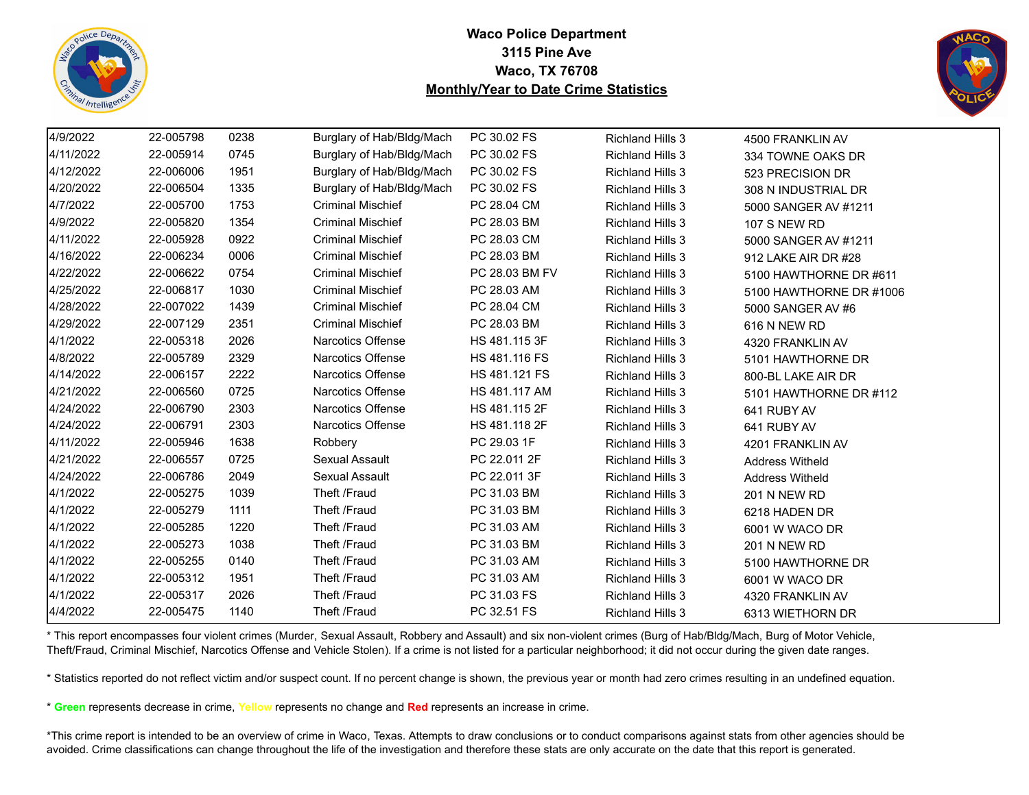



| 4/9/2022  | 22-005798 | 0238 | Burglary of Hab/Bldg/Mach | PC 30.02 FS    | <b>Richland Hills 3</b> | 4500 FRANKLIN AV        |
|-----------|-----------|------|---------------------------|----------------|-------------------------|-------------------------|
| 4/11/2022 | 22-005914 | 0745 | Burglary of Hab/Bldg/Mach | PC 30.02 FS    | <b>Richland Hills 3</b> | 334 TOWNE OAKS DR       |
| 4/12/2022 | 22-006006 | 1951 | Burglary of Hab/Bldg/Mach | PC 30.02 FS    | <b>Richland Hills 3</b> | 523 PRECISION DR        |
| 4/20/2022 | 22-006504 | 1335 | Burglary of Hab/Bldg/Mach | PC 30.02 FS    | <b>Richland Hills 3</b> | 308 N INDUSTRIAL DR     |
| 4/7/2022  | 22-005700 | 1753 | <b>Criminal Mischief</b>  | PC 28.04 CM    | <b>Richland Hills 3</b> | 5000 SANGER AV #1211    |
| 4/9/2022  | 22-005820 | 1354 | <b>Criminal Mischief</b>  | PC 28.03 BM    | <b>Richland Hills 3</b> | <b>107 S NEW RD</b>     |
| 4/11/2022 | 22-005928 | 0922 | <b>Criminal Mischief</b>  | PC 28.03 CM    | <b>Richland Hills 3</b> | 5000 SANGER AV #1211    |
| 4/16/2022 | 22-006234 | 0006 | <b>Criminal Mischief</b>  | PC 28.03 BM    | <b>Richland Hills 3</b> | 912 LAKE AIR DR #28     |
| 4/22/2022 | 22-006622 | 0754 | <b>Criminal Mischief</b>  | PC 28.03 BM FV | <b>Richland Hills 3</b> | 5100 HAWTHORNE DR #611  |
| 4/25/2022 | 22-006817 | 1030 | <b>Criminal Mischief</b>  | PC 28.03 AM    | <b>Richland Hills 3</b> | 5100 HAWTHORNE DR #1006 |
| 4/28/2022 | 22-007022 | 1439 | <b>Criminal Mischief</b>  | PC 28.04 CM    | <b>Richland Hills 3</b> | 5000 SANGER AV #6       |
| 4/29/2022 | 22-007129 | 2351 | <b>Criminal Mischief</b>  | PC 28.03 BM    | <b>Richland Hills 3</b> | 616 N NEW RD            |
| 4/1/2022  | 22-005318 | 2026 | <b>Narcotics Offense</b>  | HS 481.115 3F  | <b>Richland Hills 3</b> | 4320 FRANKLIN AV        |
| 4/8/2022  | 22-005789 | 2329 | Narcotics Offense         | HS 481.116 FS  | <b>Richland Hills 3</b> | 5101 HAWTHORNE DR       |
| 4/14/2022 | 22-006157 | 2222 | <b>Narcotics Offense</b>  | HS 481.121 FS  | <b>Richland Hills 3</b> | 800-BL LAKE AIR DR      |
| 4/21/2022 | 22-006560 | 0725 | <b>Narcotics Offense</b>  | HS 481.117 AM  | <b>Richland Hills 3</b> | 5101 HAWTHORNE DR #112  |
| 4/24/2022 | 22-006790 | 2303 | <b>Narcotics Offense</b>  | HS 481.115 2F  | <b>Richland Hills 3</b> | 641 RUBY AV             |
| 4/24/2022 | 22-006791 | 2303 | Narcotics Offense         | HS 481.118 2F  | <b>Richland Hills 3</b> | 641 RUBY AV             |
| 4/11/2022 | 22-005946 | 1638 | Robbery                   | PC 29.03 1F    | <b>Richland Hills 3</b> | 4201 FRANKLIN AV        |
| 4/21/2022 | 22-006557 | 0725 | Sexual Assault            | PC 22.011 2F   | <b>Richland Hills 3</b> | <b>Address Witheld</b>  |
| 4/24/2022 | 22-006786 | 2049 | Sexual Assault            | PC 22.011 3F   | <b>Richland Hills 3</b> | <b>Address Witheld</b>  |
| 4/1/2022  | 22-005275 | 1039 | Theft /Fraud              | PC 31.03 BM    | <b>Richland Hills 3</b> | <b>201 N NEW RD</b>     |
| 4/1/2022  | 22-005279 | 1111 | Theft /Fraud              | PC 31.03 BM    | <b>Richland Hills 3</b> | 6218 HADEN DR           |
| 4/1/2022  | 22-005285 | 1220 | Theft /Fraud              | PC 31.03 AM    | <b>Richland Hills 3</b> | 6001 W WACO DR          |
| 4/1/2022  | 22-005273 | 1038 | Theft /Fraud              | PC 31.03 BM    | <b>Richland Hills 3</b> | <b>201 N NEW RD</b>     |
| 4/1/2022  | 22-005255 | 0140 | Theft /Fraud              | PC 31.03 AM    | <b>Richland Hills 3</b> | 5100 HAWTHORNE DR       |
| 4/1/2022  | 22-005312 | 1951 | Theft /Fraud              | PC 31.03 AM    | <b>Richland Hills 3</b> | 6001 W WACO DR          |
| 4/1/2022  | 22-005317 | 2026 | Theft /Fraud              | PC 31.03 FS    | <b>Richland Hills 3</b> | 4320 FRANKLIN AV        |
| 4/4/2022  | 22-005475 | 1140 | Theft /Fraud              | PC 32.51 FS    | <b>Richland Hills 3</b> | 6313 WIETHORN DR        |

\* This report encompasses four violent crimes (Murder, Sexual Assault, Robbery and Assault) and six non-violent crimes (Burg of Hab/Bldg/Mach, Burg of Motor Vehicle, Theft/Fraud, Criminal Mischief, Narcotics Offense and Vehicle Stolen). If a crime is not listed for a particular neighborhood; it did not occur during the given date ranges.

\* Statistics reported do not reflect victim and/or suspect count. If no percent change is shown, the previous year or month had zero crimes resulting in an undefined equation.

\* **Green** represents decrease in crime, **Yellow** represents no change and **Red** represents an increase in crime.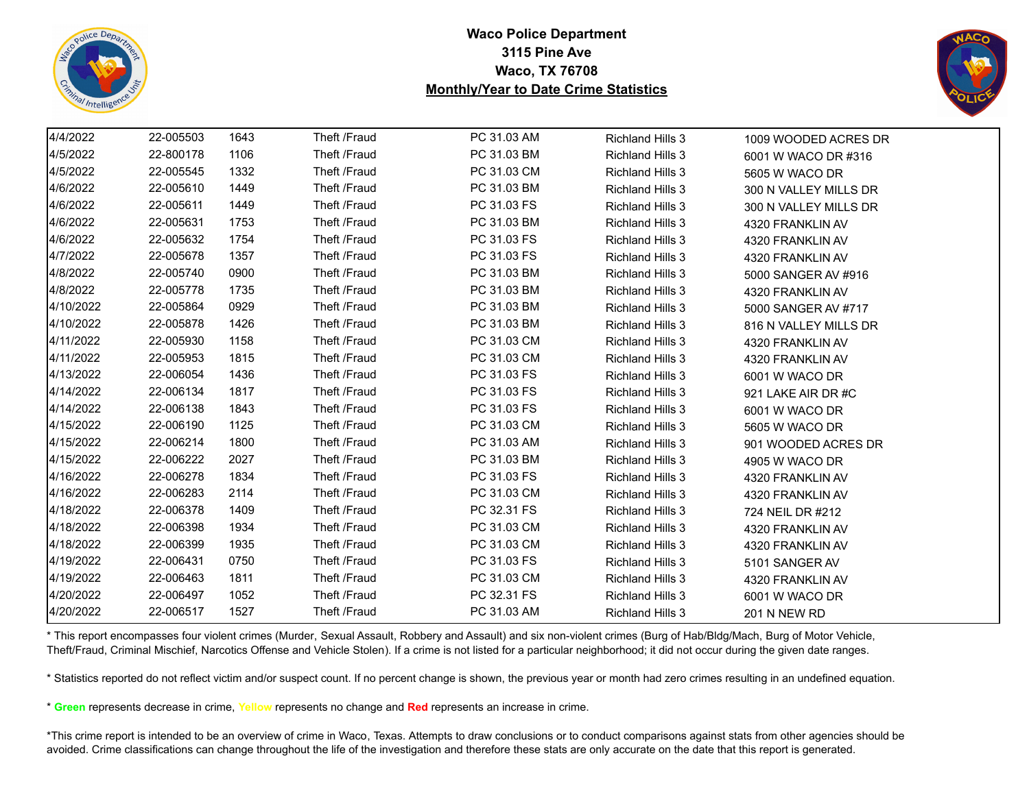



| 4/4/2022  | 22-005503 | 1643 | Theft /Fraud | PC 31.03 AM | <b>Richland Hills 3</b> | 1009 WOODED ACRES DR  |
|-----------|-----------|------|--------------|-------------|-------------------------|-----------------------|
| 4/5/2022  | 22-800178 | 1106 | Theft /Fraud | PC 31.03 BM | <b>Richland Hills 3</b> | 6001 W WACO DR #316   |
| 4/5/2022  | 22-005545 | 1332 | Theft /Fraud | PC 31.03 CM | <b>Richland Hills 3</b> | 5605 W WACO DR        |
| 4/6/2022  | 22-005610 | 1449 | Theft /Fraud | PC 31.03 BM | <b>Richland Hills 3</b> | 300 N VALLEY MILLS DR |
| 4/6/2022  | 22-005611 | 1449 | Theft /Fraud | PC 31.03 FS | <b>Richland Hills 3</b> | 300 N VALLEY MILLS DR |
| 4/6/2022  | 22-005631 | 1753 | Theft /Fraud | PC 31.03 BM | <b>Richland Hills 3</b> | 4320 FRANKLIN AV      |
| 4/6/2022  | 22-005632 | 1754 | Theft /Fraud | PC 31.03 FS | <b>Richland Hills 3</b> | 4320 FRANKLIN AV      |
| 4/7/2022  | 22-005678 | 1357 | Theft /Fraud | PC 31.03 FS | <b>Richland Hills 3</b> | 4320 FRANKLIN AV      |
| 4/8/2022  | 22-005740 | 0900 | Theft /Fraud | PC 31.03 BM | <b>Richland Hills 3</b> | 5000 SANGER AV #916   |
| 4/8/2022  | 22-005778 | 1735 | Theft /Fraud | PC 31.03 BM | <b>Richland Hills 3</b> | 4320 FRANKLIN AV      |
| 4/10/2022 | 22-005864 | 0929 | Theft /Fraud | PC 31.03 BM | <b>Richland Hills 3</b> | 5000 SANGER AV #717   |
| 4/10/2022 | 22-005878 | 1426 | Theft /Fraud | PC 31.03 BM | <b>Richland Hills 3</b> | 816 N VALLEY MILLS DR |
| 4/11/2022 | 22-005930 | 1158 | Theft /Fraud | PC 31.03 CM | <b>Richland Hills 3</b> | 4320 FRANKLIN AV      |
| 4/11/2022 | 22-005953 | 1815 | Theft /Fraud | PC 31.03 CM | <b>Richland Hills 3</b> | 4320 FRANKLIN AV      |
| 4/13/2022 | 22-006054 | 1436 | Theft /Fraud | PC 31.03 FS | <b>Richland Hills 3</b> | 6001 W WACO DR        |
| 4/14/2022 | 22-006134 | 1817 | Theft /Fraud | PC 31.03 FS | <b>Richland Hills 3</b> | 921 LAKE AIR DR #C    |
| 4/14/2022 | 22-006138 | 1843 | Theft /Fraud | PC 31.03 FS | <b>Richland Hills 3</b> | 6001 W WACO DR        |
| 4/15/2022 | 22-006190 | 1125 | Theft /Fraud | PC 31.03 CM | <b>Richland Hills 3</b> | 5605 W WACO DR        |
| 4/15/2022 | 22-006214 | 1800 | Theft /Fraud | PC 31.03 AM | <b>Richland Hills 3</b> | 901 WOODED ACRES DR   |
| 4/15/2022 | 22-006222 | 2027 | Theft /Fraud | PC 31.03 BM | <b>Richland Hills 3</b> | 4905 W WACO DR        |
| 4/16/2022 | 22-006278 | 1834 | Theft /Fraud | PC 31.03 FS | <b>Richland Hills 3</b> | 4320 FRANKLIN AV      |
| 4/16/2022 | 22-006283 | 2114 | Theft /Fraud | PC 31.03 CM | <b>Richland Hills 3</b> | 4320 FRANKLIN AV      |
| 4/18/2022 | 22-006378 | 1409 | Theft /Fraud | PC 32.31 FS | <b>Richland Hills 3</b> | 724 NEIL DR #212      |
| 4/18/2022 | 22-006398 | 1934 | Theft /Fraud | PC 31.03 CM | <b>Richland Hills 3</b> | 4320 FRANKLIN AV      |
| 4/18/2022 | 22-006399 | 1935 | Theft /Fraud | PC 31.03 CM | <b>Richland Hills 3</b> | 4320 FRANKLIN AV      |
| 4/19/2022 | 22-006431 | 0750 | Theft /Fraud | PC 31.03 FS | <b>Richland Hills 3</b> | 5101 SANGER AV        |
| 4/19/2022 | 22-006463 | 1811 | Theft /Fraud | PC 31.03 CM | <b>Richland Hills 3</b> | 4320 FRANKLIN AV      |
| 4/20/2022 | 22-006497 | 1052 | Theft /Fraud | PC 32.31 FS | <b>Richland Hills 3</b> | 6001 W WACO DR        |
| 4/20/2022 | 22-006517 | 1527 | Theft /Fraud | PC 31.03 AM | <b>Richland Hills 3</b> | <b>201 N NEW RD</b>   |

\* This report encompasses four violent crimes (Murder, Sexual Assault, Robbery and Assault) and six non-violent crimes (Burg of Hab/Bldg/Mach, Burg of Motor Vehicle, Theft/Fraud, Criminal Mischief, Narcotics Offense and Vehicle Stolen). If a crime is not listed for a particular neighborhood; it did not occur during the given date ranges.

\* Statistics reported do not reflect victim and/or suspect count. If no percent change is shown, the previous year or month had zero crimes resulting in an undefined equation.

\* **Green** represents decrease in crime, **Yellow** represents no change and **Red** represents an increase in crime.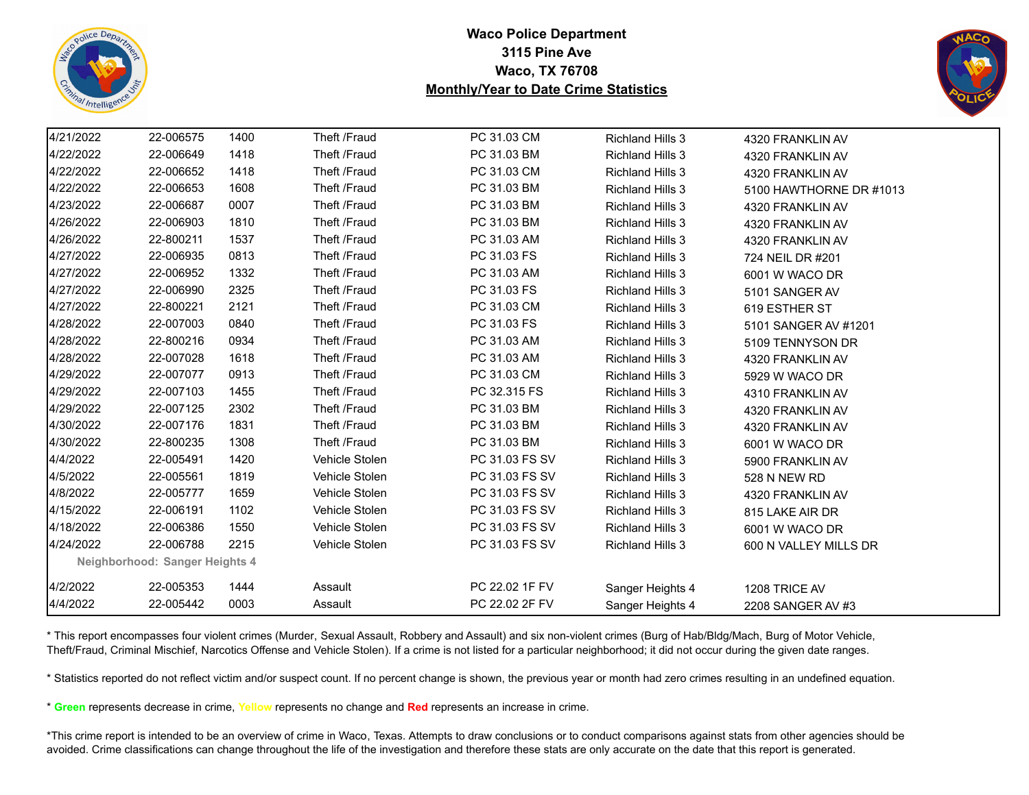



| 4/21/2022 | 22-006575                      | 1400 | Theft /Fraud   | PC 31.03 CM    | <b>Richland Hills 3</b> | 4320 FRANKLIN AV        |
|-----------|--------------------------------|------|----------------|----------------|-------------------------|-------------------------|
| 4/22/2022 | 22-006649                      | 1418 | Theft /Fraud   | PC 31.03 BM    | <b>Richland Hills 3</b> | 4320 FRANKLIN AV        |
| 4/22/2022 | 22-006652                      | 1418 | Theft /Fraud   | PC 31.03 CM    | <b>Richland Hills 3</b> | 4320 FRANKLIN AV        |
| 4/22/2022 | 22-006653                      | 1608 | Theft /Fraud   | PC 31.03 BM    | <b>Richland Hills 3</b> | 5100 HAWTHORNE DR #1013 |
| 4/23/2022 | 22-006687                      | 0007 | Theft /Fraud   | PC 31.03 BM    | <b>Richland Hills 3</b> | 4320 FRANKLIN AV        |
| 4/26/2022 | 22-006903                      | 1810 | Theft /Fraud   | PC 31.03 BM    | <b>Richland Hills 3</b> | 4320 FRANKLIN AV        |
| 4/26/2022 | 22-800211                      | 1537 | Theft /Fraud   | PC 31.03 AM    | <b>Richland Hills 3</b> | 4320 FRANKLIN AV        |
| 4/27/2022 | 22-006935                      | 0813 | Theft /Fraud   | PC 31.03 FS    | <b>Richland Hills 3</b> | 724 NEIL DR #201        |
| 4/27/2022 | 22-006952                      | 1332 | Theft /Fraud   | PC 31.03 AM    | <b>Richland Hills 3</b> | 6001 W WACO DR          |
| 4/27/2022 | 22-006990                      | 2325 | Theft /Fraud   | PC 31.03 FS    | <b>Richland Hills 3</b> | 5101 SANGER AV          |
| 4/27/2022 | 22-800221                      | 2121 | Theft /Fraud   | PC 31.03 CM    | <b>Richland Hills 3</b> | 619 ESTHER ST           |
| 4/28/2022 | 22-007003                      | 0840 | Theft /Fraud   | PC 31.03 FS    | <b>Richland Hills 3</b> | 5101 SANGER AV #1201    |
| 4/28/2022 | 22-800216                      | 0934 | Theft /Fraud   | PC 31.03 AM    | <b>Richland Hills 3</b> | 5109 TENNYSON DR        |
| 4/28/2022 | 22-007028                      | 1618 | Theft /Fraud   | PC 31.03 AM    | <b>Richland Hills 3</b> | 4320 FRANKLIN AV        |
| 4/29/2022 | 22-007077                      | 0913 | Theft /Fraud   | PC 31.03 CM    | <b>Richland Hills 3</b> | 5929 W WACO DR          |
| 4/29/2022 | 22-007103                      | 1455 | Theft /Fraud   | PC 32.315 FS   | <b>Richland Hills 3</b> | 4310 FRANKLIN AV        |
| 4/29/2022 | 22-007125                      | 2302 | Theft /Fraud   | PC 31.03 BM    | <b>Richland Hills 3</b> | 4320 FRANKLIN AV        |
| 4/30/2022 | 22-007176                      | 1831 | Theft /Fraud   | PC 31.03 BM    | <b>Richland Hills 3</b> | 4320 FRANKLIN AV        |
| 4/30/2022 | 22-800235                      | 1308 | Theft /Fraud   | PC 31.03 BM    | <b>Richland Hills 3</b> | 6001 W WACO DR          |
| 4/4/2022  | 22-005491                      | 1420 | Vehicle Stolen | PC 31.03 FS SV | <b>Richland Hills 3</b> | 5900 FRANKLIN AV        |
| 4/5/2022  | 22-005561                      | 1819 | Vehicle Stolen | PC 31.03 FS SV | <b>Richland Hills 3</b> | 528 N NEW RD            |
| 4/8/2022  | 22-005777                      | 1659 | Vehicle Stolen | PC 31.03 FS SV | <b>Richland Hills 3</b> | 4320 FRANKLIN AV        |
| 4/15/2022 | 22-006191                      | 1102 | Vehicle Stolen | PC 31.03 FS SV | <b>Richland Hills 3</b> | 815 LAKE AIR DR         |
| 4/18/2022 | 22-006386                      | 1550 | Vehicle Stolen | PC 31.03 FS SV | <b>Richland Hills 3</b> | 6001 W WACO DR          |
| 4/24/2022 | 22-006788                      | 2215 | Vehicle Stolen | PC 31.03 FS SV | <b>Richland Hills 3</b> | 600 N VALLEY MILLS DR   |
|           | Neighborhood: Sanger Heights 4 |      |                |                |                         |                         |
| 4/2/2022  | 22-005353                      | 1444 | Assault        | PC 22.02 1F FV | Sanger Heights 4        | 1208 TRICE AV           |
| 4/4/2022  | 22-005442                      | 0003 | Assault        | PC 22.02 2F FV | Sanger Heights 4        | 2208 SANGER AV #3       |

\* This report encompasses four violent crimes (Murder, Sexual Assault, Robbery and Assault) and six non-violent crimes (Burg of Hab/Bldg/Mach, Burg of Motor Vehicle, Theft/Fraud, Criminal Mischief, Narcotics Offense and Vehicle Stolen). If a crime is not listed for a particular neighborhood; it did not occur during the given date ranges.

\* Statistics reported do not reflect victim and/or suspect count. If no percent change is shown, the previous year or month had zero crimes resulting in an undefined equation.

\* **Green** represents decrease in crime, **Yellow** represents no change and **Red** represents an increase in crime.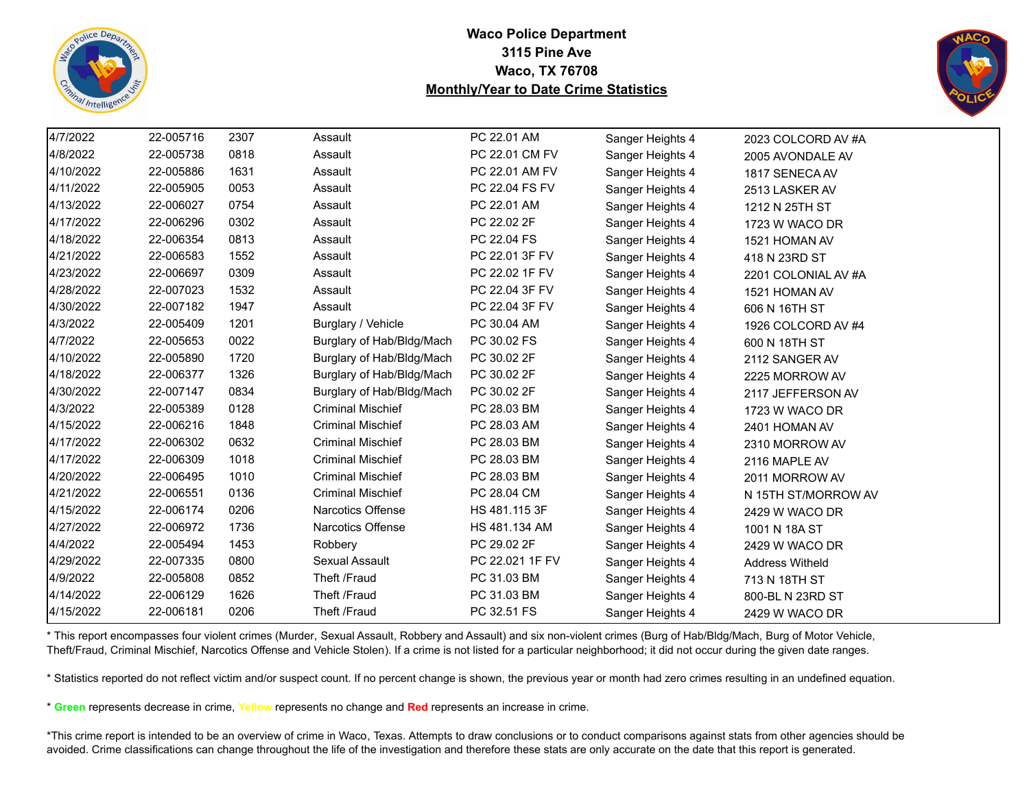



| 4/7/2022  | 22-005716 | 2307 | Assault                   | PC 22.01 AM     | Sanger Heights 4 | 2023 COLCORD AV #A  |
|-----------|-----------|------|---------------------------|-----------------|------------------|---------------------|
| 4/8/2022  | 22-005738 | 0818 | Assault                   | PC 22.01 CM FV  | Sanger Heights 4 | 2005 AVONDALE AV    |
| 4/10/2022 | 22-005886 | 1631 | Assault                   | PC 22.01 AM FV  | Sanger Heights 4 | 1817 SENECA AV      |
| 4/11/2022 | 22-005905 | 0053 | Assault                   | PC 22.04 FS FV  | Sanger Heights 4 | 2513 LASKER AV      |
| 4/13/2022 | 22-006027 | 0754 | Assault                   | PC 22.01 AM     | Sanger Heights 4 | 1212 N 25TH ST      |
| 4/17/2022 | 22-006296 | 0302 | Assault                   | PC 22.02 2F     | Sanger Heights 4 | 1723 W WACO DR      |
| 4/18/2022 | 22-006354 | 0813 | Assault                   | PC 22.04 FS     | Sanger Heights 4 | 1521 HOMAN AV       |
| 4/21/2022 | 22-006583 | 1552 | Assault                   | PC 22.01 3F FV  | Sanger Heights 4 | 418 N 23RD ST       |
| 4/23/2022 | 22-006697 | 0309 | Assault                   | PC 22.02 1F FV  | Sanger Heights 4 | 2201 COLONIAL AV #A |
| 4/28/2022 | 22-007023 | 1532 | Assault                   | PC 22.04 3F FV  | Sanger Heights 4 | 1521 HOMAN AV       |
| 4/30/2022 | 22-007182 | 1947 | Assault                   | PC 22.04 3F FV  | Sanger Heights 4 | 606 N 16TH ST       |
| 4/3/2022  | 22-005409 | 1201 | Burglary / Vehicle        | PC 30.04 AM     | Sanger Heights 4 | 1926 COLCORD AV #4  |
| 4/7/2022  | 22-005653 | 0022 | Burglary of Hab/Bldg/Mach | PC 30.02 FS     | Sanger Heights 4 | 600 N 18TH ST       |
| 4/10/2022 | 22-005890 | 1720 | Burglary of Hab/Bldg/Mach | PC 30.02 2F     | Sanger Heights 4 | 2112 SANGER AV      |
| 4/18/2022 | 22-006377 | 1326 | Burglary of Hab/Bldg/Mach | PC 30.02 2F     | Sanger Heights 4 | 2225 MORROW AV      |
| 4/30/2022 | 22-007147 | 0834 | Burglary of Hab/Bldg/Mach | PC 30.02 2F     | Sanger Heights 4 | 2117 JEFFERSON AV   |
| 4/3/2022  | 22-005389 | 0128 | <b>Criminal Mischief</b>  | PC 28.03 BM     | Sanger Heights 4 | 1723 W WACO DR      |
| 4/15/2022 | 22-006216 | 1848 | <b>Criminal Mischief</b>  | PC 28.03 AM     | Sanger Heights 4 | 2401 HOMAN AV       |
| 4/17/2022 | 22-006302 | 0632 | <b>Criminal Mischief</b>  | PC 28.03 BM     | Sanger Heights 4 | 2310 MORROW AV      |
| 4/17/2022 | 22-006309 | 1018 | <b>Criminal Mischief</b>  | PC 28.03 BM     | Sanger Heights 4 | 2116 MAPLE AV       |
| 4/20/2022 | 22-006495 | 1010 | <b>Criminal Mischief</b>  | PC 28.03 BM     | Sanger Heights 4 | 2011 MORROW AV      |
| 4/21/2022 | 22-006551 | 0136 | <b>Criminal Mischief</b>  | PC 28.04 CM     | Sanger Heights 4 | N 15TH ST/MORROW AV |
| 4/15/2022 | 22-006174 | 0206 | Narcotics Offense         | HS 481.115 3F   | Sanger Heights 4 | 2429 W WACO DR      |
| 4/27/2022 | 22-006972 | 1736 | Narcotics Offense         | HS 481.134 AM   | Sanger Heights 4 | 1001 N 18A ST       |
| 4/4/2022  | 22-005494 | 1453 | Robbery                   | PC 29.02 2F     | Sanger Heights 4 | 2429 W WACO DR      |
| 4/29/2022 | 22-007335 | 0800 | <b>Sexual Assault</b>     | PC 22.021 1F FV | Sanger Heights 4 | Address Witheld     |
| 4/9/2022  | 22-005808 | 0852 | Theft /Fraud              | PC 31.03 BM     | Sanger Heights 4 | 713 N 18TH ST       |
| 4/14/2022 | 22-006129 | 1626 | Theft /Fraud              | PC 31.03 BM     | Sanger Heights 4 | 800-BL N 23RD ST    |
| 4/15/2022 | 22-006181 | 0206 | Theft /Fraud              | PC 32.51 FS     | Sanger Heights 4 | 2429 W WACO DR      |

\* This report encompasses four violent crimes (Murder, Sexual Assault, Robbery and Assault) and six non-violent crimes (Burg of Hab/Bldg/Mach, Burg of Motor Vehicle, Theft/Fraud, Criminal Mischief, Narcotics Offense and Vehicle Stolen). If a crime is not listed for a particular neighborhood; it did not occur during the given date ranges.

\* Statistics reported do not reflect victim and/or suspect count. If no percent change is shown, the previous year or month had zero crimes resulting in an undefined equation.

\* **Green** represents decrease in crime, **Yellow** represents no change and **Red** represents an increase in crime.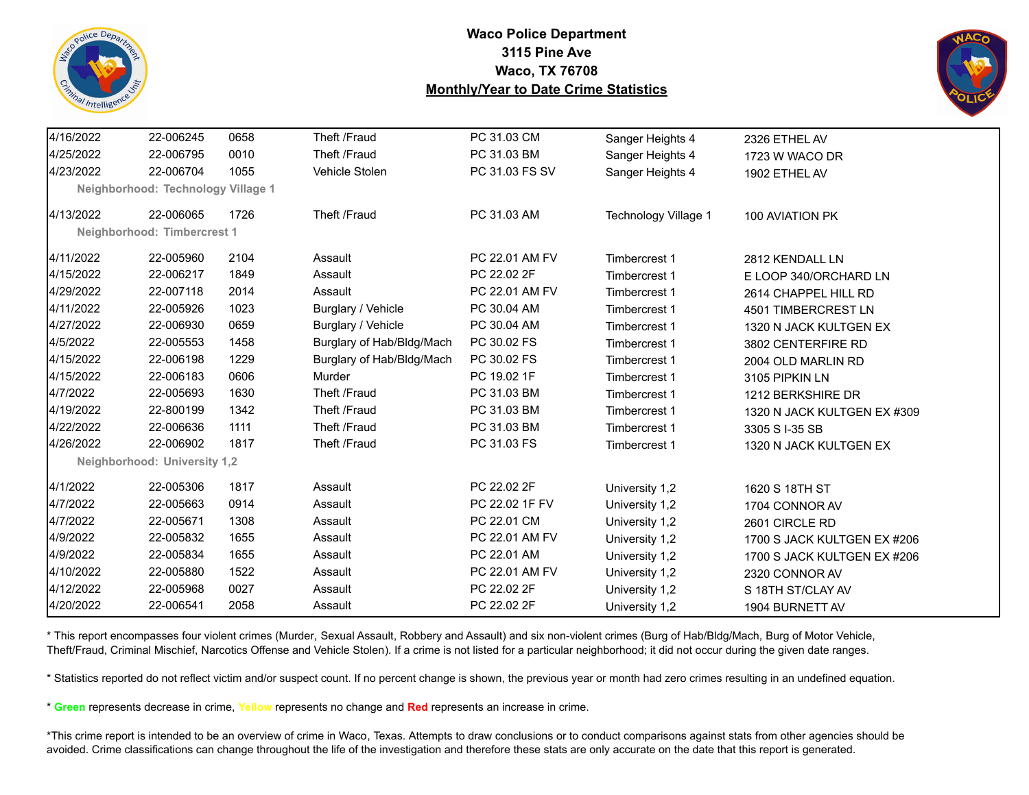



| 4/16/2022 | 22-006245                          | 0658 | Theft /Fraud              | PC 31.03 CM    | Sanger Heights 4     | 2326 ETHEL AV               |
|-----------|------------------------------------|------|---------------------------|----------------|----------------------|-----------------------------|
| 4/25/2022 | 22-006795                          | 0010 | Theft /Fraud              | PC 31.03 BM    | Sanger Heights 4     | 1723 W WACO DR              |
| 4/23/2022 | 22-006704                          | 1055 | Vehicle Stolen            | PC 31.03 FS SV | Sanger Heights 4     | 1902 ETHEL AV               |
|           | Neighborhood: Technology Village 1 |      |                           |                |                      |                             |
| 4/13/2022 | 22-006065                          | 1726 | Theft /Fraud              | PC 31.03 AM    | Technology Village 1 | 100 AVIATION PK             |
|           | Neighborhood: Timbercrest 1        |      |                           |                |                      |                             |
| 4/11/2022 | 22-005960                          | 2104 | Assault                   | PC 22.01 AM FV | Timbercrest 1        | 2812 KENDALL LN             |
| 4/15/2022 | 22-006217                          | 1849 | Assault                   | PC 22.02 2F    | Timbercrest 1        | E LOOP 340/ORCHARD LN       |
| 4/29/2022 | 22-007118                          | 2014 | Assault                   | PC 22.01 AM FV | Timbercrest 1        | 2614 CHAPPEL HILL RD        |
| 4/11/2022 | 22-005926                          | 1023 | Burglary / Vehicle        | PC 30.04 AM    | Timbercrest 1        | 4501 TIMBERCREST LN         |
| 4/27/2022 | 22-006930                          | 0659 | Burglary / Vehicle        | PC 30.04 AM    | Timbercrest 1        | 1320 N JACK KULTGEN EX      |
| 4/5/2022  | 22-005553                          | 1458 | Burglary of Hab/Bldg/Mach | PC 30.02 FS    | Timbercrest 1        | 3802 CENTERFIRE RD          |
| 4/15/2022 | 22-006198                          | 1229 | Burglary of Hab/Bldg/Mach | PC 30.02 FS    | Timbercrest 1        | 2004 OLD MARLIN RD          |
| 4/15/2022 | 22-006183                          | 0606 | Murder                    | PC 19.02 1F    | Timbercrest 1        | 3105 PIPKIN LN              |
| 4/7/2022  | 22-005693                          | 1630 | Theft /Fraud              | PC 31.03 BM    | Timbercrest 1        | 1212 BERKSHIRE DR           |
| 4/19/2022 | 22-800199                          | 1342 | Theft /Fraud              | PC 31.03 BM    | Timbercrest 1        | 1320 N JACK KULTGEN EX #309 |
| 4/22/2022 | 22-006636                          | 1111 | Theft /Fraud              | PC 31.03 BM    | Timbercrest 1        | 3305 S I-35 SB              |
| 4/26/2022 | 22-006902                          | 1817 | Theft /Fraud              | PC 31.03 FS    | Timbercrest 1        | 1320 N JACK KULTGEN EX      |
|           | Neighborhood: University 1,2       |      |                           |                |                      |                             |
| 4/1/2022  | 22-005306                          | 1817 | Assault                   | PC 22.02 2F    | University 1,2       | 1620 S 18TH ST              |
| 4/7/2022  | 22-005663                          | 0914 | Assault                   | PC 22.02 1F FV | University 1,2       | 1704 CONNOR AV              |
| 4/7/2022  | 22-005671                          | 1308 | Assault                   | PC 22.01 CM    | University 1,2       | 2601 CIRCLE RD              |
| 4/9/2022  | 22-005832                          | 1655 | Assault                   | PC 22.01 AM FV | University 1,2       | 1700 S JACK KULTGEN EX #206 |
| 4/9/2022  | 22-005834                          | 1655 | Assault                   | PC 22.01 AM    | University 1,2       | 1700 S JACK KULTGEN EX #206 |
| 4/10/2022 | 22-005880                          | 1522 | Assault                   | PC 22.01 AM FV | University 1,2       | 2320 CONNOR AV              |
| 4/12/2022 | 22-005968                          | 0027 | Assault                   | PC 22.02 2F    | University 1,2       | S 18TH ST/CLAY AV           |
| 4/20/2022 | 22-006541                          | 2058 | Assault                   | PC 22.02 2F    | University 1,2       | 1904 BURNETT AV             |

\* This report encompasses four violent crimes (Murder, Sexual Assault, Robbery and Assault) and six non-violent crimes (Burg of Hab/Bldg/Mach, Burg of Motor Vehicle, Theft/Fraud, Criminal Mischief, Narcotics Offense and Vehicle Stolen). If a crime is not listed for a particular neighborhood; it did not occur during the given date ranges.

\* Statistics reported do not reflect victim and/or suspect count. If no percent change is shown, the previous year or month had zero crimes resulting in an undefined equation.

\* **Green** represents decrease in crime, **Yellow** represents no change and **Red** represents an increase in crime.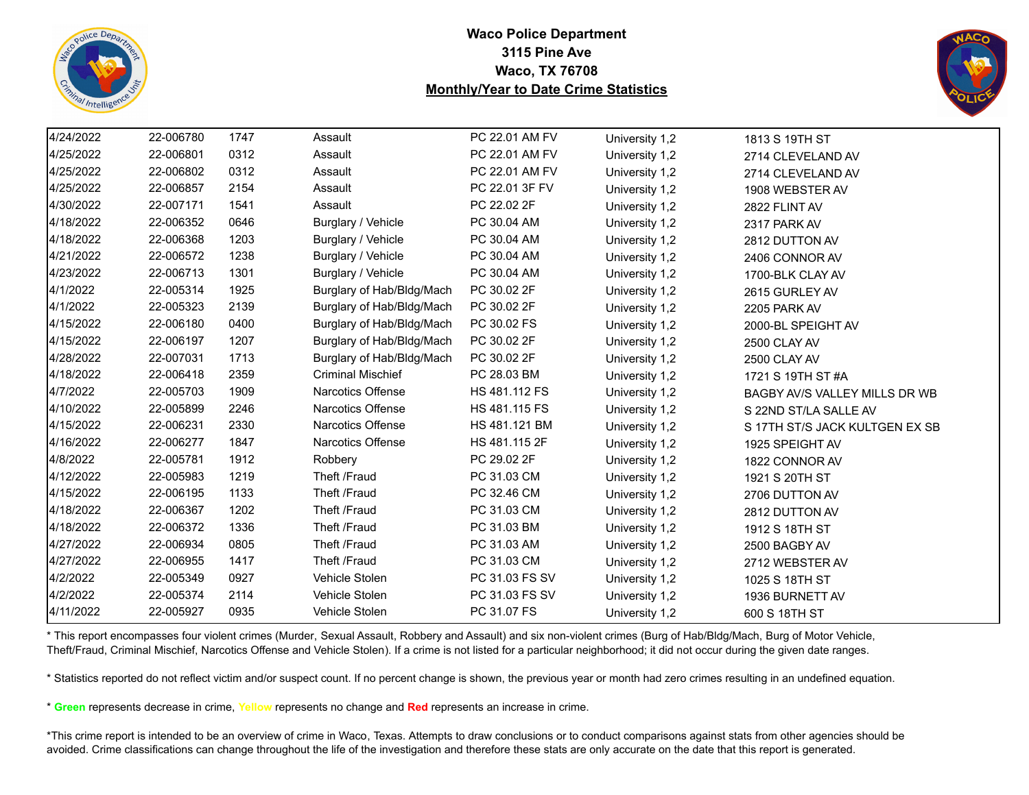



| 4/24/2022 | 22-006780 | 1747 | Assault                   | PC 22.01 AM FV | University 1,2 | 1813 S 19TH ST                 |
|-----------|-----------|------|---------------------------|----------------|----------------|--------------------------------|
| 4/25/2022 | 22-006801 | 0312 | Assault                   | PC 22.01 AM FV | University 1,2 | 2714 CLEVELAND AV              |
| 4/25/2022 | 22-006802 | 0312 | Assault                   | PC 22.01 AM FV | University 1,2 | 2714 CLEVELAND AV              |
| 4/25/2022 | 22-006857 | 2154 | Assault                   | PC 22.01 3F FV | University 1,2 | 1908 WEBSTER AV                |
| 4/30/2022 | 22-007171 | 1541 | Assault                   | PC 22.02 2F    | University 1,2 | 2822 FLINT AV                  |
| 4/18/2022 | 22-006352 | 0646 | Burglary / Vehicle        | PC 30.04 AM    | University 1,2 | 2317 PARK AV                   |
| 4/18/2022 | 22-006368 | 1203 | Burglary / Vehicle        | PC 30.04 AM    | University 1,2 | 2812 DUTTON AV                 |
| 4/21/2022 | 22-006572 | 1238 | Burglary / Vehicle        | PC 30.04 AM    | University 1,2 | 2406 CONNOR AV                 |
| 4/23/2022 | 22-006713 | 1301 | Burglary / Vehicle        | PC 30.04 AM    | University 1,2 | 1700-BLK CLAY AV               |
| 4/1/2022  | 22-005314 | 1925 | Burglary of Hab/Bldg/Mach | PC 30.02 2F    | University 1,2 | 2615 GURLEY AV                 |
| 4/1/2022  | 22-005323 | 2139 | Burglary of Hab/Bldg/Mach | PC 30.02 2F    | University 1,2 | 2205 PARK AV                   |
| 4/15/2022 | 22-006180 | 0400 | Burglary of Hab/Bldg/Mach | PC 30.02 FS    | University 1,2 | 2000-BL SPEIGHT AV             |
| 4/15/2022 | 22-006197 | 1207 | Burglary of Hab/Bldg/Mach | PC 30.02 2F    | University 1,2 | 2500 CLAY AV                   |
| 4/28/2022 | 22-007031 | 1713 | Burglary of Hab/Bldg/Mach | PC 30.02 2F    | University 1,2 | 2500 CLAY AV                   |
| 4/18/2022 | 22-006418 | 2359 | <b>Criminal Mischief</b>  | PC 28.03 BM    | University 1,2 | 1721 S 19TH ST #A              |
| 4/7/2022  | 22-005703 | 1909 | Narcotics Offense         | HS 481.112 FS  | University 1,2 | BAGBY AV/S VALLEY MILLS DR WB  |
| 4/10/2022 | 22-005899 | 2246 | Narcotics Offense         | HS 481.115 FS  | University 1,2 | S 22ND ST/LA SALLE AV          |
| 4/15/2022 | 22-006231 | 2330 | Narcotics Offense         | HS 481.121 BM  | University 1,2 | S 17TH ST/S JACK KULTGEN EX SB |
| 4/16/2022 | 22-006277 | 1847 | Narcotics Offense         | HS 481.115 2F  | University 1,2 | 1925 SPEIGHT AV                |
| 4/8/2022  | 22-005781 | 1912 | Robbery                   | PC 29.02 2F    | University 1,2 | 1822 CONNOR AV                 |
| 4/12/2022 | 22-005983 | 1219 | Theft /Fraud              | PC 31.03 CM    | University 1,2 | 1921 S 20TH ST                 |
| 4/15/2022 | 22-006195 | 1133 | Theft /Fraud              | PC 32.46 CM    | University 1,2 | 2706 DUTTON AV                 |
| 4/18/2022 | 22-006367 | 1202 | Theft /Fraud              | PC 31.03 CM    | University 1,2 | 2812 DUTTON AV                 |
| 4/18/2022 | 22-006372 | 1336 | Theft /Fraud              | PC 31.03 BM    | University 1,2 | 1912 S 18TH ST                 |
| 4/27/2022 | 22-006934 | 0805 | Theft /Fraud              | PC 31.03 AM    | University 1,2 | 2500 BAGBY AV                  |
| 4/27/2022 | 22-006955 | 1417 | Theft /Fraud              | PC 31.03 CM    | University 1,2 | 2712 WEBSTER AV                |
| 4/2/2022  | 22-005349 | 0927 | Vehicle Stolen            | PC 31.03 FS SV | University 1,2 | 1025 S 18TH ST                 |
| 4/2/2022  | 22-005374 | 2114 | Vehicle Stolen            | PC 31.03 FS SV | University 1,2 | 1936 BURNETT AV                |
| 4/11/2022 | 22-005927 | 0935 | Vehicle Stolen            | PC 31.07 FS    | University 1,2 | 600 S 18TH ST                  |
|           |           |      |                           |                |                |                                |

\* This report encompasses four violent crimes (Murder, Sexual Assault, Robbery and Assault) and six non-violent crimes (Burg of Hab/Bldg/Mach, Burg of Motor Vehicle, Theft/Fraud, Criminal Mischief, Narcotics Offense and Vehicle Stolen). If a crime is not listed for a particular neighborhood; it did not occur during the given date ranges.

\* Statistics reported do not reflect victim and/or suspect count. If no percent change is shown, the previous year or month had zero crimes resulting in an undefined equation.

\* **Green** represents decrease in crime, **Yellow** represents no change and **Red** represents an increase in crime.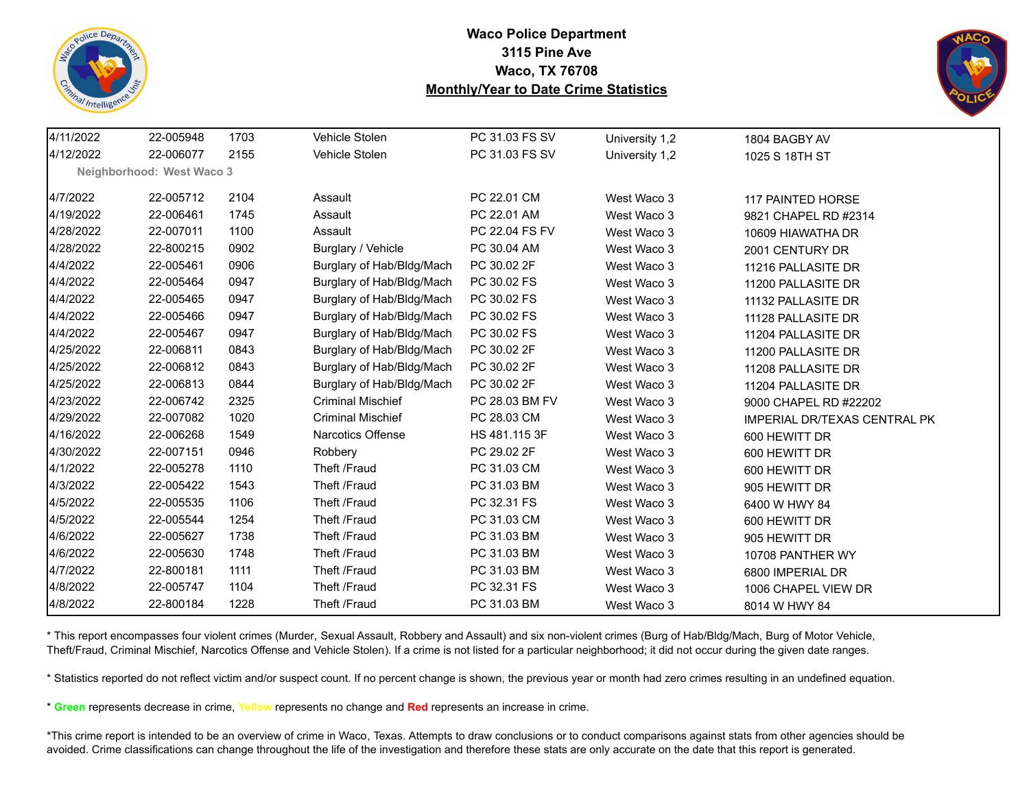



| 4/11/2022 | 22-005948                 | 1703 | Vehicle Stolen            | PC 31.03 FS SV | University 1,2 | 1804 BAGBY AV                       |
|-----------|---------------------------|------|---------------------------|----------------|----------------|-------------------------------------|
| 4/12/2022 | 22-006077                 | 2155 | Vehicle Stolen            | PC 31.03 FS SV | University 1,2 | 1025 S 18TH ST                      |
|           | Neighborhood: West Waco 3 |      |                           |                |                |                                     |
| 4/7/2022  | 22-005712                 | 2104 | Assault                   | PC 22.01 CM    | West Waco 3    | 117 PAINTED HORSE                   |
| 4/19/2022 | 22-006461                 | 1745 | Assault                   | PC 22.01 AM    | West Waco 3    | 9821 CHAPEL RD #2314                |
| 4/28/2022 | 22-007011                 | 1100 | Assault                   | PC 22.04 FS FV | West Waco 3    | 10609 HIAWATHA DR                   |
| 4/28/2022 | 22-800215                 | 0902 | Burglary / Vehicle        | PC 30.04 AM    | West Waco 3    | 2001 CENTURY DR                     |
| 4/4/2022  | 22-005461                 | 0906 | Burglary of Hab/Bldg/Mach | PC 30.02 2F    | West Waco 3    | 11216 PALLASITE DR                  |
| 4/4/2022  | 22-005464                 | 0947 | Burglary of Hab/Bldg/Mach | PC 30.02 FS    | West Waco 3    | 11200 PALLASITE DR                  |
| 4/4/2022  | 22-005465                 | 0947 | Burglary of Hab/Bldg/Mach | PC 30.02 FS    | West Waco 3    | 11132 PALLASITE DR                  |
| 4/4/2022  | 22-005466                 | 0947 | Burglary of Hab/Bldg/Mach | PC 30.02 FS    | West Waco 3    | 11128 PALLASITE DR                  |
| 4/4/2022  | 22-005467                 | 0947 | Burglary of Hab/Bldg/Mach | PC 30.02 FS    | West Waco 3    | 11204 PALLASITE DR                  |
| 4/25/2022 | 22-006811                 | 0843 | Burglary of Hab/Bldg/Mach | PC 30.02 2F    | West Waco 3    | 11200 PALLASITE DR                  |
| 4/25/2022 | 22-006812                 | 0843 | Burglary of Hab/Bldg/Mach | PC 30.02 2F    | West Waco 3    | 11208 PALLASITE DR                  |
| 4/25/2022 | 22-006813                 | 0844 | Burglary of Hab/Bldg/Mach | PC 30.02 2F    | West Waco 3    | 11204 PALLASITE DR                  |
| 4/23/2022 | 22-006742                 | 2325 | <b>Criminal Mischief</b>  | PC 28.03 BM FV | West Waco 3    | 9000 CHAPEL RD #22202               |
| 4/29/2022 | 22-007082                 | 1020 | <b>Criminal Mischief</b>  | PC 28.03 CM    | West Waco 3    | <b>IMPERIAL DR/TEXAS CENTRAL PK</b> |
| 4/16/2022 | 22-006268                 | 1549 | Narcotics Offense         | HS 481.115 3F  | West Waco 3    | 600 HEWITT DR                       |
| 4/30/2022 | 22-007151                 | 0946 | Robbery                   | PC 29.02 2F    | West Waco 3    | 600 HEWITT DR                       |
| 4/1/2022  | 22-005278                 | 1110 | Theft /Fraud              | PC 31.03 CM    | West Waco 3    | 600 HEWITT DR                       |
| 4/3/2022  | 22-005422                 | 1543 | Theft /Fraud              | PC 31.03 BM    | West Waco 3    | 905 HEWITT DR                       |
| 4/5/2022  | 22-005535                 | 1106 | Theft /Fraud              | PC 32.31 FS    | West Waco 3    | 6400 W HWY 84                       |
| 4/5/2022  | 22-005544                 | 1254 | Theft /Fraud              | PC 31.03 CM    | West Waco 3    | 600 HEWITT DR                       |
| 4/6/2022  | 22-005627                 | 1738 | Theft /Fraud              | PC 31.03 BM    | West Waco 3    | 905 HEWITT DR                       |
| 4/6/2022  | 22-005630                 | 1748 | Theft /Fraud              | PC 31.03 BM    | West Waco 3    | 10708 PANTHER WY                    |
| 4/7/2022  | 22-800181                 | 1111 | Theft /Fraud              | PC 31.03 BM    | West Waco 3    | 6800 IMPERIAL DR                    |
| 4/8/2022  | 22-005747                 | 1104 | Theft /Fraud              | PC 32.31 FS    | West Waco 3    | 1006 CHAPEL VIEW DR                 |
| 4/8/2022  | 22-800184                 | 1228 | Theft /Fraud              | PC 31.03 BM    | West Waco 3    | 8014 W HWY 84                       |

\* This report encompasses four violent crimes (Murder, Sexual Assault, Robbery and Assault) and six non-violent crimes (Burg of Hab/Bldg/Mach, Burg of Motor Vehicle, Theft/Fraud, Criminal Mischief, Narcotics Offense and Vehicle Stolen). If a crime is not listed for a particular neighborhood; it did not occur during the given date ranges.

\* Statistics reported do not reflect victim and/or suspect count. If no percent change is shown, the previous year or month had zero crimes resulting in an undefined equation.

\* **Green** represents decrease in crime, **Yellow** represents no change and **Red** represents an increase in crime.